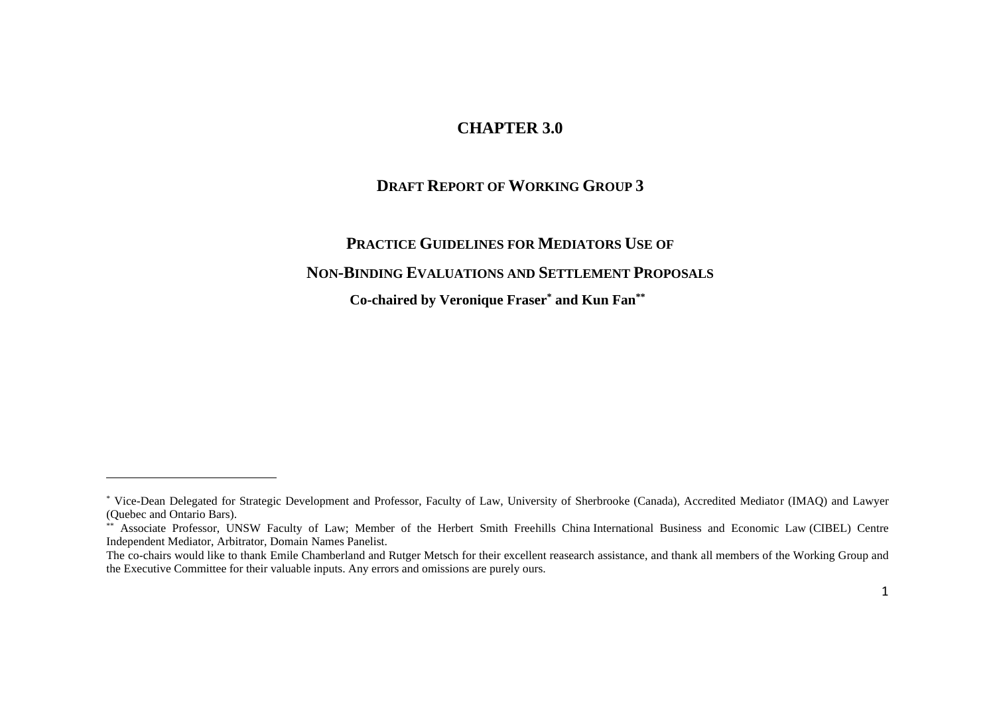### **CHAPTER 3.0**

#### **DRAFT REPORT OF WORKING GROUP 3**

# **PRACTICE GUIDELINES FOR MEDIATORS USE OF NON-BINDING EVALUATIONS AND SETTLEMENT PROPOSALS Co-chaired by Veronique Fraser\* and Kun Fan\*\***

<sup>\*</sup> Vice-Dean Delegated for Strategic Development and Professor, Faculty of Law, University of Sherbrooke (Canada), Accredited Mediator (IMAQ) and Lawyer (Quebec and Ontario Bars).

<sup>\*\*</sup> Associate Professor, UNSW Faculty of Law; Member of the Herbert Smith Freehills China International Business and Economic Law (CIBEL) Centre Independent Mediator, Arbitrator, Domain Names Panelist.

The co-chairs would like to thank Emile Chamberland and Rutger Metsch for their excellent reasearch assistance, and thank all members of the Working Group and the Executive Committee for their valuable inputs. Any errors and omissions are purely ours.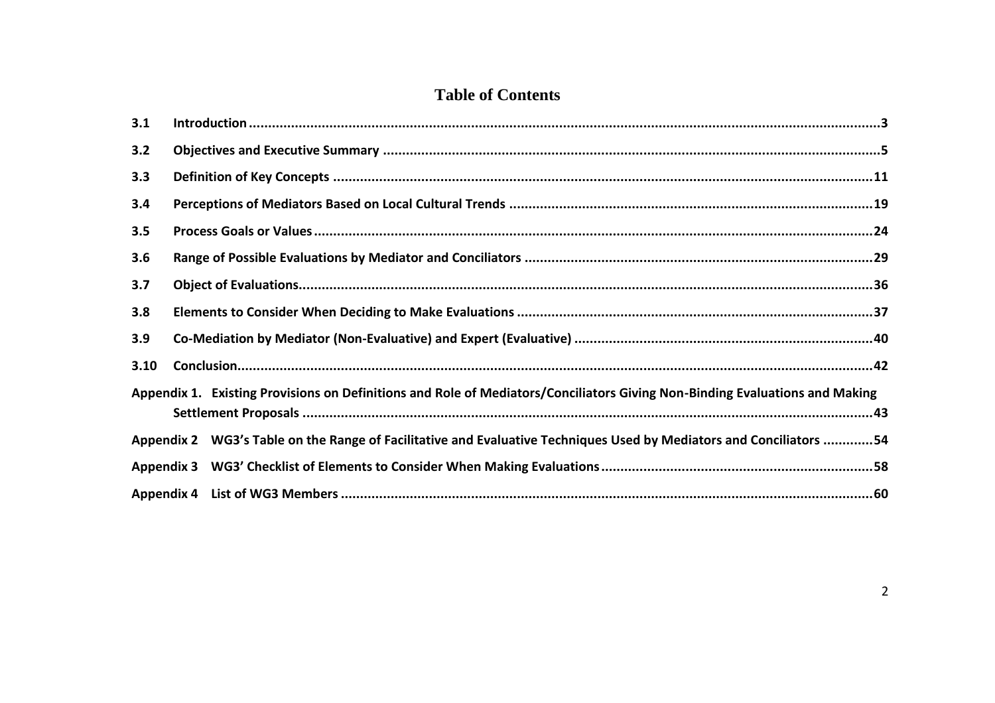## **Table of Contents**

| 3.1  |                                                                                                                             |  |
|------|-----------------------------------------------------------------------------------------------------------------------------|--|
| 3.2  |                                                                                                                             |  |
| 3.3  |                                                                                                                             |  |
| 3.4  |                                                                                                                             |  |
| 3.5  |                                                                                                                             |  |
| 3.6  |                                                                                                                             |  |
| 3.7  |                                                                                                                             |  |
| 3.8  |                                                                                                                             |  |
| 3.9  |                                                                                                                             |  |
| 3.10 |                                                                                                                             |  |
|      | Appendix 1. Existing Provisions on Definitions and Role of Mediators/Conciliators Giving Non-Binding Evaluations and Making |  |
|      | Appendix 2 WG3's Table on the Range of Facilitative and Evaluative Techniques Used by Mediators and Conciliators 54         |  |
|      |                                                                                                                             |  |
|      |                                                                                                                             |  |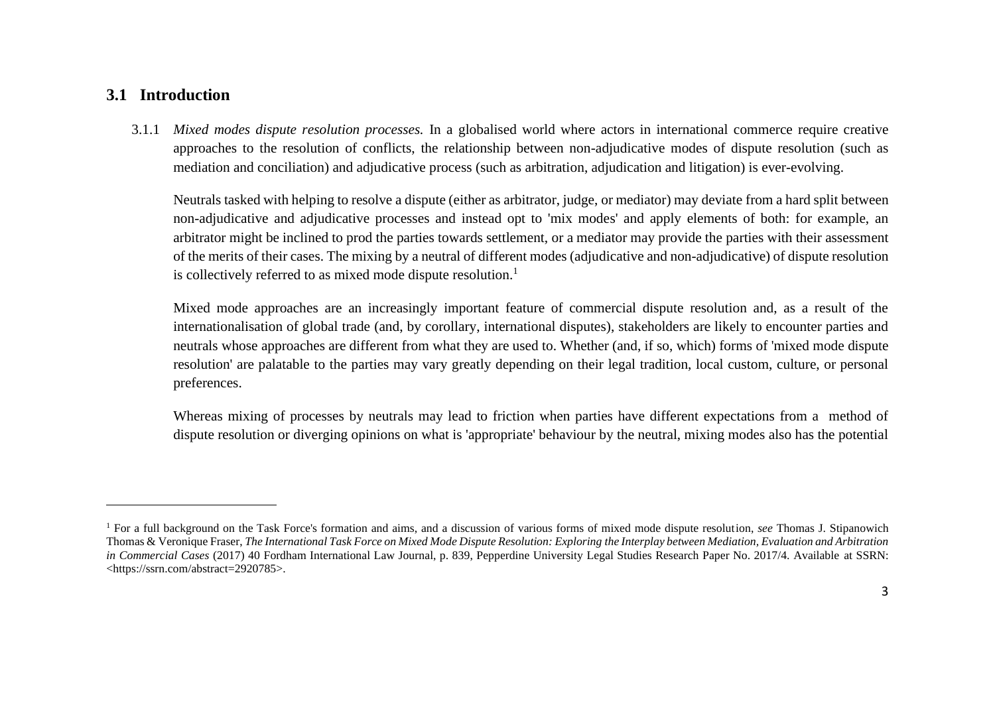#### <span id="page-2-0"></span>**3.1 Introduction**

3.1.1 *Mixed modes dispute resolution processes.* In a globalised world where actors in international commerce require creative approaches to the resolution of conflicts, the relationship between non-adjudicative modes of dispute resolution (such as mediation and conciliation) and adjudicative process (such as arbitration, adjudication and litigation) is ever-evolving.

Neutrals tasked with helping to resolve a dispute (either as arbitrator, judge, or mediator) may deviate from a hard split between non-adjudicative and adjudicative processes and instead opt to 'mix modes' and apply elements of both: for example, an arbitrator might be inclined to prod the parties towards settlement, or a mediator may provide the parties with their assessment of the merits of their cases. The mixing by a neutral of different modes (adjudicative and non-adjudicative) of dispute resolution is collectively referred to as mixed mode dispute resolution.<sup>1</sup>

Mixed mode approaches are an increasingly important feature of commercial dispute resolution and, as a result of the internationalisation of global trade (and, by corollary, international disputes), stakeholders are likely to encounter parties and neutrals whose approaches are different from what they are used to. Whether (and, if so, which) forms of 'mixed mode dispute resolution' are palatable to the parties may vary greatly depending on their legal tradition, local custom, culture, or personal preferences.

Whereas mixing of processes by neutrals may lead to friction when parties have different expectations from a method of dispute resolution or diverging opinions on what is 'appropriate' behaviour by the neutral, mixing modes also has the potential

<sup>1</sup> For a full background on the Task Force's formation and aims, and a discussion of various forms of mixed mode dispute resolution, *see* Thomas J. Stipanowich Thomas & Veronique Fraser, *The International Task Force on Mixed Mode Dispute Resolution: Exploring the Interplay between Mediation, Evaluation and Arbitration in Commercial Cases* (2017) 40 Fordham International Law Journal, p. 839, Pepperdine University Legal Studies Research Paper No. 2017/4. Available at SSRN: <https://ssrn.com/abstract=2920785>.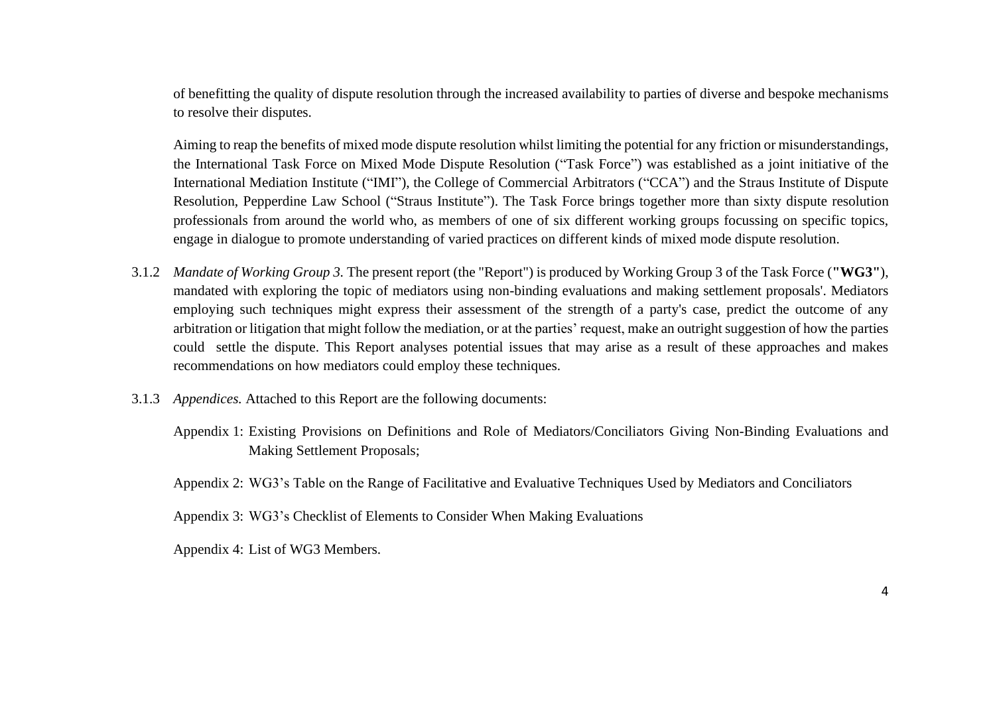of benefitting the quality of dispute resolution through the increased availability to parties of diverse and bespoke mechanisms to resolve their disputes.

Aiming to reap the benefits of mixed mode dispute resolution whilst limiting the potential for any friction or misunderstandings, the International Task Force on Mixed Mode Dispute Resolution ("Task Force") was established as a joint initiative of the International Mediation Institute ("IMI"), the College of Commercial Arbitrators ("CCA") and the Straus Institute of Dispute Resolution, Pepperdine Law School ("Straus Institute"). The Task Force brings together more than sixty dispute resolution professionals from around the world who, as members of one of six different working groups focussing on specific topics, engage in dialogue to promote understanding of varied practices on different kinds of mixed mode dispute resolution.

- 3.1.2 *Mandate of Working Group 3.* The present report (the "Report") is produced by Working Group 3 of the Task Force (**"WG3"**), mandated with exploring the topic of mediators using non-binding evaluations and making settlement proposals'. Mediators employing such techniques might express their assessment of the strength of a party's case, predict the outcome of any arbitration or litigation that might follow the mediation, or at the parties' request, make an outright suggestion of how the parties could settle the dispute. This Report analyses potential issues that may arise as a result of these approaches and makes recommendations on how mediators could employ these techniques.
- 3.1.3 *Appendices.* Attached to this Report are the following documents:
	- Appendix 1: Existing Provisions on Definitions and Role of Mediators/Conciliators Giving Non-Binding Evaluations and Making Settlement Proposals;

Appendix 2: WG3's Table on the Range of Facilitative and Evaluative Techniques Used by Mediators and Conciliators

Appendix 3: WG3's Checklist of Elements to Consider When Making Evaluations

Appendix 4: List of WG3 Members.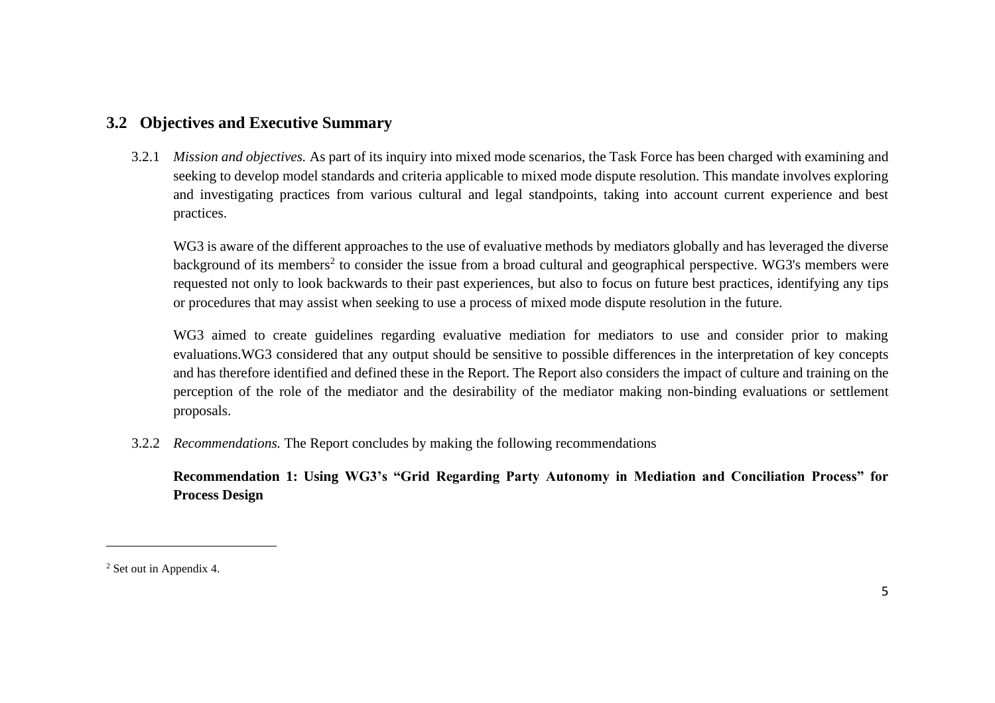### <span id="page-4-0"></span>**3.2 Objectives and Executive Summary**

3.2.1 *Mission and objectives.* As part of its inquiry into mixed mode scenarios, the Task Force has been charged with examining and seeking to develop model standards and criteria applicable to mixed mode dispute resolution. This mandate involves exploring and investigating practices from various cultural and legal standpoints, taking into account current experience and best practices.

WG3 is aware of the different approaches to the use of evaluative methods by mediators globally and has leveraged the diverse background of its members<sup>2</sup> to consider the issue from a broad cultural and geographical perspective. WG3's members were requested not only to look backwards to their past experiences, but also to focus on future best practices, identifying any tips or procedures that may assist when seeking to use a process of mixed mode dispute resolution in the future.

WG3 aimed to create guidelines regarding evaluative mediation for mediators to use and consider prior to making evaluations.WG3 considered that any output should be sensitive to possible differences in the interpretation of key concepts and has therefore identified and defined these in the Report. The Report also considers the impact of culture and training on the perception of the role of the mediator and the desirability of the mediator making non-binding evaluations or settlement proposals.

3.2.2 *Recommendations.* The Report concludes by making the following recommendations

**Recommendation 1: Using WG3's "Grid Regarding Party Autonomy in Mediation and Conciliation Process" for Process Design**

<sup>2</sup> Set out in Appendix 4.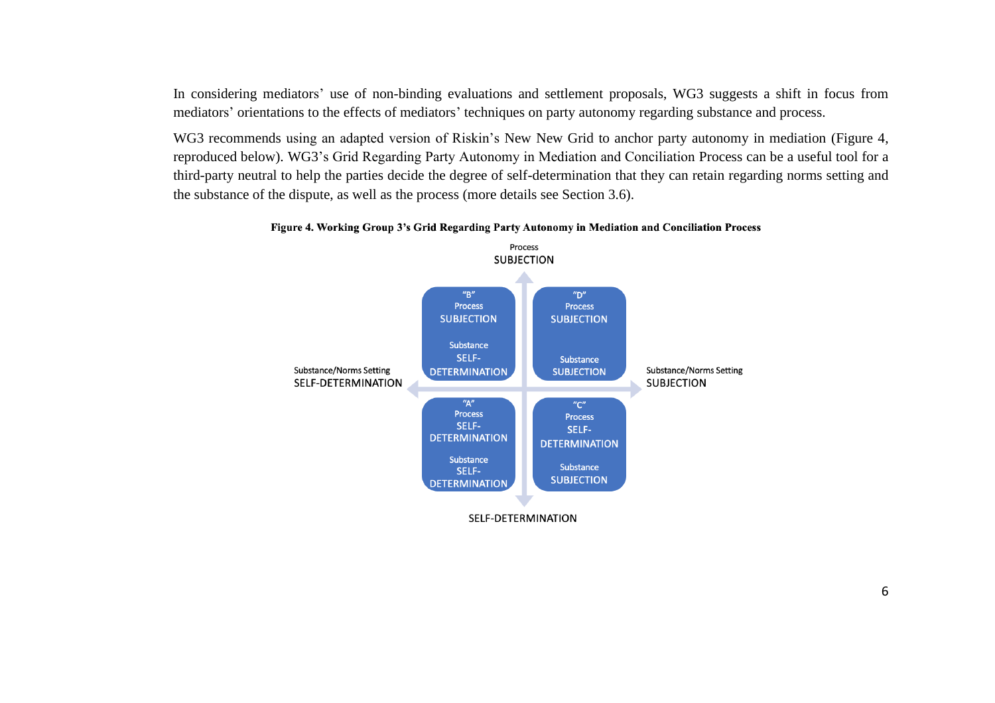In considering mediators' use of non-binding evaluations and settlement proposals, WG3 suggests a shift in focus from mediators' orientations to the effects of mediators' techniques on party autonomy regarding substance and process.

WG3 recommends using an adapted version of Riskin's New New Grid to anchor party autonomy in mediation (Figure 4, reproduced below). WG3's Grid Regarding Party Autonomy in Mediation and Conciliation Process can be a useful tool for a third-party neutral to help the parties decide the degree of self-determination that they can retain regarding norms setting and the substance of the dispute, as well as the process (more details see Section 3.6).



#### Figure 4. Working Group 3's Grid Regarding Party Autonomy in Mediation and Conciliation Process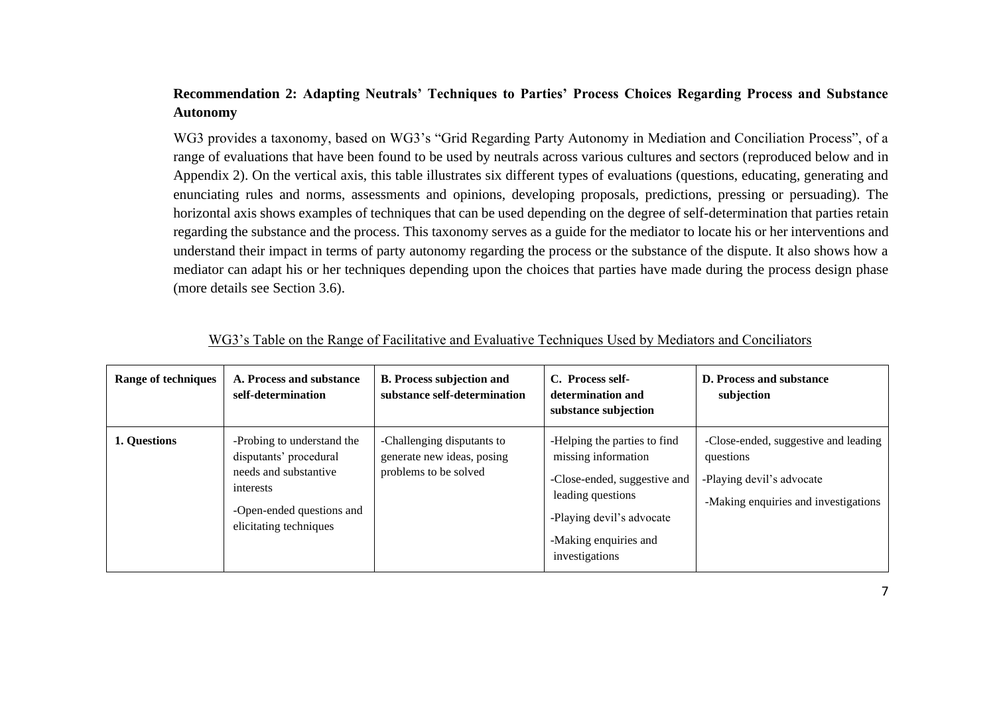#### **Recommendation 2: Adapting Neutrals' Techniques to Parties' Process Choices Regarding Process and Substance Autonomy**

WG3 provides a taxonomy, based on WG3's "Grid Regarding Party Autonomy in Mediation and Conciliation Process", of a range of evaluations that have been found to be used by neutrals across various cultures and sectors (reproduced below and in Appendix 2). On the vertical axis, this table illustrates six different types of evaluations (questions, educating, generating and enunciating rules and norms, assessments and opinions, developing proposals, predictions, pressing or persuading). The horizontal axis shows examples of techniques that can be used depending on the degree of self-determination that parties retain regarding the substance and the process. This taxonomy serves as a guide for the mediator to locate his or her interventions and understand their impact in terms of party autonomy regarding the process or the substance of the dispute. It also shows how a mediator can adapt his or her techniques depending upon the choices that parties have made during the process design phase (more details see Section 3.6).

| <b>Range of techniques</b> | A. Process and substance<br>self-determination                                                                                                    | <b>B. Process subjection and</b><br>substance self-determination                  | C. Process self-<br>determination and<br>substance subjection                                                                                                                    | <b>D. Process and substance</b><br>subjection                                                                          |
|----------------------------|---------------------------------------------------------------------------------------------------------------------------------------------------|-----------------------------------------------------------------------------------|----------------------------------------------------------------------------------------------------------------------------------------------------------------------------------|------------------------------------------------------------------------------------------------------------------------|
| 1. Questions               | -Probing to understand the<br>disputants' procedural<br>needs and substantive<br>interests<br>-Open-ended questions and<br>elicitating techniques | -Challenging disputants to<br>generate new ideas, posing<br>problems to be solved | -Helping the parties to find<br>missing information<br>-Close-ended, suggestive and<br>leading questions<br>-Playing devil's advocate<br>-Making enquiries and<br>investigations | -Close-ended, suggestive and leading<br>questions<br>-Playing devil's advocate<br>-Making enquiries and investigations |

|--|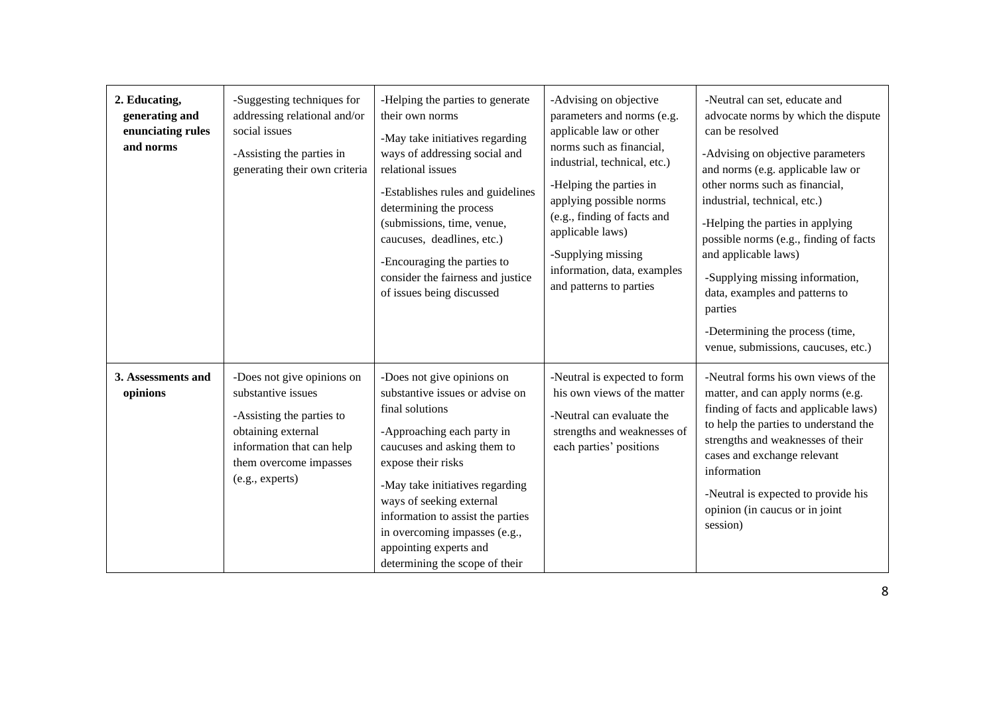| 2. Educating,<br>generating and<br>enunciating rules<br>and norms | -Suggesting techniques for<br>addressing relational and/or<br>social issues<br>-Assisting the parties in<br>generating their own criteria                                     | -Helping the parties to generate<br>their own norms<br>-May take initiatives regarding<br>ways of addressing social and<br>relational issues<br>-Establishes rules and guidelines<br>determining the process<br>(submissions, time, venue,<br>caucuses, deadlines, etc.)<br>-Encouraging the parties to<br>consider the fairness and justice<br>of issues being discussed | -Advising on objective<br>parameters and norms (e.g.<br>applicable law or other<br>norms such as financial,<br>industrial, technical, etc.)<br>-Helping the parties in<br>applying possible norms<br>(e.g., finding of facts and<br>applicable laws)<br>-Supplying missing<br>information, data, examples<br>and patterns to parties | -Neutral can set, educate and<br>advocate norms by which the dispute<br>can be resolved<br>-Advising on objective parameters<br>and norms (e.g. applicable law or<br>other norms such as financial,<br>industrial, technical, etc.)<br>-Helping the parties in applying<br>possible norms (e.g., finding of facts<br>and applicable laws)<br>-Supplying missing information,<br>data, examples and patterns to<br>parties<br>-Determining the process (time,<br>venue, submissions, caucuses, etc.) |
|-------------------------------------------------------------------|-------------------------------------------------------------------------------------------------------------------------------------------------------------------------------|---------------------------------------------------------------------------------------------------------------------------------------------------------------------------------------------------------------------------------------------------------------------------------------------------------------------------------------------------------------------------|--------------------------------------------------------------------------------------------------------------------------------------------------------------------------------------------------------------------------------------------------------------------------------------------------------------------------------------|-----------------------------------------------------------------------------------------------------------------------------------------------------------------------------------------------------------------------------------------------------------------------------------------------------------------------------------------------------------------------------------------------------------------------------------------------------------------------------------------------------|
| 3. Assessments and<br>opinions                                    | -Does not give opinions on<br>substantive issues<br>-Assisting the parties to<br>obtaining external<br>information that can help<br>them overcome impasses<br>(e.g., experts) | -Does not give opinions on<br>substantive issues or advise on<br>final solutions<br>-Approaching each party in<br>caucuses and asking them to<br>expose their risks<br>-May take initiatives regarding<br>ways of seeking external<br>information to assist the parties<br>in overcoming impasses (e.g.,<br>appointing experts and<br>determining the scope of their      | -Neutral is expected to form<br>his own views of the matter<br>-Neutral can evaluate the<br>strengths and weaknesses of<br>each parties' positions                                                                                                                                                                                   | -Neutral forms his own views of the<br>matter, and can apply norms (e.g.<br>finding of facts and applicable laws)<br>to help the parties to understand the<br>strengths and weaknesses of their<br>cases and exchange relevant<br>information<br>-Neutral is expected to provide his<br>opinion (in caucus or in joint<br>session)                                                                                                                                                                  |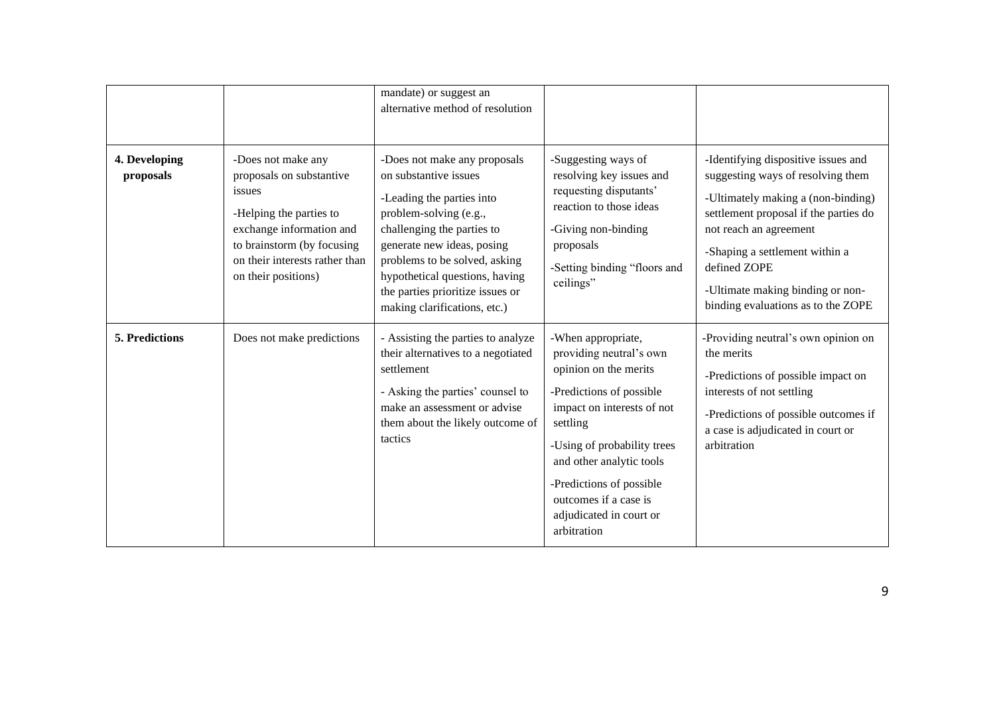|                            |                                                                                                                                                                                                        | mandate) or suggest an<br>alternative method of resolution                                                                                                                                                                                                                                                      |                                                                                                                                                                                                                                                                                                        |                                                                                                                                                                                                                                                                                                               |
|----------------------------|--------------------------------------------------------------------------------------------------------------------------------------------------------------------------------------------------------|-----------------------------------------------------------------------------------------------------------------------------------------------------------------------------------------------------------------------------------------------------------------------------------------------------------------|--------------------------------------------------------------------------------------------------------------------------------------------------------------------------------------------------------------------------------------------------------------------------------------------------------|---------------------------------------------------------------------------------------------------------------------------------------------------------------------------------------------------------------------------------------------------------------------------------------------------------------|
| 4. Developing<br>proposals | -Does not make any<br>proposals on substantive<br>issues<br>-Helping the parties to<br>exchange information and<br>to brainstorm (by focusing<br>on their interests rather than<br>on their positions) | -Does not make any proposals<br>on substantive issues<br>-Leading the parties into<br>problem-solving (e.g.,<br>challenging the parties to<br>generate new ideas, posing<br>problems to be solved, asking<br>hypothetical questions, having<br>the parties prioritize issues or<br>making clarifications, etc.) | -Suggesting ways of<br>resolving key issues and<br>requesting disputants'<br>reaction to those ideas<br>-Giving non-binding<br>proposals<br>-Setting binding "floors and<br>ceilings"                                                                                                                  | -Identifying dispositive issues and<br>suggesting ways of resolving them<br>-Ultimately making a (non-binding)<br>settlement proposal if the parties do<br>not reach an agreement<br>-Shaping a settlement within a<br>defined ZOPE<br>-Ultimate making binding or non-<br>binding evaluations as to the ZOPE |
| <b>5. Predictions</b>      | Does not make predictions                                                                                                                                                                              | - Assisting the parties to analyze<br>their alternatives to a negotiated<br>settlement<br>- Asking the parties' counsel to<br>make an assessment or advise<br>them about the likely outcome of<br>tactics                                                                                                       | -When appropriate,<br>providing neutral's own<br>opinion on the merits<br>-Predictions of possible<br>impact on interests of not<br>settling<br>-Using of probability trees<br>and other analytic tools<br>-Predictions of possible<br>outcomes if a case is<br>adjudicated in court or<br>arbitration | -Providing neutral's own opinion on<br>the merits<br>-Predictions of possible impact on<br>interests of not settling<br>-Predictions of possible outcomes if<br>a case is adjudicated in court or<br>arbitration                                                                                              |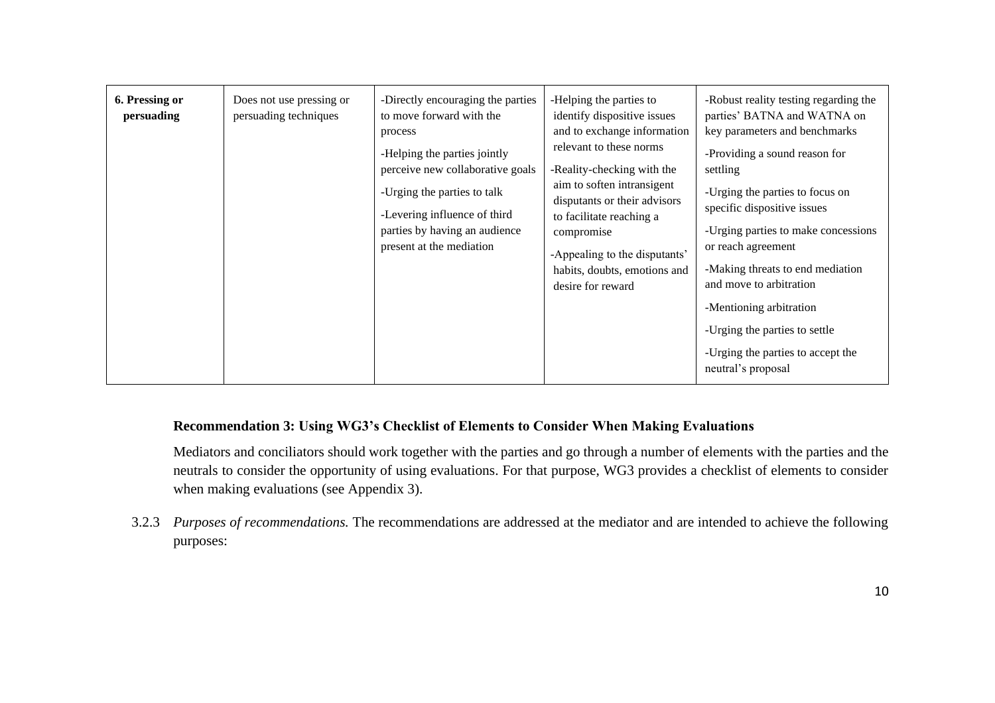| 6. Pressing or<br>persuading | Does not use pressing or<br>persuading techniques | -Directly encouraging the parties<br>to move forward with the<br>process<br>-Helping the parties jointly<br>perceive new collaborative goals<br>-Urging the parties to talk<br>-Levering influence of third<br>parties by having an audience<br>present at the mediation | -Helping the parties to<br>identify dispositive issues<br>and to exchange information<br>relevant to these norms<br>-Reality-checking with the<br>aim to soften intransigent<br>disputants or their advisors<br>to facilitate reaching a<br>compromise<br>-Appealing to the disputants'<br>habits, doubts, emotions and<br>desire for reward | -Robust reality testing regarding the<br>parties' BATNA and WATNA on<br>key parameters and benchmarks<br>-Providing a sound reason for<br>settling<br>-Urging the parties to focus on<br>specific dispositive issues<br>-Urging parties to make concessions<br>or reach agreement<br>-Making threats to end mediation<br>and move to arbitration<br>-Mentioning arbitration<br>-Urging the parties to settle |
|------------------------------|---------------------------------------------------|--------------------------------------------------------------------------------------------------------------------------------------------------------------------------------------------------------------------------------------------------------------------------|----------------------------------------------------------------------------------------------------------------------------------------------------------------------------------------------------------------------------------------------------------------------------------------------------------------------------------------------|--------------------------------------------------------------------------------------------------------------------------------------------------------------------------------------------------------------------------------------------------------------------------------------------------------------------------------------------------------------------------------------------------------------|
|                              |                                                   |                                                                                                                                                                                                                                                                          |                                                                                                                                                                                                                                                                                                                                              | -Urging the parties to accept the<br>neutral's proposal                                                                                                                                                                                                                                                                                                                                                      |

#### **Recommendation 3: Using WG3's Checklist of Elements to Consider When Making Evaluations**

Mediators and conciliators should work together with the parties and go through a number of elements with the parties and the neutrals to consider the opportunity of using evaluations. For that purpose, WG3 provides a checklist of elements to consider when making evaluations (see Appendix 3).

3.2.3 *Purposes of recommendations.* The recommendations are addressed at the mediator and are intended to achieve the following purposes: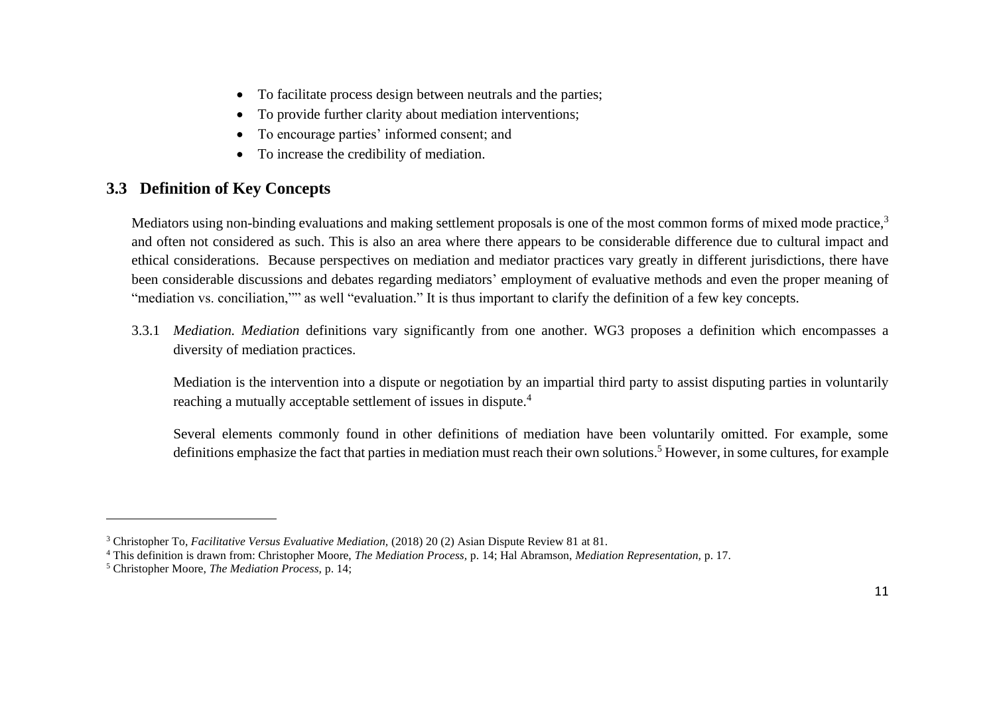- To facilitate process design between neutrals and the parties;
- To provide further clarity about mediation interventions;
- To encourage parties' informed consent; and
- To increase the credibility of mediation.

## <span id="page-10-0"></span>**3.3 Definition of Key Concepts**

Mediators using non-binding evaluations and making settlement proposals is one of the most common forms of mixed mode practice,<sup>3</sup> and often not considered as such. This is also an area where there appears to be considerable difference due to cultural impact and ethical considerations. Because perspectives on mediation and mediator practices vary greatly in different jurisdictions, there have been considerable discussions and debates regarding mediators' employment of evaluative methods and even the proper meaning of "mediation vs. conciliation,"" as well "evaluation." It is thus important to clarify the definition of a few key concepts.

3.3.1 *Mediation. Mediation* definitions vary significantly from one another. WG3 proposes a definition which encompasses a diversity of mediation practices.

Mediation is the intervention into a dispute or negotiation by an impartial third party to assist disputing parties in voluntarily reaching a mutually acceptable settlement of issues in dispute.<sup>4</sup>

Several elements commonly found in other definitions of mediation have been voluntarily omitted. For example, some definitions emphasize the fact that parties in mediation must reach their own solutions.<sup>5</sup> However, in some cultures, for example

<sup>3</sup> Christopher To, *Facilitative Versus Evaluative Mediation,* (2018) 20 (2) Asian Dispute Review 81 at 81.

<sup>4</sup> This definition is drawn from: Christopher Moore, *The Mediation Process,* p. 14; Hal Abramson, *Mediation Representation,* p. 17.

<sup>5</sup> Christopher Moore, *The Mediation Process,* p. 14;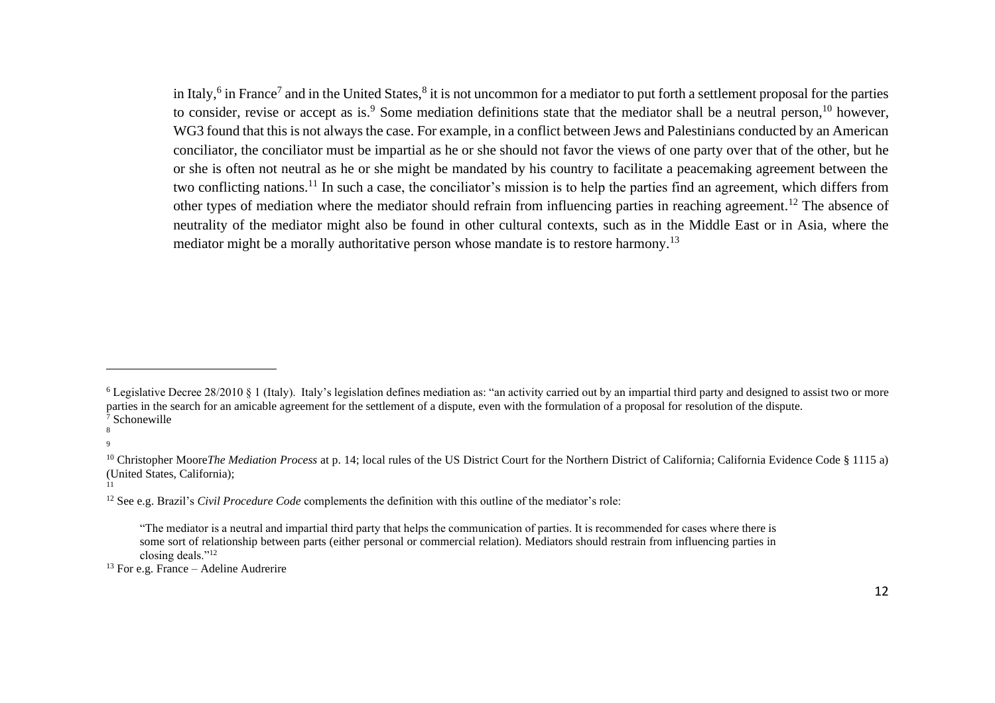in Italy,<sup>6</sup> in France<sup>7</sup> and in the United States,<sup>8</sup> it is not uncommon for a mediator to put forth a settlement proposal for the parties to consider, revise or accept as is.<sup>9</sup> Some mediation definitions state that the mediator shall be a neutral person,<sup>10</sup> however, WG3 found that this is not always the case. For example, in a conflict between Jews and Palestinians conducted by an American conciliator, the conciliator must be impartial as he or she should not favor the views of one party over that of the other, but he or she is often not neutral as he or she might be mandated by his country to facilitate a peacemaking agreement between the two conflicting nations.<sup>11</sup> In such a case, the conciliator's mission is to help the parties find an agreement, which differs from other types of mediation where the mediator should refrain from influencing parties in reaching agreement.<sup>12</sup> The absence of neutrality of the mediator might also be found in other cultural contexts, such as in the Middle East or in Asia, where the mediator might be a morally authoritative person whose mandate is to restore harmony.<sup>13</sup>

8

9

11

 $13$  For e.g. France – Adeline Audrerire

<sup>6</sup> Legislative Decree 28/2010 § 1 (Italy). Italy's legislation defines mediation as: "an activity carried out by an impartial third party and designed to assist two or more parties in the search for an amicable agreement for the settlement of a dispute, even with the formulation of a proposal for resolution of the dispute. <sup>7</sup> Schonewille

<sup>&</sup>lt;sup>10</sup> Christopher Moore*The Mediation Process* at p. 14; local rules of the US District Court for the Northern District of California; California Evidence Code § 1115 a) (United States, California);

<sup>12</sup> See e.g. Brazil's *Civil Procedure Code* complements the definition with this outline of the mediator's role:

<sup>&</sup>quot;The mediator is a neutral and impartial third party that helps the communication of parties. It is recommended for cases where there is some sort of relationship between parts (either personal or commercial relation). Mediators should restrain from influencing parties in closing deals."<sup>12</sup>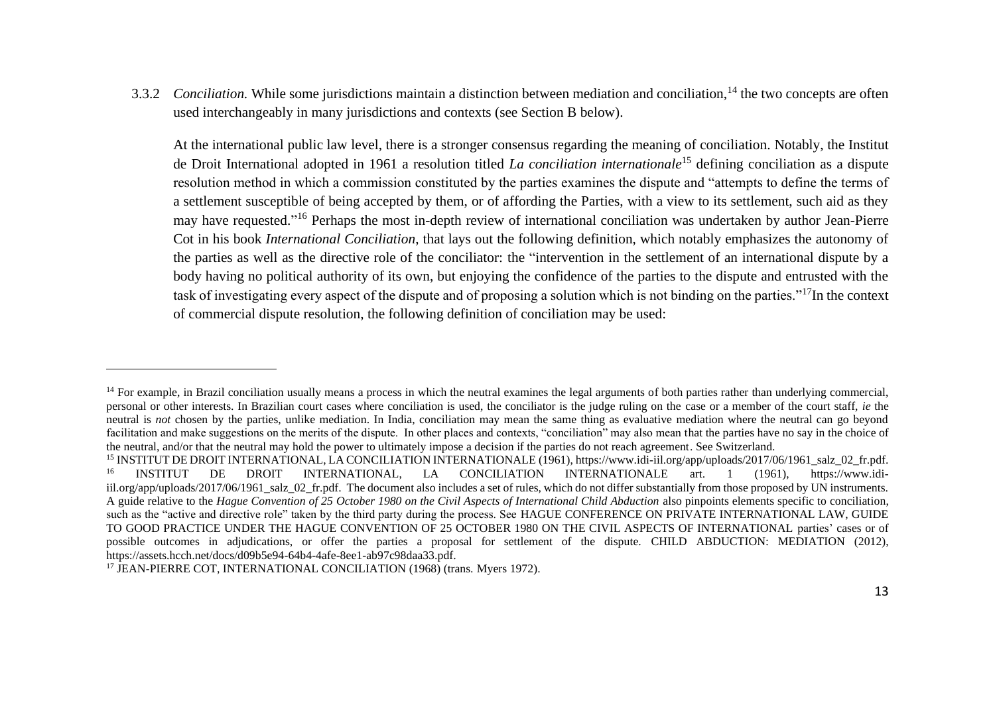3.3.2 *Conciliation*. While some jurisdictions maintain a distinction between mediation and conciliation,<sup>14</sup> the two concepts are often used interchangeably in many jurisdictions and contexts (see Section B below).

At the international public law level, there is a stronger consensus regarding the meaning of conciliation. Notably, the Institut de Droit International adopted in 1961 a resolution titled *La conciliation internationale*<sup>15</sup> defining conciliation as a dispute resolution method in which a commission constituted by the parties examines the dispute and "attempts to define the terms of a settlement susceptible of being accepted by them, or of affording the Parties, with a view to its settlement, such aid as they may have requested."<sup>16</sup> Perhaps the most in-depth review of international conciliation was undertaken by author Jean-Pierre Cot in his book *International Conciliation*, that lays out the following definition, which notably emphasizes the autonomy of the parties as well as the directive role of the conciliator: the "intervention in the settlement of an international dispute by a body having no political authority of its own, but enjoying the confidence of the parties to the dispute and entrusted with the task of investigating every aspect of the dispute and of proposing a solution which is not binding on the parties."<sup>17</sup>In the context of commercial dispute resolution, the following definition of conciliation may be used:

<sup>&</sup>lt;sup>14</sup> For example, in Brazil conciliation usually means a process in which the neutral examines the legal arguments of both parties rather than underlying commercial, personal or other interests. In Brazilian court cases where conciliation is used, the conciliator is the judge ruling on the case or a member of the court staff, *ie* the neutral is *not* chosen by the parties, unlike mediation. In India, conciliation may mean the same thing as evaluative mediation where the neutral can go beyond facilitation and make suggestions on the merits of the dispute. In other places and contexts, "conciliation" may also mean that the parties have no say in the choice of the neutral, and/or that the neutral may hold the power to ultimately impose a decision if the parties do not reach agreement. See Switzerland.

<sup>&</sup>lt;sup>15</sup> INSTITUT DE DROIT INTERNATIONAL, LA CONCILIATION INTERNATIONALE (1961), https://www.idi-iil.org/app/uploads/2017/06/1961\_salz\_02\_fr.pdf.<br><sup>16</sup> INSTITUTE DE DROIT INTERNATIONAL LA CONCILIATION INTERNATIONALE art 1 (1961 <sup>16</sup> INSTITUT DE DROIT INTERNATIONAL, LA CONCILIATION INTERNATIONALE art. 1 (1961), https://www.idiiil.org/app/uploads/2017/06/1961\_salz\_02\_fr.pdf. The document also includes a set of rules, which do not differ substantially from those proposed by UN instruments. A guide relative to the *Hague Convention of 25 October 1980 on the Civil Aspects of International Child Abduction* also pinpoints elements specific to conciliation, such as the "active and directive role" taken by the third party during the process. See HAGUE CONFERENCE ON PRIVATE INTERNATIONAL LAW, GUIDE TO GOOD PRACTICE UNDER THE HAGUE CONVENTION OF 25 OCTOBER 1980 ON THE CIVIL ASPECTS OF INTERNATIONAL parties' cases or of possible outcomes in adjudications, or offer the parties a proposal for settlement of the dispute. CHILD ABDUCTION: MEDIATION (2012), https://assets.hcch.net/docs/d09b5e94-64b4-4afe-8ee1-ab97c98daa33.pdf.

<sup>&</sup>lt;sup>17</sup> JEAN-PIERRE COT, INTERNATIONAL CONCILIATION (1968) (trans. Myers 1972).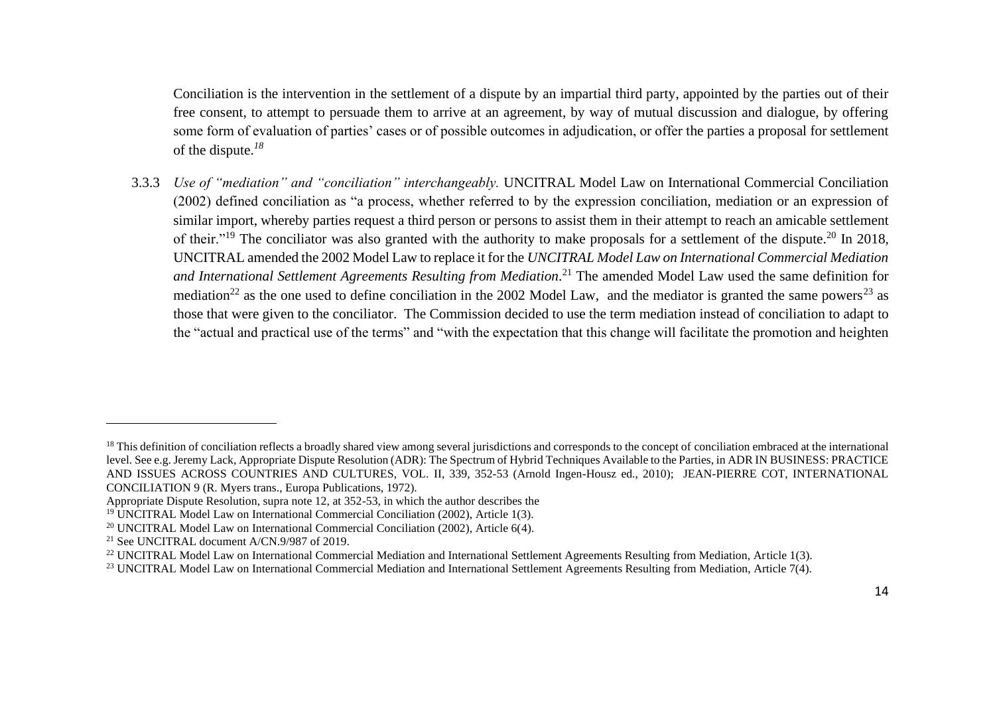Conciliation is the intervention in the settlement of a dispute by an impartial third party, appointed by the parties out of their free consent, to attempt to persuade them to arrive at an agreement, by way of mutual discussion and dialogue, by offering some form of evaluation of parties' cases or of possible outcomes in adjudication, or offer the parties a proposal for settlement of the dispute. *18*

3.3.3 *Use of "mediation" and "conciliation" interchangeably.* UNCITRAL Model Law on International Commercial Conciliation (2002) defined conciliation as "a process, whether referred to by the expression conciliation, mediation or an expression of similar import, whereby parties request a third person or persons to assist them in their attempt to reach an amicable settlement of their."<sup>19</sup> The conciliator was also granted with the authority to make proposals for a settlement of the dispute.<sup>20</sup> In 2018, UNCITRAL amended the 2002 Model Law to replace it for the *UNCITRAL Model Law on International Commercial Mediation*  and International Settlement Agreements Resulting from Mediation.<sup>21</sup> The amended Model Law used the same definition for mediation<sup>22</sup> as the one used to define conciliation in the 2002 Model Law, and the mediator is granted the same powers<sup>23</sup> as those that were given to the conciliator. The Commission decided to use the term mediation instead of conciliation to adapt to the "actual and practical use of the terms" and "with the expectation that this change will facilitate the promotion and heighten

<sup>&</sup>lt;sup>18</sup> This definition of conciliation reflects a broadly shared view among several jurisdictions and corresponds to the concept of conciliation embraced at the international level. See e.g. Jeremy Lack, Appropriate Dispute Resolution (ADR): The Spectrum of Hybrid Techniques Available to the Parties, in ADR IN BUSINESS: PRACTICE AND ISSUES ACROSS COUNTRIES AND CULTURES, VOL. II, 339, 352-53 (Arnold Ingen-Housz ed., 2010); JEAN-PIERRE COT, INTERNATIONAL CONCILIATION 9 (R. Myers trans., Europa Publications, 1972).

Appropriate Dispute Resolution, supra note 12, at 352-53, in which the author describes the

<sup>&</sup>lt;sup>19</sup> UNCITRAL Model Law on International Commercial Conciliation (2002), Article 1(3).

<sup>&</sup>lt;sup>20</sup> UNCITRAL Model Law on International Commercial Conciliation (2002), Article  $6(4)$ .

<sup>21</sup> See UNCITRAL document A/CN.9/987 of 2019.

<sup>&</sup>lt;sup>22</sup> UNCITRAL Model Law on International Commercial Mediation and International Settlement Agreements Resulting from Mediation, Article 1(3).

<sup>&</sup>lt;sup>23</sup> UNCITRAL Model Law on International Commercial Mediation and International Settlement Agreements Resulting from Mediation, Article 7(4).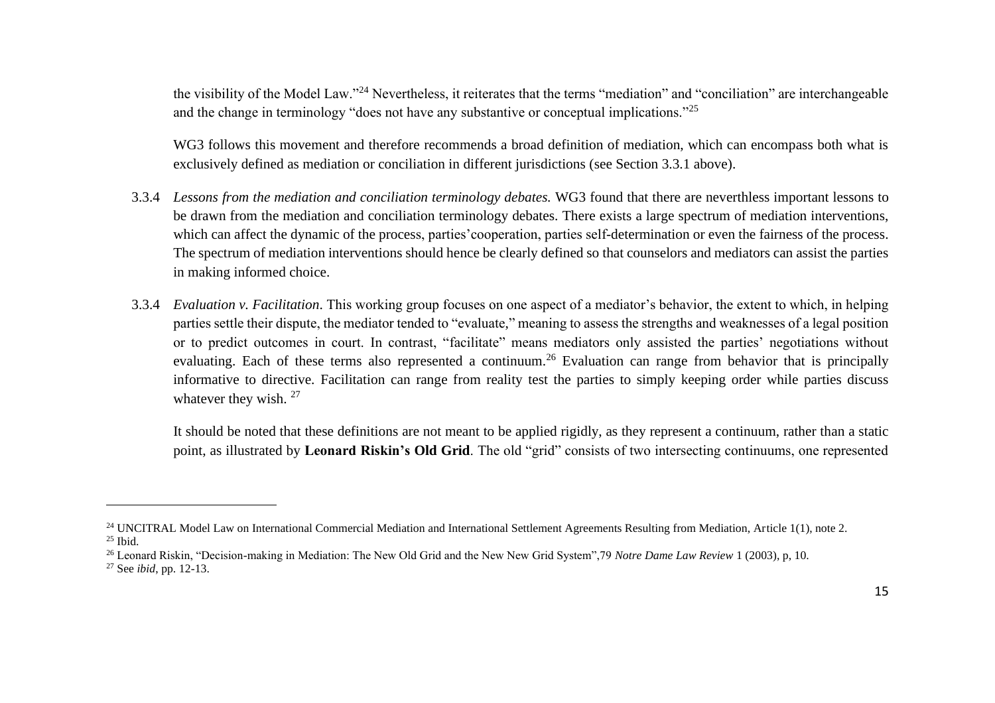the visibility of the Model Law."<sup>24</sup> Nevertheless, it reiterates that the terms "mediation" and "conciliation" are interchangeable and the change in terminology "does not have any substantive or conceptual implications."<sup>25</sup>

WG3 follows this movement and therefore recommends a broad definition of mediation, which can encompass both what is exclusively defined as mediation or conciliation in different jurisdictions (see Section 3.3.1 above).

- 3.3.4 *Lessons from the mediation and conciliation terminology debates.* WG3 found that there are neverthless important lessons to be drawn from the mediation and conciliation terminology debates. There exists a large spectrum of mediation interventions, which can affect the dynamic of the process, parties' cooperation, parties self-determination or even the fairness of the process. The spectrum of mediation interventions should hence be clearly defined so that counselors and mediators can assist the parties in making informed choice.
- 3.3.4 *Evaluation v. Facilitation*. This working group focuses on one aspect of a mediator's behavior, the extent to which, in helping parties settle their dispute, the mediator tended to "evaluate," meaning to assess the strengths and weaknesses of a legal position or to predict outcomes in court. In contrast, "facilitate" means mediators only assisted the parties' negotiations without evaluating. Each of these terms also represented a continuum.<sup>26</sup> Evaluation can range from behavior that is principally informative to directive. Facilitation can range from reality test the parties to simply keeping order while parties discuss whatever they wish. <sup>27</sup>

It should be noted that these definitions are not meant to be applied rigidly, as they represent a continuum, rather than a static point, as illustrated by **Leonard Riskin's Old Grid**. The old "grid" consists of two intersecting continuums, one represented

<sup>&</sup>lt;sup>24</sup> UNCITRAL Model Law on International Commercial Mediation and International Settlement Agreements Resulting from Mediation, Article 1(1), note 2. <sup>25</sup> Ibid.

<sup>26</sup> Leonard Riskin, "Decision-making in Mediation: The New Old Grid and the New New Grid System",79 *Notre Dame Law Review* 1 (2003), p, 10.

<sup>27</sup> See *ibid*, pp. 12-13.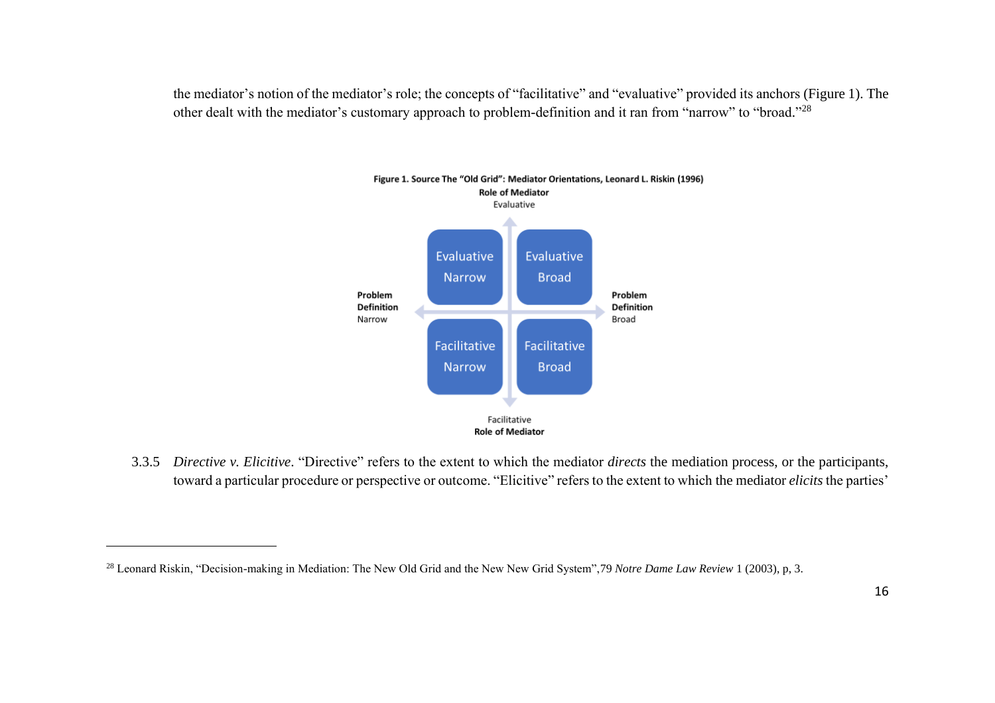the mediator's notion of the mediator's role; the concepts of "facilitative" and "evaluative" provided its anchors (Figure 1). The other dealt with the mediator's customary approach to problem-definition and it ran from "narrow" to "broad."<sup>28</sup>



3.3.5 *Directive v. Elicitive*. "Directive" refers to the extent to which the mediator *directs* the mediation process, or the participants, toward a particular procedure or perspective or outcome. "Elicitive" refers to the extent to which the mediator *elicits* the parties'

<sup>&</sup>lt;sup>28</sup> Leonard Riskin, "Decision-making in Mediation: The New Old Grid and the New New Grid System",79 Notre Dame Law Review 1 (2003), p, 3.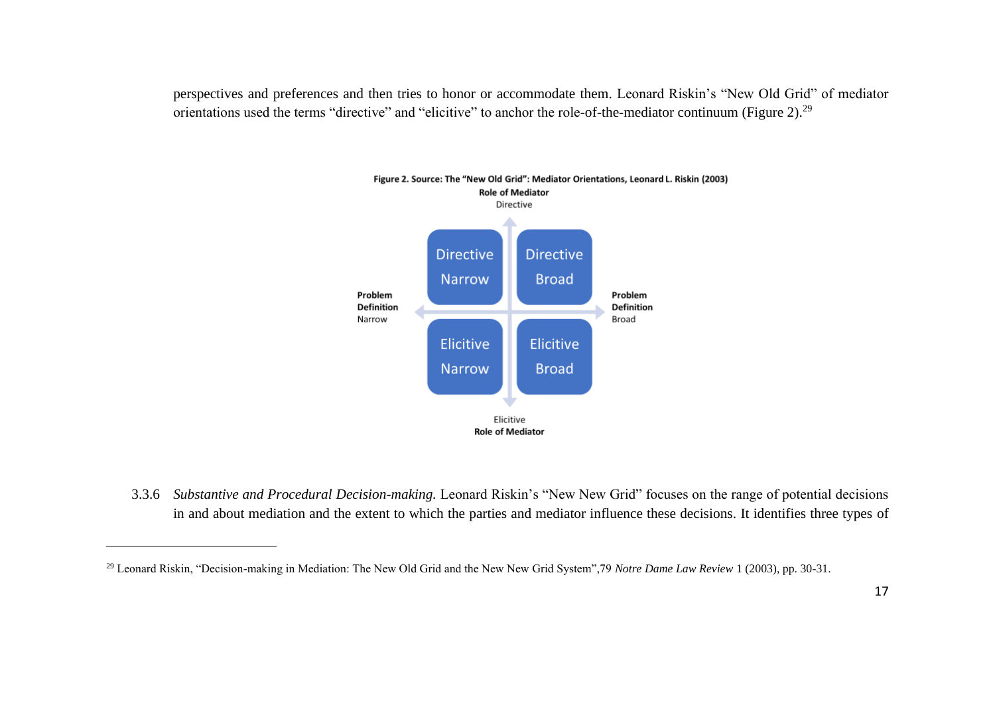perspectives and preferences and then tries to honor or accommodate them. Leonard Riskin's "New Old Grid" of mediator orientations used the terms "directive" and "elicitive" to anchor the role-of-the-mediator continuum (Figure 2).<sup>29</sup>



3.3.6 *Substantive and Procedural Decision-making.* Leonard Riskin's "New New Grid" focuses on the range of potential decisions in and about mediation and the extent to which the parties and mediator influence these decisions. It identifies three types of

<sup>29</sup> Leonard Riskin, "Decision-making in Mediation: The New Old Grid and the New New Grid System",79 *Notre Dame Law Review* 1 (2003), pp. 30-31.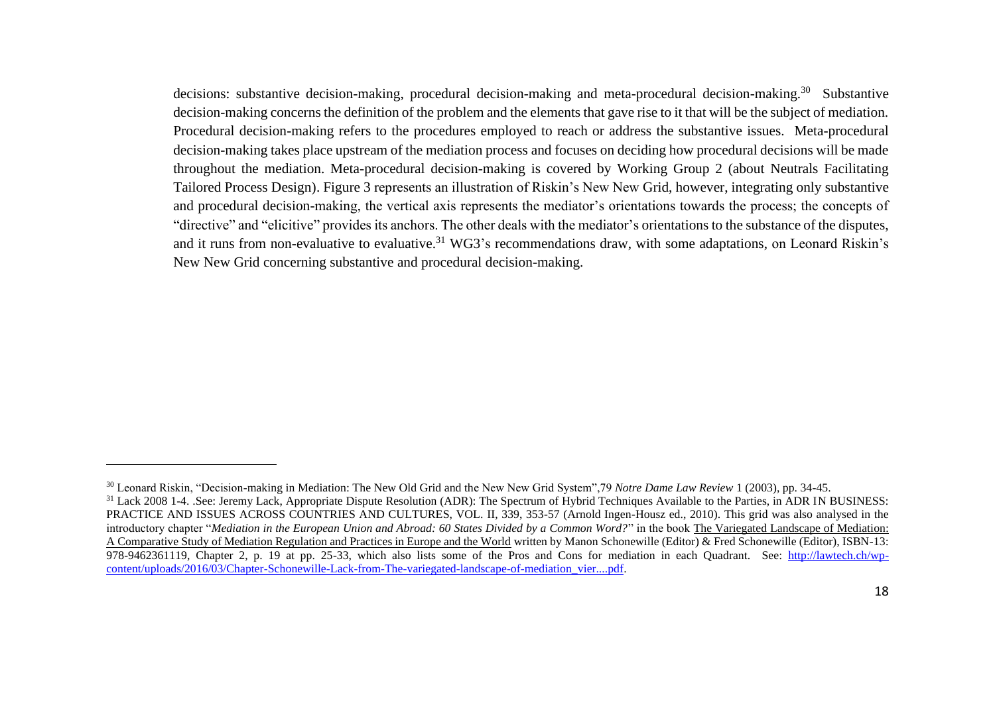decisions: substantive decision-making, procedural decision-making and meta-procedural decision-making.<sup>30</sup> Substantive decision-making concerns the definition of the problem and the elements that gave rise to it that will be the subject of mediation. Procedural decision-making refers to the procedures employed to reach or address the substantive issues. Meta-procedural decision-making takes place upstream of the mediation process and focuses on deciding how procedural decisions will be made throughout the mediation. Meta-procedural decision-making is covered by Working Group 2 (about Neutrals Facilitating Tailored Process Design). Figure 3 represents an illustration of Riskin's New New Grid, however, integrating only substantive and procedural decision-making, the vertical axis represents the mediator's orientations towards the process; the concepts of "directive" and "elicitive" provides its anchors. The other deals with the mediator's orientations to the substance of the disputes, and it runs from non-evaluative to evaluative.<sup>31</sup> WG3's recommendations draw, with some adaptations, on Leonard Riskin's New New Grid concerning substantive and procedural decision-making.

<sup>30</sup> Leonard Riskin, "Decision-making in Mediation: The New Old Grid and the New New Grid System",79 *Notre Dame Law Review* 1 (2003), pp. 34-45. <sup>31</sup> Lack 2008 1-4. .See: Jeremy Lack, Appropriate Dispute Resolution (ADR): The Spectrum of Hybrid Techniques Available to the Parties, in ADR IN BUSINESS: PRACTICE AND ISSUES ACROSS COUNTRIES AND CULTURES, VOL. II, 339, 353-57 (Arnold Ingen-Housz ed., 2010). This grid was also analysed in the introductory chapter "*Mediation in the European Union and Abroad: 60 States Divided by a Common Word?*" in the book The Variegated Landscape of Mediation: A Comparative Study of Mediation Regulation and Practices in Europe and the World written by Manon Schonewille (Editor) & Fred Schonewille (Editor), ISBN-13: 978-9462361119, Chapter 2, p. 19 at pp. 25-33, which also lists some of the Pros and Cons for mediation in each Quadrant. See: [http://lawtech.ch/wp](http://lawtech.ch/wp-content/uploads/2016/03/Chapter-Schonewille-Lack-from-The-variegated-landscape-of-mediation_vier....pdf)[content/uploads/2016/03/Chapter-Schonewille-Lack-from-The-variegated-landscape-of-mediation\\_vier....pdf.](http://lawtech.ch/wp-content/uploads/2016/03/Chapter-Schonewille-Lack-from-The-variegated-landscape-of-mediation_vier....pdf)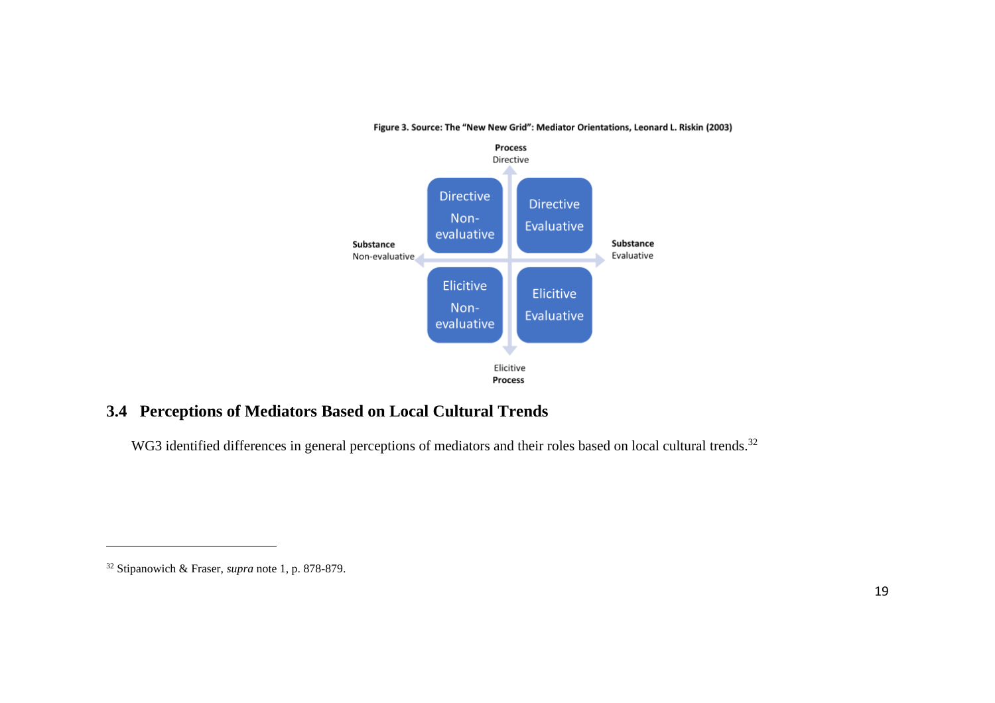

#### Figure 3. Source: The "New New Grid": Mediator Orientations, Leonard L. Riskin (2003)

## <span id="page-18-0"></span>**3.4 Perceptions of Mediators Based on Local Cultural Trends**

WG3 identified differences in general perceptions of mediators and their roles based on local cultural trends.<sup>32</sup>

<sup>32</sup> Stipanowich & Fraser, *supra* note 1, p. 878-879.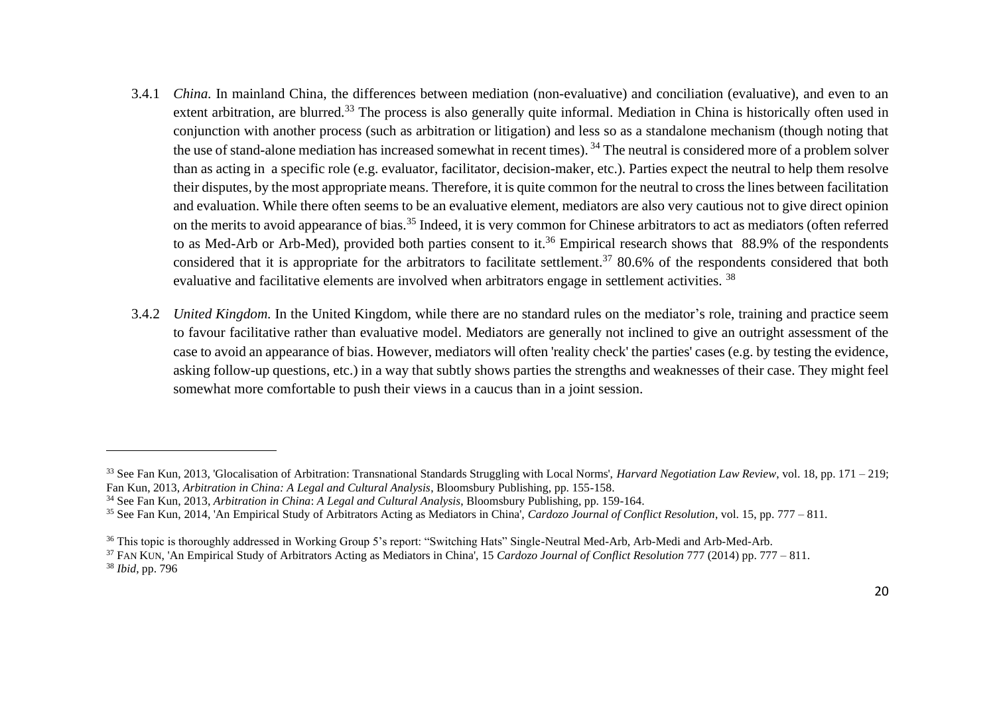- 3.4.1 *China.* In mainland China, the differences between mediation (non-evaluative) and conciliation (evaluative), and even to an extent arbitration, are blurred.<sup>33</sup> The process is also generally quite informal. Mediation in China is historically often used in conjunction with another process (such as arbitration or litigation) and less so as a standalone mechanism (though noting that the use of stand-alone mediation has increased somewhat in recent times). <sup>34</sup> The neutral is considered more of a problem solver than as acting in a specific role (e.g. evaluator, facilitator, decision-maker, etc.). Parties expect the neutral to help them resolve their disputes, by the most appropriate means. Therefore, it is quite common for the neutral to cross the lines between facilitation and evaluation. While there often seems to be an evaluative element, mediators are also very cautious not to give direct opinion on the merits to avoid appearance of bias.<sup>35</sup> Indeed, it is very common for Chinese arbitrators to act as mediators (often referred to as Med-Arb or Arb-Med), provided both parties consent to it.<sup>36</sup> Empirical research shows that 88.9% of the respondents considered that it is appropriate for the arbitrators to facilitate settlement.<sup>37</sup> 80.6% of the respondents considered that both evaluative and facilitative elements are involved when arbitrators engage in settlement activities. <sup>38</sup>
- 3.4.2 *United Kingdom.* In the United Kingdom, while there are no standard rules on the mediator's role, training and practice seem to favour facilitative rather than evaluative model. Mediators are generally not inclined to give an outright assessment of the case to avoid an appearance of bias. However, mediators will often 'reality check' the parties' cases (e.g. by testing the evidence, asking follow-up questions, etc.) in a way that subtly shows parties the strengths and weaknesses of their case. They might feel somewhat more comfortable to push their views in a caucus than in a joint session.

<sup>33</sup> See Fan Kun, 2013, 'Glocalisation of Arbitration: Transnational Standards Struggling with Local Norms', *Harvard Negotiation Law Review*, vol. 18, pp. 171 – 219; Fan Kun, 2013, *Arbitration in China: A Legal and Cultural Analysis*, Bloomsbury Publishing, pp. 155-158.

<sup>34</sup> See Fan Kun, 2013, *Arbitration in China*: *A Legal and Cultural Analysis*, Bloomsbury Publishing, pp. 159-164.

<sup>35</sup> See Fan Kun, 2014, 'An Empirical Study of Arbitrators Acting as Mediators in China', *Cardozo Journal of Conflict Resolution*, vol. 15, pp. 777 – 811.

<sup>36</sup> This topic is thoroughly addressed in Working Group 5's report: "Switching Hats" Single-Neutral Med-Arb, Arb-Medi and Arb-Med-Arb.

<sup>37</sup> FAN KUN, 'An Empirical Study of Arbitrators Acting as Mediators in China', 15 *Cardozo Journal of Conflict Resolution* 777 (2014) pp. 777 – 811. <sup>38</sup> *Ibid*, pp. 796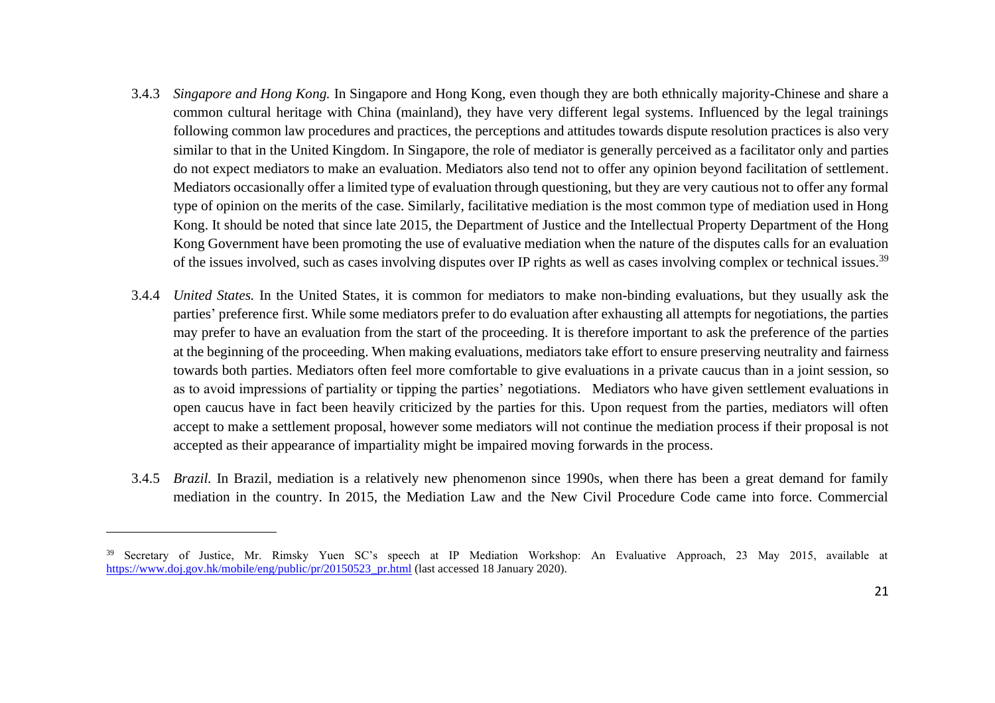- 3.4.3 *Singapore and Hong Kong.* In Singapore and Hong Kong, even though they are both ethnically majority-Chinese and share a common cultural heritage with China (mainland), they have very different legal systems. Influenced by the legal trainings following common law procedures and practices, the perceptions and attitudes towards dispute resolution practices is also very similar to that in the United Kingdom. In Singapore, the role of mediator is generally perceived as a facilitator only and parties do not expect mediators to make an evaluation. Mediators also tend not to offer any opinion beyond facilitation of settlement. Mediators occasionally offer a limited type of evaluation through questioning, but they are very cautious not to offer any formal type of opinion on the merits of the case. Similarly, facilitative mediation is the most common type of mediation used in Hong Kong. It should be noted that since late 2015, the Department of Justice and the Intellectual Property Department of the Hong Kong Government have been promoting the use of evaluative mediation when the nature of the disputes calls for an evaluation of the issues involved, such as cases involving disputes over IP rights as well as cases involving complex or technical issues.<sup>39</sup>
- 3.4.4 *United States.* In the United States, it is common for mediators to make non-binding evaluations, but they usually ask the parties' preference first. While some mediators prefer to do evaluation after exhausting all attempts for negotiations, the parties may prefer to have an evaluation from the start of the proceeding. It is therefore important to ask the preference of the parties at the beginning of the proceeding. When making evaluations, mediators take effort to ensure preserving neutrality and fairness towards both parties. Mediators often feel more comfortable to give evaluations in a private caucus than in a joint session, so as to avoid impressions of partiality or tipping the parties' negotiations. Mediators who have given settlement evaluations in open caucus have in fact been heavily criticized by the parties for this. Upon request from the parties, mediators will often accept to make a settlement proposal, however some mediators will not continue the mediation process if their proposal is not accepted as their appearance of impartiality might be impaired moving forwards in the process.
- 3.4.5 *Brazil.* In Brazil, mediation is a relatively new phenomenon since 1990s, when there has been a great demand for family mediation in the country. In 2015, the Mediation Law and the New Civil Procedure Code came into force. Commercial

<sup>&</sup>lt;sup>39</sup> Secretary of Justice, Mr. Rimsky Yuen SC's speech at IP Mediation Workshop: An Evaluative Approach, 23 May 2015, available at [https://www.doj.gov.hk/mobile/eng/public/pr/20150523\\_pr.html](https://www.doj.gov.hk/mobile/eng/public/pr/20150523_pr.html) (last accessed 18 January 2020).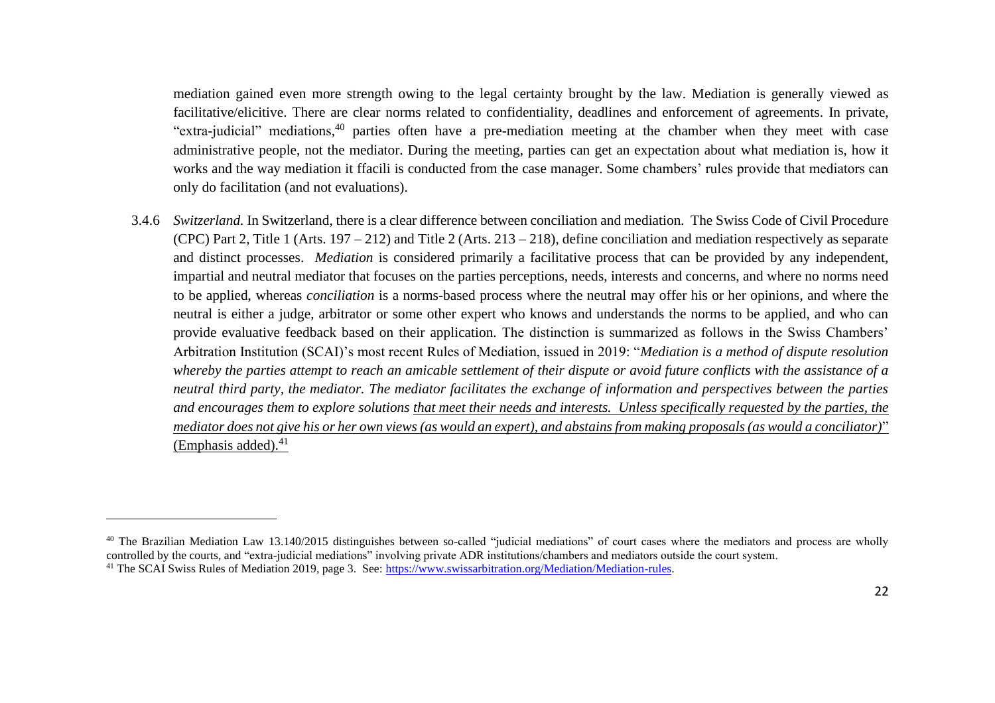mediation gained even more strength owing to the legal certainty brought by the law. Mediation is generally viewed as facilitative/elicitive. There are clear norms related to confidentiality, deadlines and enforcement of agreements. In private, "extra-judicial" mediations,<sup>40</sup> parties often have a pre-mediation meeting at the chamber when they meet with case administrative people, not the mediator. During the meeting, parties can get an expectation about what mediation is, how it works and the way mediation it ffacili is conducted from the case manager. Some chambers' rules provide that mediators can only do facilitation (and not evaluations).

3.4.6 *Switzerland.* In Switzerland, there is a clear difference between conciliation and mediation. The Swiss Code of Civil Procedure (CPC) Part 2, Title 1 (Arts. 197 – 212) and Title 2 (Arts. 213 – 218), define conciliation and mediation respectively as separate and distinct processes. *Mediation* is considered primarily a facilitative process that can be provided by any independent, impartial and neutral mediator that focuses on the parties perceptions, needs, interests and concerns, and where no norms need to be applied, whereas *conciliation* is a norms-based process where the neutral may offer his or her opinions, and where the neutral is either a judge, arbitrator or some other expert who knows and understands the norms to be applied, and who can provide evaluative feedback based on their application. The distinction is summarized as follows in the Swiss Chambers' Arbitration Institution (SCAI)'s most recent Rules of Mediation, issued in 2019: "*Mediation is a method of dispute resolution whereby the parties attempt to reach an amicable settlement of their dispute or avoid future conflicts with the assistance of a neutral third party, the mediator. The mediator facilitates the exchange of information and perspectives between the parties and encourages them to explore solutions that meet their needs and interests. Unless specifically requested by the parties, the mediator does not give his or her own views (as would an expert), and abstains from making proposals (as would a conciliator)*" (Emphasis added).<sup>41</sup>

<sup>&</sup>lt;sup>40</sup> The Brazilian Mediation Law 13.140/2015 distinguishes between so-called "judicial mediations" of court cases where the mediators and process are wholly controlled by the courts, and "extra-judicial mediations" involving private ADR institutions/chambers and mediators outside the court system. <sup>41</sup> The SCAI Swiss Rules of Mediation 2019, page 3. See: [https://www.swissarbitration.org/Mediation/Mediation-rules.](https://www.swissarbitration.org/Mediation/Mediation-rules)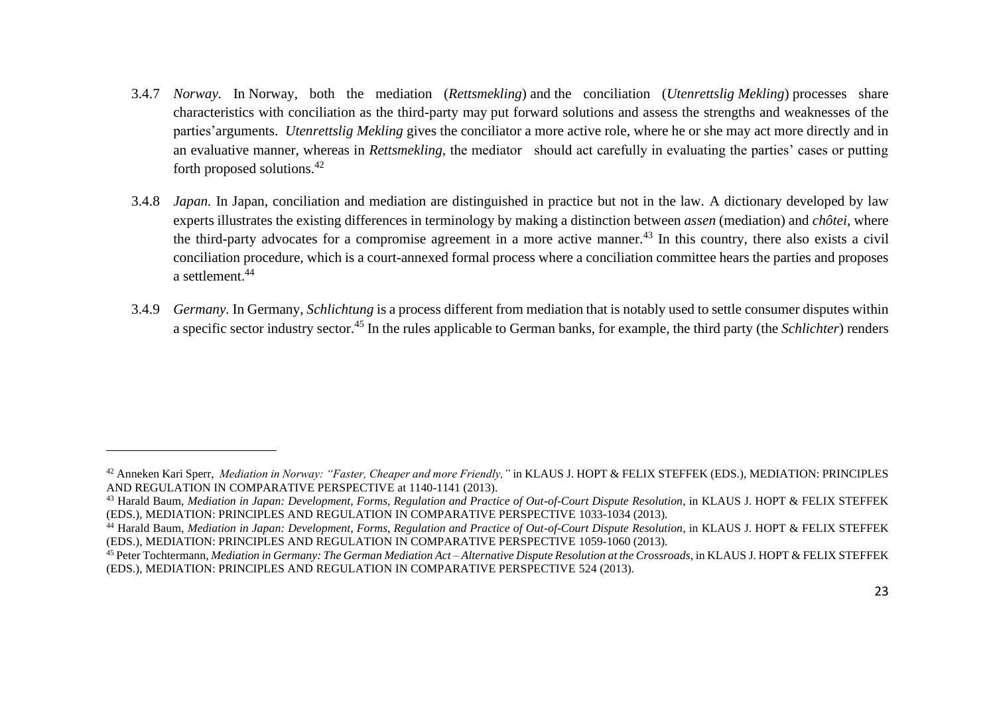- 3.4.7 *Norway.* In Norway, both the mediation (*Rettsmekling*) and the conciliation (*Utenrettslig Mekling*) processes share characteristics with conciliation as the third-party may put forward solutions and assess the strengths and weaknesses of the parties'arguments. *Utenrettslig Mekling* gives the conciliator a more active role, where he or she may act more directly and in an evaluative manner, whereas in *Rettsmekling,* the mediator should act carefully in evaluating the parties' cases or putting forth proposed solutions.<sup>42</sup>
- 3.4.8 *Japan.* In Japan, conciliation and mediation are distinguished in practice but not in the law. A dictionary developed by law experts illustrates the existing differences in terminology by making a distinction between *assen* (mediation) and *chôtei*, where the third-party advocates for a compromise agreement in a more active manner.<sup>43</sup> In this country, there also exists a civil conciliation procedure, which is a court-annexed formal process where a conciliation committee hears the parties and proposes a settlement.<sup>44</sup>
- 3.4.9 *Germany.* In Germany, *Schlichtung* is a process different from mediation that is notably used to settle consumer disputes within a specific sector industry sector. <sup>45</sup> In the rules applicable to German banks, for example, the third party (the *Schlichter*) renders

<sup>42</sup> Anneken Kari Sperr, *Mediation in Norway: "Faster, Cheaper and more Friendly,"* in KLAUS J. HOPT & FELIX STEFFEK (EDS.), MEDIATION: PRINCIPLES AND REGULATION IN COMPARATIVE PERSPECTIVE at 1140-1141 (2013).

<sup>&</sup>lt;sup>43</sup> Harald Baum, *Mediation in Japan: Development, Forms, Regulation and Practice of Out-of-Court Dispute Resolution, in KLAUS J. HOPT & FELIX STEFFEK* (EDS.), MEDIATION: PRINCIPLES AND REGULATION IN COMPARATIVE PERSPECTIVE 1033-1034 (2013).

<sup>&</sup>lt;sup>44</sup> Harald Baum, *Mediation in Japan: Development, Forms, Regulation and Practice of Out-of-Court Dispute Resolution, in KLAUS J. HOPT & FELIX STEFFEK* (EDS.), MEDIATION: PRINCIPLES AND REGULATION IN COMPARATIVE PERSPECTIVE 1059-1060 (2013).

<sup>45</sup> Peter Tochtermann, *Mediation in Germany: The German Mediation Act – Alternative Dispute Resolution at the Crossroads*, in KLAUS J. HOPT & FELIX STEFFEK (EDS.), MEDIATION: PRINCIPLES AND REGULATION IN COMPARATIVE PERSPECTIVE 524 (2013).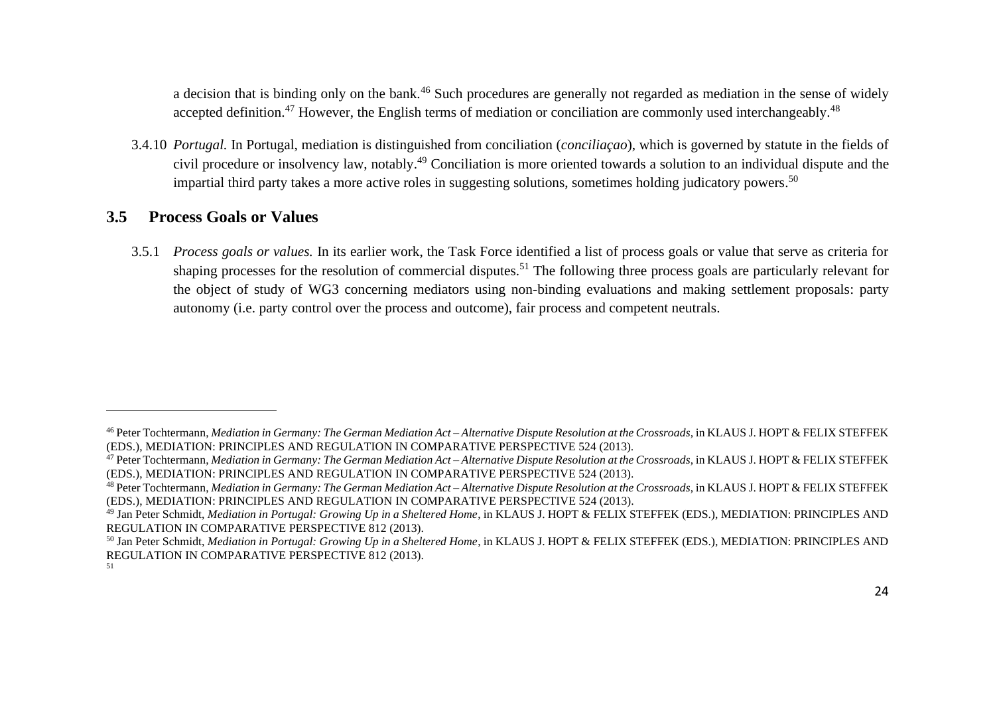a decision that is binding only on the bank.<sup>46</sup> Such procedures are generally not regarded as mediation in the sense of widely accepted definition.<sup>47</sup> However, the English terms of mediation or conciliation are commonly used interchangeably.<sup>48</sup>

3.4.10 *Portugal.* In Portugal, mediation is distinguished from conciliation (*conciliaçao*), which is governed by statute in the fields of civil procedure or insolvency law, notably. <sup>49</sup> Conciliation is more oriented towards a solution to an individual dispute and the impartial third party takes a more active roles in suggesting solutions, sometimes holding judicatory powers.<sup>50</sup>

#### <span id="page-23-0"></span>**3.5 Process Goals or Values**

3.5.1 *Process goals or values.* In its earlier work, the Task Force identified a list of process goals or value that serve as criteria for shaping processes for the resolution of commercial disputes.<sup>51</sup> The following three process goals are particularly relevant for the object of study of WG3 concerning mediators using non-binding evaluations and making settlement proposals: party autonomy (i.e. party control over the process and outcome), fair process and competent neutrals.

<sup>46</sup> Peter Tochtermann, *Mediation in Germany: The German Mediation Act – Alternative Dispute Resolution at the Crossroads*, in KLAUS J. HOPT & FELIX STEFFEK (EDS.), MEDIATION: PRINCIPLES AND REGULATION IN COMPARATIVE PERSPECTIVE 524 (2013).

<sup>47</sup> Peter Tochtermann, *Mediation in Germany: The German Mediation Act – Alternative Dispute Resolution at the Crossroads*, in KLAUS J. HOPT & FELIX STEFFEK (EDS.), MEDIATION: PRINCIPLES AND REGULATION IN COMPARATIVE PERSPECTIVE 524 (2013).

<sup>48</sup> Peter Tochtermann, *Mediation in Germany: The German Mediation Act – Alternative Dispute Resolution at the Crossroads*, in KLAUS J. HOPT & FELIX STEFFEK (EDS.), MEDIATION: PRINCIPLES AND REGULATION IN COMPARATIVE PERSPECTIVE 524 (2013).

<sup>49</sup> Jan Peter Schmidt, *Mediation in Portugal: Growing Up in a Sheltered Home*, in KLAUS J. HOPT & FELIX STEFFEK (EDS.), MEDIATION: PRINCIPLES AND REGULATION IN COMPARATIVE PERSPECTIVE 812 (2013).

<sup>50</sup> Jan Peter Schmidt, *Mediation in Portugal: Growing Up in a Sheltered Home*, in KLAUS J. HOPT & FELIX STEFFEK (EDS.), MEDIATION: PRINCIPLES AND REGULATION IN COMPARATIVE PERSPECTIVE 812 (2013).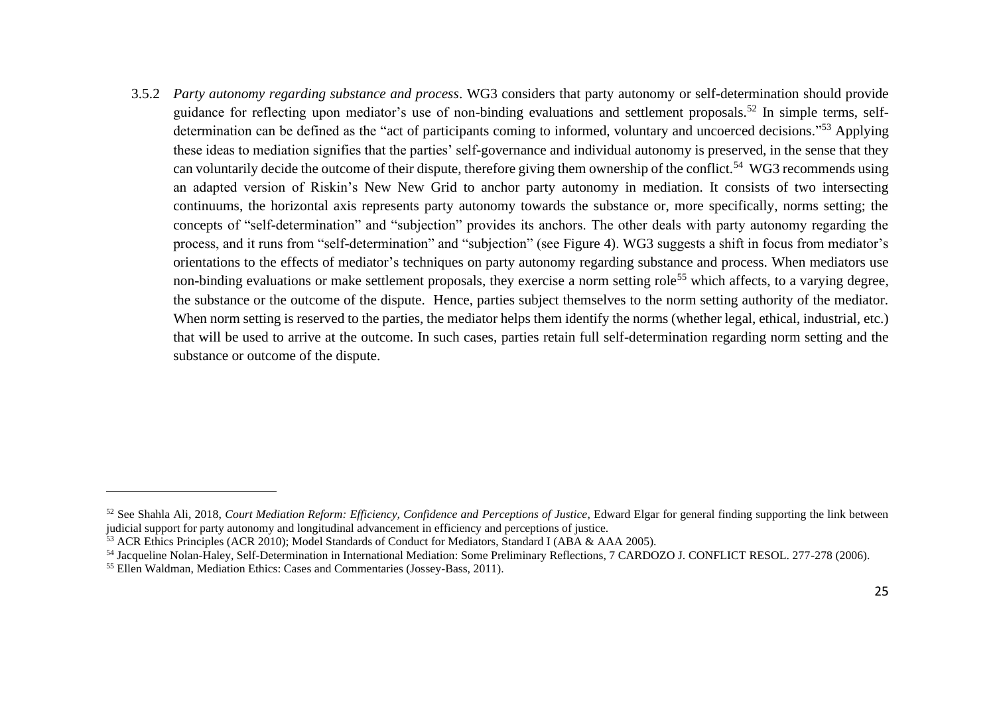3.5.2 *Party autonomy regarding substance and process*. WG3 considers that party autonomy or self-determination should provide guidance for reflecting upon mediator's use of non-binding evaluations and settlement proposals.<sup>52</sup> In simple terms, selfdetermination can be defined as the "act of participants coming to informed, voluntary and uncoerced decisions."<sup>53</sup> Applying these ideas to mediation signifies that the parties' self-governance and individual autonomy is preserved, in the sense that they can voluntarily decide the outcome of their dispute, therefore giving them ownership of the conflict.<sup>54</sup> WG3 recommends using an adapted version of Riskin's New New Grid to anchor party autonomy in mediation. It consists of two intersecting continuums, the horizontal axis represents party autonomy towards the substance or, more specifically, norms setting; the concepts of "self-determination" and "subjection" provides its anchors. The other deals with party autonomy regarding the process, and it runs from "self-determination" and "subjection" (see Figure 4). WG3 suggests a shift in focus from mediator's orientations to the effects of mediator's techniques on party autonomy regarding substance and process. When mediators use non-binding evaluations or make settlement proposals, they exercise a norm setting role<sup>55</sup> which affects, to a varying degree, the substance or the outcome of the dispute. Hence, parties subject themselves to the norm setting authority of the mediator. When norm setting is reserved to the parties, the mediator helps them identify the norms (whether legal, ethical, industrial, etc.) that will be used to arrive at the outcome. In such cases, parties retain full self-determination regarding norm setting and the substance or outcome of the dispute.

<sup>&</sup>lt;sup>52</sup> See Shahla Ali, 2018, *Court Mediation Reform: Efficiency, Confidence and Perceptions of Justice*, Edward Elgar for general finding supporting the link between judicial support for party autonomy and longitudinal advancement in efficiency and perceptions of justice.

<sup>53</sup> ACR Ethics Principles (ACR 2010); Model Standards of Conduct for Mediators, Standard I (ABA & AAA 2005).

<sup>54</sup> Jacqueline Nolan-Haley, Self-Determination in International Mediation: Some Preliminary Reflections, 7 CARDOZO J. CONFLICT RESOL. 277-278 (2006).

<sup>55</sup> Ellen Waldman, Mediation Ethics: Cases and Commentaries (Jossey-Bass, 2011).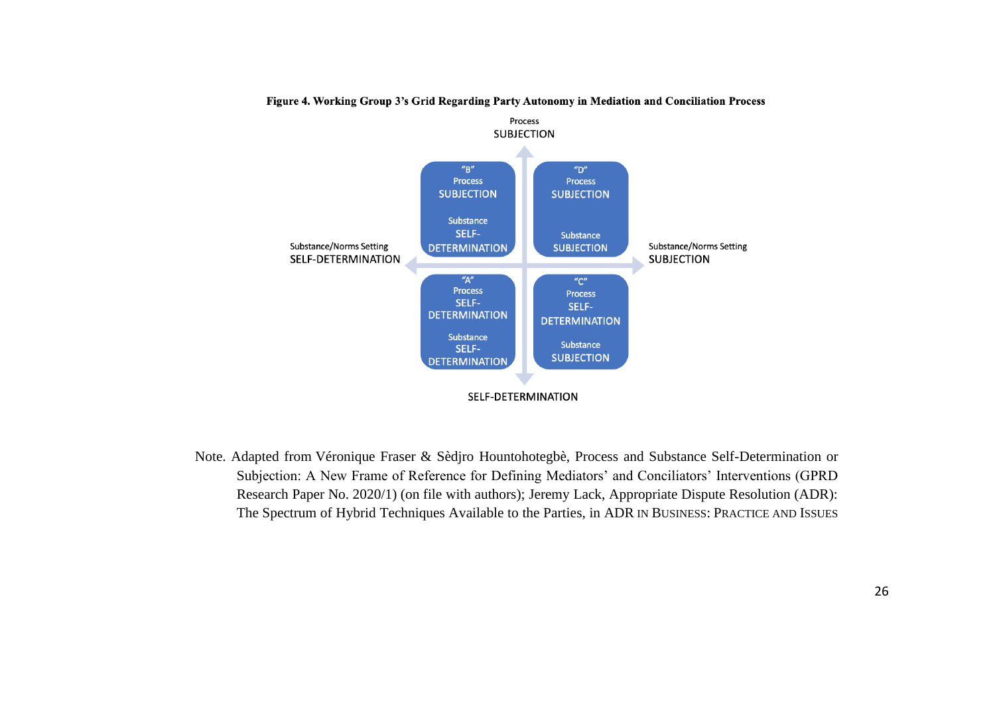

Figure 4. Working Group 3's Grid Regarding Party Autonomy in Mediation and Conciliation Process

Note. Adapted from Véronique Fraser & Sèdjro Hountohotegbè, Process and Substance Self-Determination or Subjection: A New Frame of Reference for Defining Mediators' and Conciliators' Interventions (GPRD Research Paper No. 2020/1) (on file with authors); Jeremy Lack, Appropriate Dispute Resolution (ADR): The Spectrum of Hybrid Techniques Available to the Parties, in ADR IN BUSINESS: PRACTICE AND ISSUES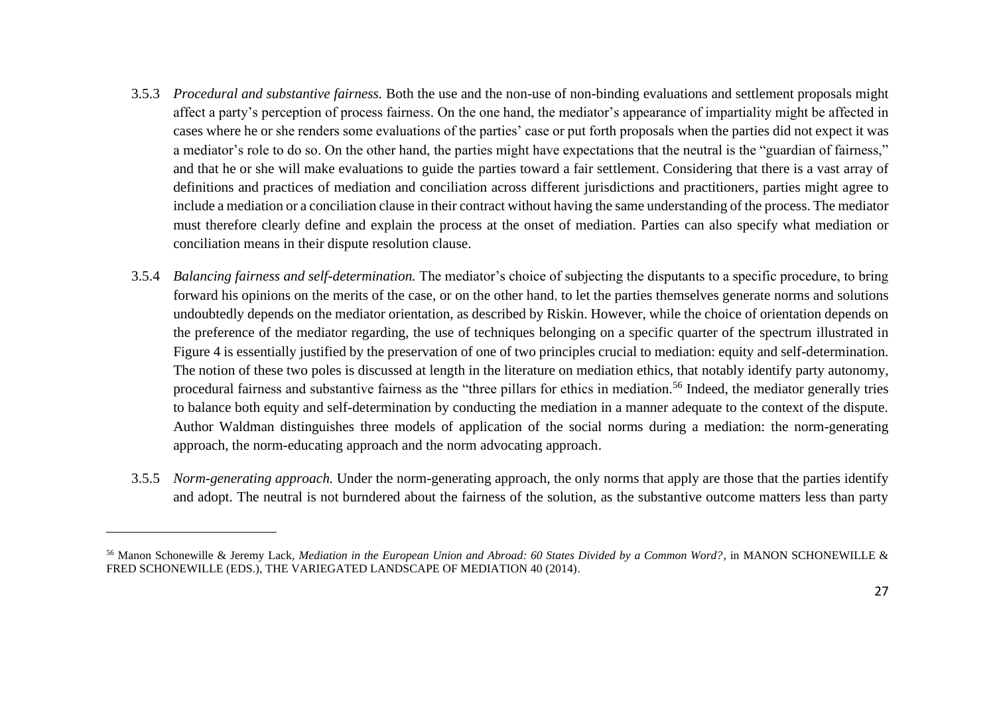- 3.5.3 *Procedural and substantive fairness.* Both the use and the non-use of non-binding evaluations and settlement proposals might affect a party's perception of process fairness. On the one hand, the mediator's appearance of impartiality might be affected in cases where he or she renders some evaluations of the parties' case or put forth proposals when the parties did not expect it was a mediator's role to do so. On the other hand, the parties might have expectations that the neutral is the "guardian of fairness," and that he or she will make evaluations to guide the parties toward a fair settlement. Considering that there is a vast array of definitions and practices of mediation and conciliation across different jurisdictions and practitioners, parties might agree to include a mediation or a conciliation clause in their contract without having the same understanding of the process. The mediator must therefore clearly define and explain the process at the onset of mediation. Parties can also specify what mediation or conciliation means in their dispute resolution clause.
- 3.5.4 *Balancing fairness and self-determination.* The mediator's choice of subjecting the disputants to a specific procedure, to bring forward his opinions on the merits of the case, or on the other hand, to let the parties themselves generate norms and solutions undoubtedly depends on the mediator orientation, as described by Riskin. However, while the choice of orientation depends on the preference of the mediator regarding, the use of techniques belonging on a specific quarter of the spectrum illustrated in Figure 4 is essentially justified by the preservation of one of two principles crucial to mediation: equity and self-determination. The notion of these two poles is discussed at length in the literature on mediation ethics, that notably identify party autonomy, procedural fairness and substantive fairness as the "three pillars for ethics in mediation.<sup>56</sup> Indeed, the mediator generally tries to balance both equity and self-determination by conducting the mediation in a manner adequate to the context of the dispute. Author Waldman distinguishes three models of application of the social norms during a mediation: the norm-generating approach, the norm-educating approach and the norm advocating approach.
- 3.5.5 *Norm-generating approach.* Under the norm-generating approach, the only norms that apply are those that the parties identify and adopt. The neutral is not burndered about the fairness of the solution, as the substantive outcome matters less than party

<sup>56</sup> Manon Schonewille & Jeremy Lack, *Mediation in the European Union and Abroad: 60 States Divided by a Common Word?*, in MANON SCHONEWILLE & FRED SCHONEWILLE (EDS.), THE VARIEGATED LANDSCAPE OF MEDIATION 40 (2014).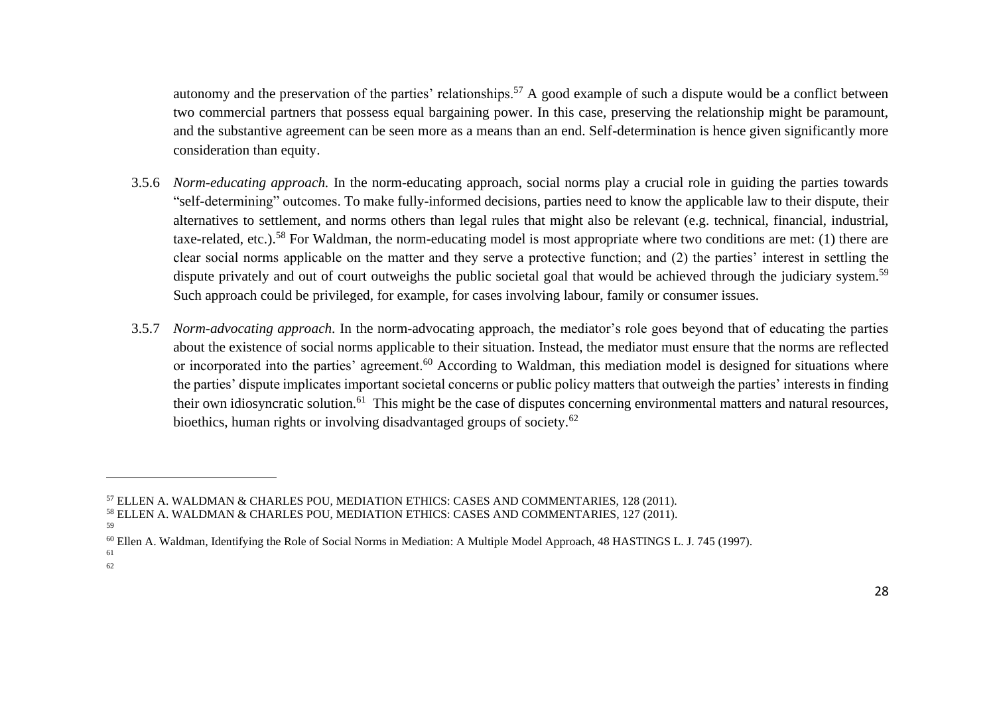autonomy and the preservation of the parties' relationships.<sup>57</sup> A good example of such a dispute would be a conflict between two commercial partners that possess equal bargaining power. In this case, preserving the relationship might be paramount, and the substantive agreement can be seen more as a means than an end. Self-determination is hence given significantly more consideration than equity.

- 3.5.6 *Norm-educating approach.* In the norm-educating approach, social norms play a crucial role in guiding the parties towards "self-determining" outcomes. To make fully-informed decisions, parties need to know the applicable law to their dispute, their alternatives to settlement, and norms others than legal rules that might also be relevant (e.g. technical, financial, industrial, taxe-related, etc.).<sup>58</sup> For Waldman, the norm-educating model is most appropriate where two conditions are met: (1) there are clear social norms applicable on the matter and they serve a protective function; and (2) the parties' interest in settling the dispute privately and out of court outweighs the public societal goal that would be achieved through the judiciary system.<sup>59</sup> Such approach could be privileged, for example, for cases involving labour, family or consumer issues.
- 3.5.7 *Norm-advocating approach.* In the norm-advocating approach, the mediator's role goes beyond that of educating the parties about the existence of social norms applicable to their situation. Instead, the mediator must ensure that the norms are reflected or incorporated into the parties' agreement.<sup>60</sup> According to Waldman, this mediation model is designed for situations where the parties' dispute implicates important societal concerns or public policy matters that outweigh the parties' interests in finding their own idiosyncratic solution.<sup>61</sup> This might be the case of disputes concerning environmental matters and natural resources, bioethics, human rights or involving disadvantaged groups of society.<sup>62</sup>

62

<sup>57</sup> ELLEN A. WALDMAN & CHARLES POU, MEDIATION ETHICS: CASES AND COMMENTARIES, 128 (2011). <sup>58</sup> ELLEN A. WALDMAN & CHARLES POU, MEDIATION ETHICS: CASES AND COMMENTARIES, 127 (2011).

<sup>59</sup>

<sup>60</sup> Ellen A. Waldman, Identifying the Role of Social Norms in Mediation: A Multiple Model Approach, 48 HASTINGS L. J. 745 (1997). 61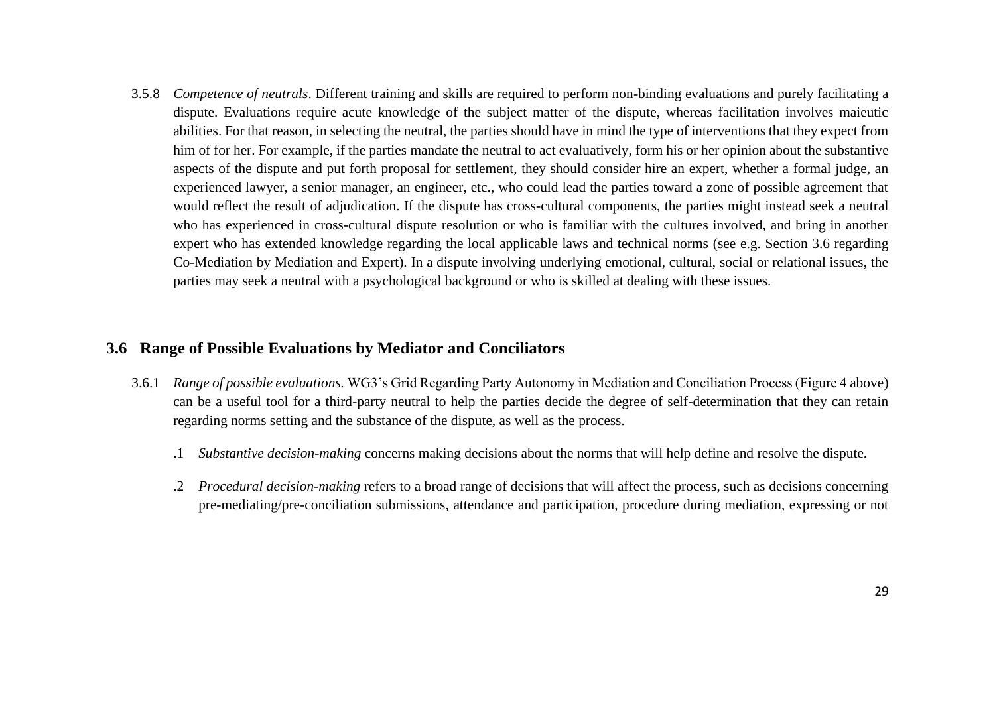3.5.8 *Competence of neutrals*. Different training and skills are required to perform non-binding evaluations and purely facilitating a dispute. Evaluations require acute knowledge of the subject matter of the dispute, whereas facilitation involves maieutic abilities. For that reason, in selecting the neutral, the parties should have in mind the type of interventions that they expect from him of for her. For example, if the parties mandate the neutral to act evaluatively, form his or her opinion about the substantive aspects of the dispute and put forth proposal for settlement, they should consider hire an expert, whether a formal judge, an experienced lawyer, a senior manager, an engineer, etc., who could lead the parties toward a zone of possible agreement that would reflect the result of adjudication. If the dispute has cross-cultural components, the parties might instead seek a neutral who has experienced in cross-cultural dispute resolution or who is familiar with the cultures involved, and bring in another expert who has extended knowledge regarding the local applicable laws and technical norms (see e.g. Section 3.6 regarding Co-Mediation by Mediation and Expert). In a dispute involving underlying emotional, cultural, social or relational issues, the parties may seek a neutral with a psychological background or who is skilled at dealing with these issues.

#### <span id="page-28-0"></span>**3.6 Range of Possible Evaluations by Mediator and Conciliators**

- 3.6.1 *Range of possible evaluations.* WG3's Grid Regarding Party Autonomy in Mediation and Conciliation Process (Figure 4 above) can be a useful tool for a third-party neutral to help the parties decide the degree of self-determination that they can retain regarding norms setting and the substance of the dispute, as well as the process.
	- .1 *Substantive decision-making* concerns making decisions about the norms that will help define and resolve the dispute.
	- .2 *Procedural decision-making* refers to a broad range of decisions that will affect the process, such as decisions concerning pre-mediating/pre-conciliation submissions, attendance and participation, procedure during mediation, expressing or not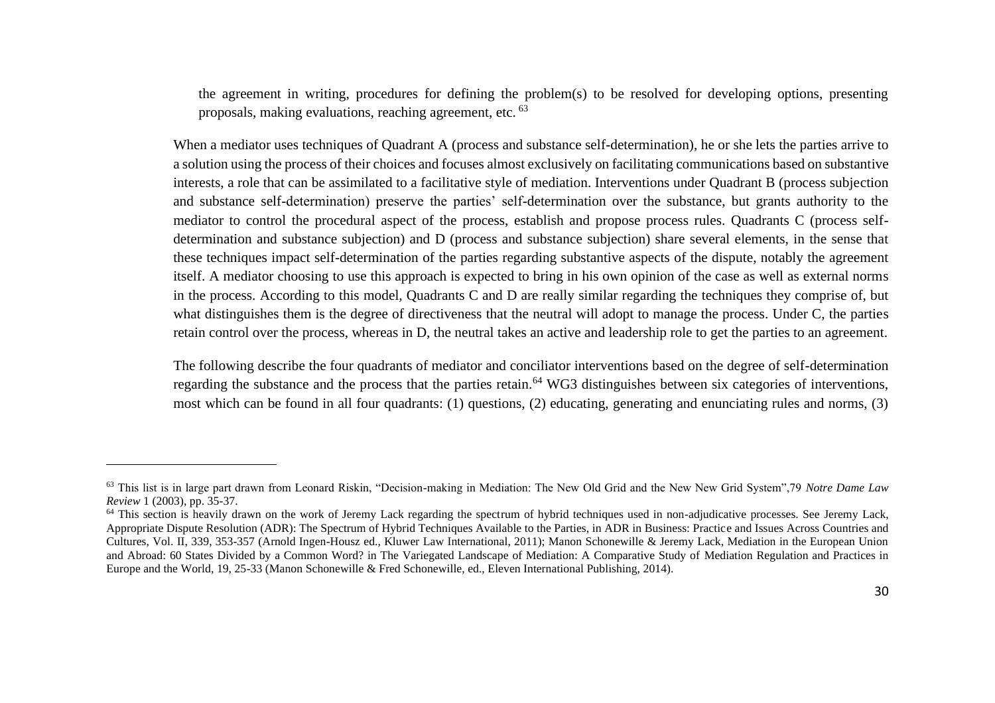the agreement in writing, procedures for defining the problem(s) to be resolved for developing options, presenting proposals, making evaluations, reaching agreement, etc. <sup>63</sup>

When a mediator uses techniques of Quadrant A (process and substance self-determination), he or she lets the parties arrive to a solution using the process of their choices and focuses almost exclusively on facilitating communications based on substantive interests, a role that can be assimilated to a facilitative style of mediation. Interventions under Quadrant B (process subjection and substance self-determination) preserve the parties' self-determination over the substance, but grants authority to the mediator to control the procedural aspect of the process, establish and propose process rules. Quadrants C (process selfdetermination and substance subjection) and D (process and substance subjection) share several elements, in the sense that these techniques impact self-determination of the parties regarding substantive aspects of the dispute, notably the agreement itself. A mediator choosing to use this approach is expected to bring in his own opinion of the case as well as external norms in the process. According to this model, Quadrants C and D are really similar regarding the techniques they comprise of, but what distinguishes them is the degree of directiveness that the neutral will adopt to manage the process. Under C, the parties retain control over the process, whereas in D, the neutral takes an active and leadership role to get the parties to an agreement.

The following describe the four quadrants of mediator and conciliator interventions based on the degree of self-determination regarding the substance and the process that the parties retain.<sup>64</sup> WG3 distinguishes between six categories of interventions, most which can be found in all four quadrants: (1) questions, (2) educating, generating and enunciating rules and norms, (3)

<sup>63</sup> This list is in large part drawn from Leonard Riskin, "Decision-making in Mediation: The New Old Grid and the New New Grid System",79 *Notre Dame Law Review* 1 (2003), pp. 35-37.

<sup>&</sup>lt;sup>64</sup> This section is heavily drawn on the work of Jeremy Lack regarding the spectrum of hybrid techniques used in non-adjudicative processes. See Jeremy Lack, Appropriate Dispute Resolution (ADR): The Spectrum of Hybrid Techniques Available to the Parties, in ADR in Business: Practice and Issues Across Countries and Cultures, Vol. II, 339, 353-357 (Arnold Ingen-Housz ed., Kluwer Law International, 2011); Manon Schonewille & Jeremy Lack, Mediation in the European Union and Abroad: 60 States Divided by a Common Word? in The Variegated Landscape of Mediation: A Comparative Study of Mediation Regulation and Practices in Europe and the World, 19, 25-33 (Manon Schonewille & Fred Schonewille, ed., Eleven International Publishing, 2014).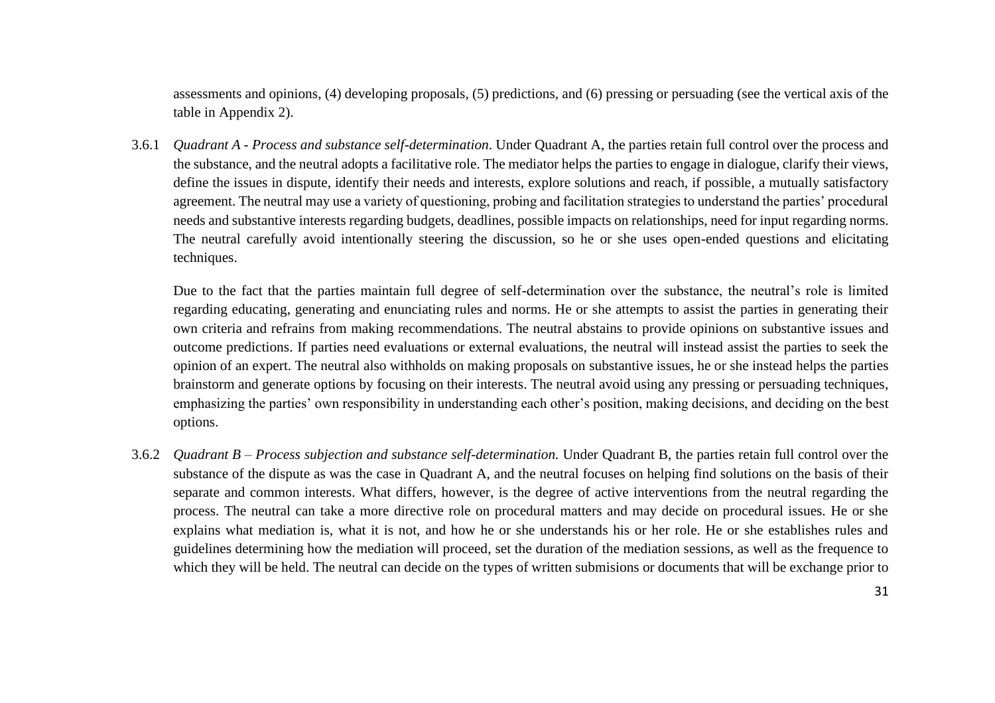assessments and opinions, (4) developing proposals, (5) predictions, and (6) pressing or persuading (see the vertical axis of the table in Appendix 2).

3.6.1 *Quadrant A - Process and substance self-determination*. Under Quadrant A, the parties retain full control over the process and the substance, and the neutral adopts a facilitative role. The mediator helps the parties to engage in dialogue, clarify their views, define the issues in dispute, identify their needs and interests, explore solutions and reach, if possible, a mutually satisfactory agreement. The neutral may use a variety of questioning, probing and facilitation strategies to understand the parties' procedural needs and substantive interests regarding budgets, deadlines, possible impacts on relationships, need for input regarding norms. The neutral carefully avoid intentionally steering the discussion, so he or she uses open-ended questions and elicitating techniques.

Due to the fact that the parties maintain full degree of self-determination over the substance, the neutral's role is limited regarding educating, generating and enunciating rules and norms. He or she attempts to assist the parties in generating their own criteria and refrains from making recommendations. The neutral abstains to provide opinions on substantive issues and outcome predictions. If parties need evaluations or external evaluations, the neutral will instead assist the parties to seek the opinion of an expert. The neutral also withholds on making proposals on substantive issues, he or she instead helps the parties brainstorm and generate options by focusing on their interests. The neutral avoid using any pressing or persuading techniques, emphasizing the parties' own responsibility in understanding each other's position, making decisions, and deciding on the best options.

3.6.2 *Quadrant B – Process subjection and substance self-determination.* Under Quadrant B, the parties retain full control over the substance of the dispute as was the case in Quadrant A, and the neutral focuses on helping find solutions on the basis of their separate and common interests. What differs, however, is the degree of active interventions from the neutral regarding the process. The neutral can take a more directive role on procedural matters and may decide on procedural issues. He or she explains what mediation is, what it is not, and how he or she understands his or her role. He or she establishes rules and guidelines determining how the mediation will proceed, set the duration of the mediation sessions, as well as the frequence to which they will be held. The neutral can decide on the types of written submisions or documents that will be exchange prior to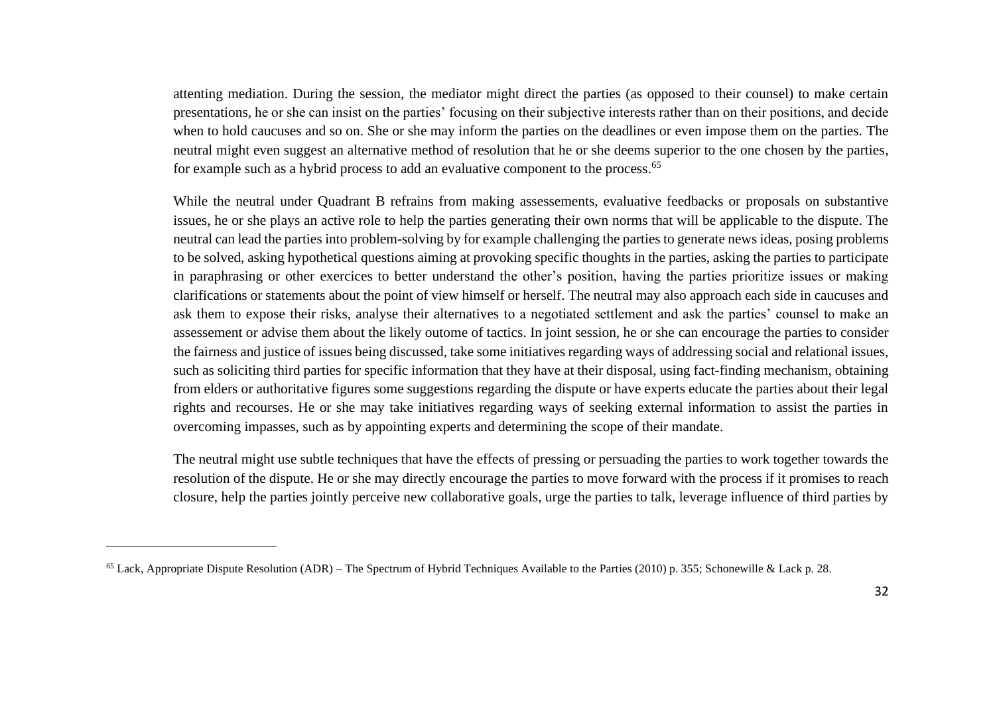attenting mediation. During the session, the mediator might direct the parties (as opposed to their counsel) to make certain presentations, he or she can insist on the parties' focusing on their subjective interests rather than on their positions, and decide when to hold caucuses and so on. She or she may inform the parties on the deadlines or even impose them on the parties. The neutral might even suggest an alternative method of resolution that he or she deems superior to the one chosen by the parties, for example such as a hybrid process to add an evaluative component to the process.<sup>65</sup>

While the neutral under Quadrant B refrains from making assessements, evaluative feedbacks or proposals on substantive issues, he or she plays an active role to help the parties generating their own norms that will be applicable to the dispute. The neutral can lead the parties into problem-solving by for example challenging the parties to generate news ideas, posing problems to be solved, asking hypothetical questions aiming at provoking specific thoughts in the parties, asking the parties to participate in paraphrasing or other exercices to better understand the other's position, having the parties prioritize issues or making clarifications or statements about the point of view himself or herself. The neutral may also approach each side in caucuses and ask them to expose their risks, analyse their alternatives to a negotiated settlement and ask the parties' counsel to make an assessement or advise them about the likely outome of tactics. In joint session, he or she can encourage the parties to consider the fairness and justice of issues being discussed, take some initiatives regarding ways of addressing social and relational issues, such as soliciting third parties for specific information that they have at their disposal, using fact-finding mechanism, obtaining from elders or authoritative figures some suggestions regarding the dispute or have experts educate the parties about their legal rights and recourses. He or she may take initiatives regarding ways of seeking external information to assist the parties in overcoming impasses, such as by appointing experts and determining the scope of their mandate.

The neutral might use subtle techniques that have the effects of pressing or persuading the parties to work together towards the resolution of the dispute. He or she may directly encourage the parties to move forward with the process if it promises to reach closure, help the parties jointly perceive new collaborative goals, urge the parties to talk, leverage influence of third parties by

<sup>65</sup> Lack, Appropriate Dispute Resolution (ADR) – The Spectrum of Hybrid Techniques Available to the Parties (2010) p. 355; Schonewille & Lack p. 28.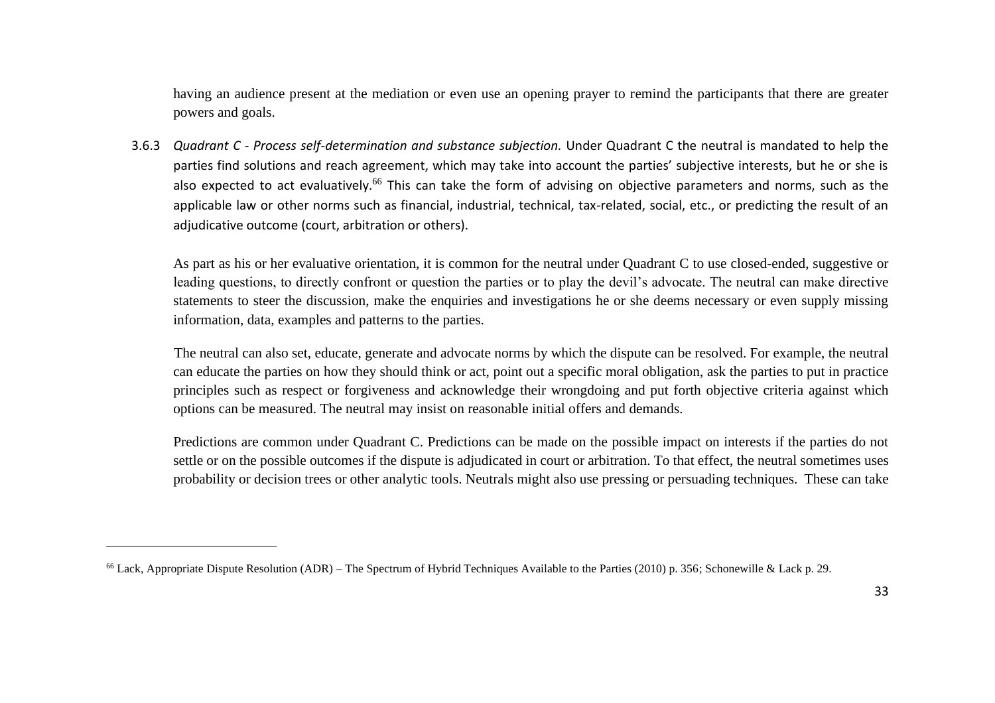having an audience present at the mediation or even use an opening prayer to remind the participants that there are greater powers and goals.

3.6.3 *Quadrant C - Process self-determination and substance subjection.* Under Quadrant C the neutral is mandated to help the parties find solutions and reach agreement, which may take into account the parties' subjective interests, but he or she is also expected to act evaluatively.<sup>66</sup> This can take the form of advising on objective parameters and norms, such as the applicable law or other norms such as financial, industrial, technical, tax-related, social, etc., or predicting the result of an adjudicative outcome (court, arbitration or others).

As part as his or her evaluative orientation, it is common for the neutral under Quadrant C to use closed-ended, suggestive or leading questions, to directly confront or question the parties or to play the devil's advocate. The neutral can make directive statements to steer the discussion, make the enquiries and investigations he or she deems necessary or even supply missing information, data, examples and patterns to the parties.

The neutral can also set, educate, generate and advocate norms by which the dispute can be resolved. For example, the neutral can educate the parties on how they should think or act, point out a specific moral obligation, ask the parties to put in practice principles such as respect or forgiveness and acknowledge their wrongdoing and put forth objective criteria against which options can be measured. The neutral may insist on reasonable initial offers and demands.

Predictions are common under Quadrant C. Predictions can be made on the possible impact on interests if the parties do not settle or on the possible outcomes if the dispute is adjudicated in court or arbitration. To that effect, the neutral sometimes uses probability or decision trees or other analytic tools. Neutrals might also use pressing or persuading techniques. These can take

<sup>&</sup>lt;sup>66</sup> Lack, Appropriate Dispute Resolution (ADR) – The Spectrum of Hybrid Techniques Available to the Parties (2010) p. 356; Schonewille & Lack p. 29.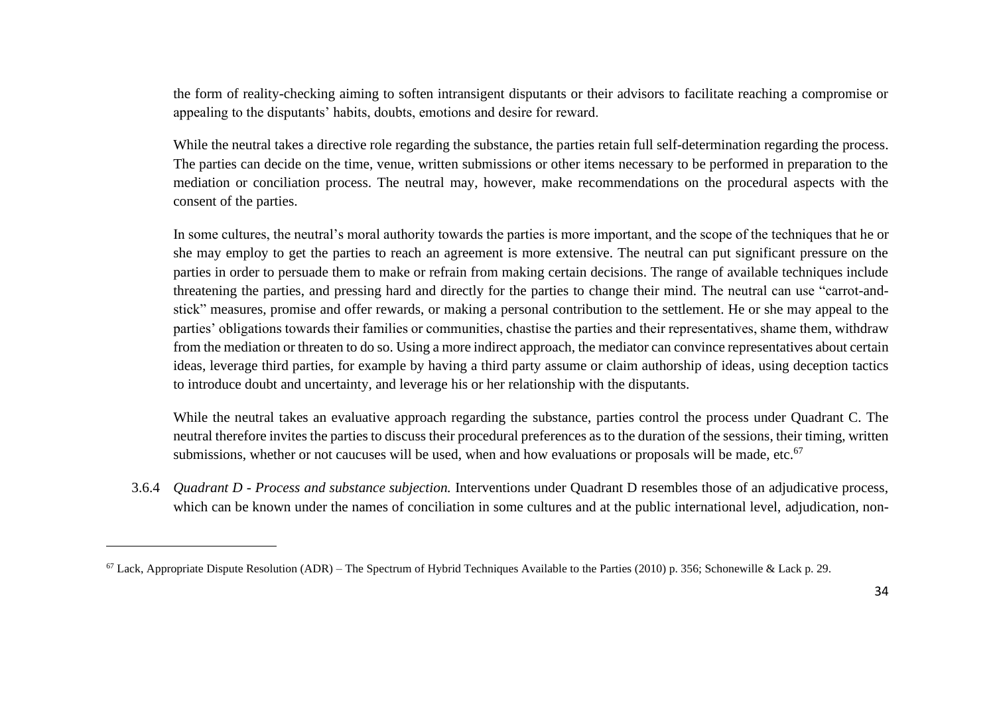the form of reality-checking aiming to soften intransigent disputants or their advisors to facilitate reaching a compromise or appealing to the disputants' habits, doubts, emotions and desire for reward.

While the neutral takes a directive role regarding the substance, the parties retain full self-determination regarding the process. The parties can decide on the time, venue, written submissions or other items necessary to be performed in preparation to the mediation or conciliation process. The neutral may, however, make recommendations on the procedural aspects with the consent of the parties.

In some cultures, the neutral's moral authority towards the parties is more important, and the scope of the techniques that he or she may employ to get the parties to reach an agreement is more extensive. The neutral can put significant pressure on the parties in order to persuade them to make or refrain from making certain decisions. The range of available techniques include threatening the parties, and pressing hard and directly for the parties to change their mind. The neutral can use "carrot-andstick" measures, promise and offer rewards, or making a personal contribution to the settlement. He or she may appeal to the parties' obligations towards their families or communities, chastise the parties and their representatives, shame them, withdraw from the mediation or threaten to do so. Using a more indirect approach, the mediator can convince representatives about certain ideas, leverage third parties, for example by having a third party assume or claim authorship of ideas, using deception tactics to introduce doubt and uncertainty, and leverage his or her relationship with the disputants.

While the neutral takes an evaluative approach regarding the substance, parties control the process under Quadrant C. The neutral therefore invites the parties to discuss their procedural preferences as to the duration of the sessions, their timing, written submissions, whether or not caucuses will be used, when and how evaluations or proposals will be made, etc.<sup>67</sup>

3.6.4 *Quadrant D - Process and substance subjection.* Interventions under Quadrant D resembles those of an adjudicative process, which can be known under the names of conciliation in some cultures and at the public international level, adjudication, non-

 $67$  Lack, Appropriate Dispute Resolution (ADR) – The Spectrum of Hybrid Techniques Available to the Parties (2010) p. 356; Schonewille & Lack p. 29.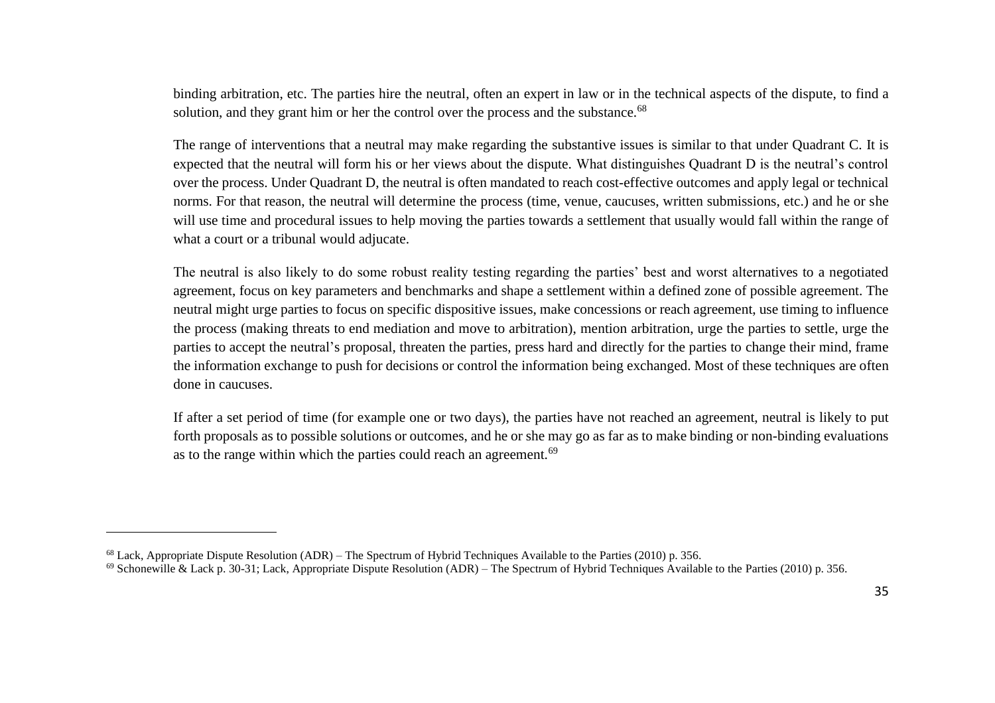binding arbitration, etc. The parties hire the neutral, often an expert in law or in the technical aspects of the dispute, to find a solution, and they grant him or her the control over the process and the substance.<sup>68</sup>

The range of interventions that a neutral may make regarding the substantive issues is similar to that under Quadrant C. It is expected that the neutral will form his or her views about the dispute. What distinguishes Quadrant D is the neutral's control over the process. Under Quadrant D, the neutral is often mandated to reach cost-effective outcomes and apply legal or technical norms. For that reason, the neutral will determine the process (time, venue, caucuses, written submissions, etc.) and he or she will use time and procedural issues to help moving the parties towards a settlement that usually would fall within the range of what a court or a tribunal would adjucate.

The neutral is also likely to do some robust reality testing regarding the parties' best and worst alternatives to a negotiated agreement, focus on key parameters and benchmarks and shape a settlement within a defined zone of possible agreement. The neutral might urge parties to focus on specific dispositive issues, make concessions or reach agreement, use timing to influence the process (making threats to end mediation and move to arbitration), mention arbitration, urge the parties to settle, urge the parties to accept the neutral's proposal, threaten the parties, press hard and directly for the parties to change their mind, frame the information exchange to push for decisions or control the information being exchanged. Most of these techniques are often done in caucuses.

If after a set period of time (for example one or two days), the parties have not reached an agreement, neutral is likely to put forth proposals as to possible solutions or outcomes, and he or she may go as far as to make binding or non-binding evaluations as to the range within which the parties could reach an agreement.<sup>69</sup>

 $68$  Lack, Appropriate Dispute Resolution (ADR) – The Spectrum of Hybrid Techniques Available to the Parties (2010) p. 356.

<sup>&</sup>lt;sup>69</sup> Schonewille & Lack p. 30-31; Lack, Appropriate Dispute Resolution (ADR) – The Spectrum of Hybrid Techniques Available to the Parties (2010) p. 356.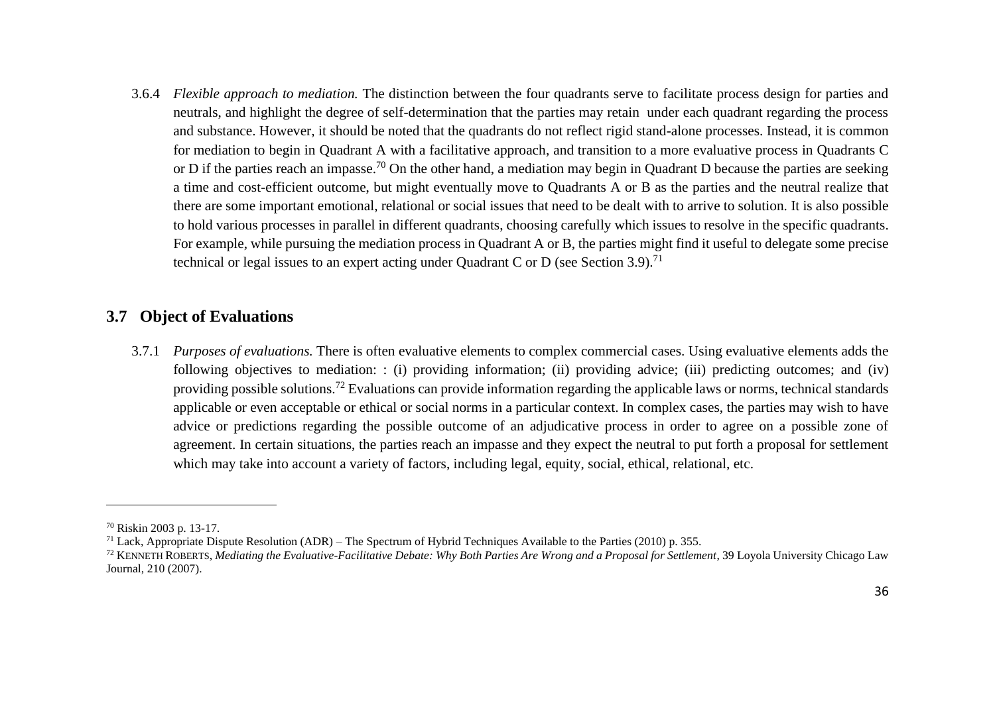3.6.4 *Flexible approach to mediation.* The distinction between the four quadrants serve to facilitate process design for parties and neutrals, and highlight the degree of self-determination that the parties may retain under each quadrant regarding the process and substance. However, it should be noted that the quadrants do not reflect rigid stand-alone processes. Instead, it is common for mediation to begin in Quadrant A with a facilitative approach, and transition to a more evaluative process in Quadrants C or D if the parties reach an impasse.<sup>70</sup> On the other hand, a mediation may begin in Quadrant D because the parties are seeking a time and cost-efficient outcome, but might eventually move to Quadrants A or B as the parties and the neutral realize that there are some important emotional, relational or social issues that need to be dealt with to arrive to solution. It is also possible to hold various processes in parallel in different quadrants, choosing carefully which issues to resolve in the specific quadrants. For example, while pursuing the mediation process in Quadrant A or B, the parties might find it useful to delegate some precise technical or legal issues to an expert acting under Quadrant C or D (see Section 3.9).<sup>71</sup>

#### <span id="page-35-0"></span>**3.7 Object of Evaluations**

3.7.1 *Purposes of evaluations.* There is often evaluative elements to complex commercial cases. Using evaluative elements adds the following objectives to mediation: : (i) providing information; (ii) providing advice; (iii) predicting outcomes; and (iv) providing possible solutions.<sup>72</sup> Evaluations can provide information regarding the applicable laws or norms, technical standards applicable or even acceptable or ethical or social norms in a particular context. In complex cases, the parties may wish to have advice or predictions regarding the possible outcome of an adjudicative process in order to agree on a possible zone of agreement. In certain situations, the parties reach an impasse and they expect the neutral to put forth a proposal for settlement which may take into account a variety of factors, including legal, equity, social, ethical, relational, etc.

<sup>70</sup> Riskin 2003 p. 13-17.

<sup>&</sup>lt;sup>71</sup> Lack, Appropriate Dispute Resolution (ADR) – The Spectrum of Hybrid Techniques Available to the Parties (2010) p. 355.

<sup>72</sup> KENNETH ROBERTS, *Mediating the Evaluative-Facilitative Debate: Why Both Parties Are Wrong and a Proposal for Settlement*, 39 Loyola University Chicago Law Journal, 210 (2007).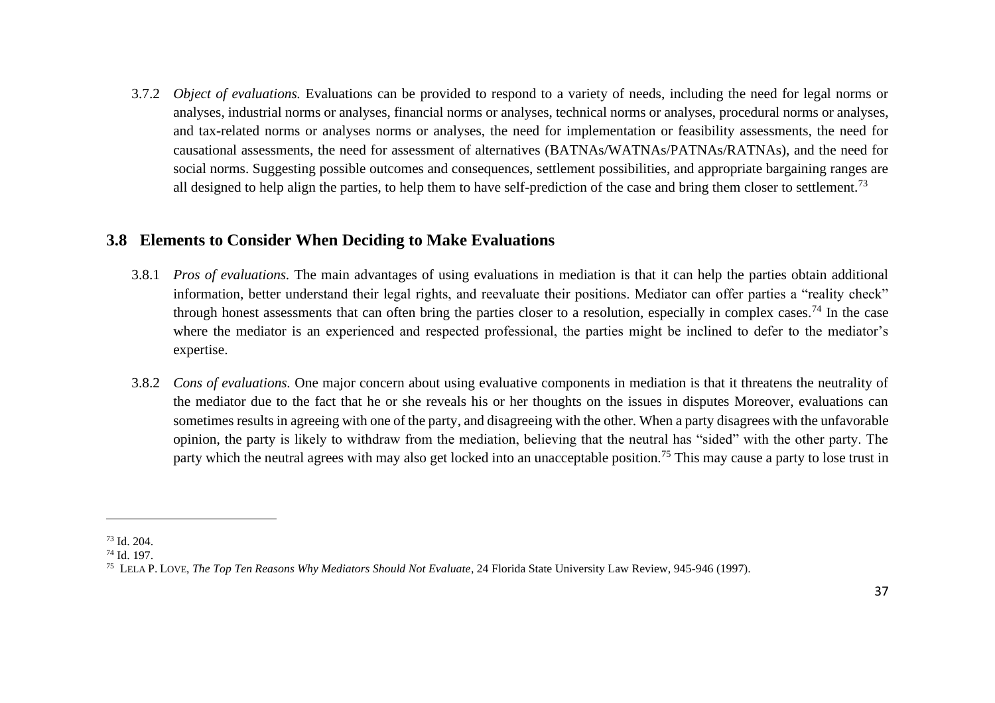3.7.2 *Object of evaluations.* Evaluations can be provided to respond to a variety of needs, including the need for legal norms or analyses, industrial norms or analyses, financial norms or analyses, technical norms or analyses, procedural norms or analyses, and tax-related norms or analyses norms or analyses, the need for implementation or feasibility assessments, the need for causational assessments, the need for assessment of alternatives (BATNAs/WATNAs/PATNAs/RATNAs), and the need for social norms. Suggesting possible outcomes and consequences, settlement possibilities, and appropriate bargaining ranges are all designed to help align the parties, to help them to have self-prediction of the case and bring them closer to settlement.<sup>73</sup>

#### <span id="page-36-0"></span>**3.8 Elements to Consider When Deciding to Make Evaluations**

- 3.8.1 *Pros of evaluations.* The main advantages of using evaluations in mediation is that it can help the parties obtain additional information, better understand their legal rights, and reevaluate their positions. Mediator can offer parties a "reality check" through honest assessments that can often bring the parties closer to a resolution, especially in complex cases.<sup>74</sup> In the case where the mediator is an experienced and respected professional, the parties might be inclined to defer to the mediator's expertise.
- 3.8.2 *Cons of evaluations.* One major concern about using evaluative components in mediation is that it threatens the neutrality of the mediator due to the fact that he or she reveals his or her thoughts on the issues in disputes Moreover, evaluations can sometimes results in agreeing with one of the party, and disagreeing with the other. When a party disagrees with the unfavorable opinion, the party is likely to withdraw from the mediation, believing that the neutral has "sided" with the other party. The party which the neutral agrees with may also get locked into an unacceptable position.<sup>75</sup> This may cause a party to lose trust in

<sup>73</sup> Id. 204.

<sup>74</sup> Id. 197.

<sup>75</sup> LELA P. LOVE, *The Top Ten Reasons Why Mediators Should Not Evaluate*, 24 Florida State University Law Review, 945-946 (1997).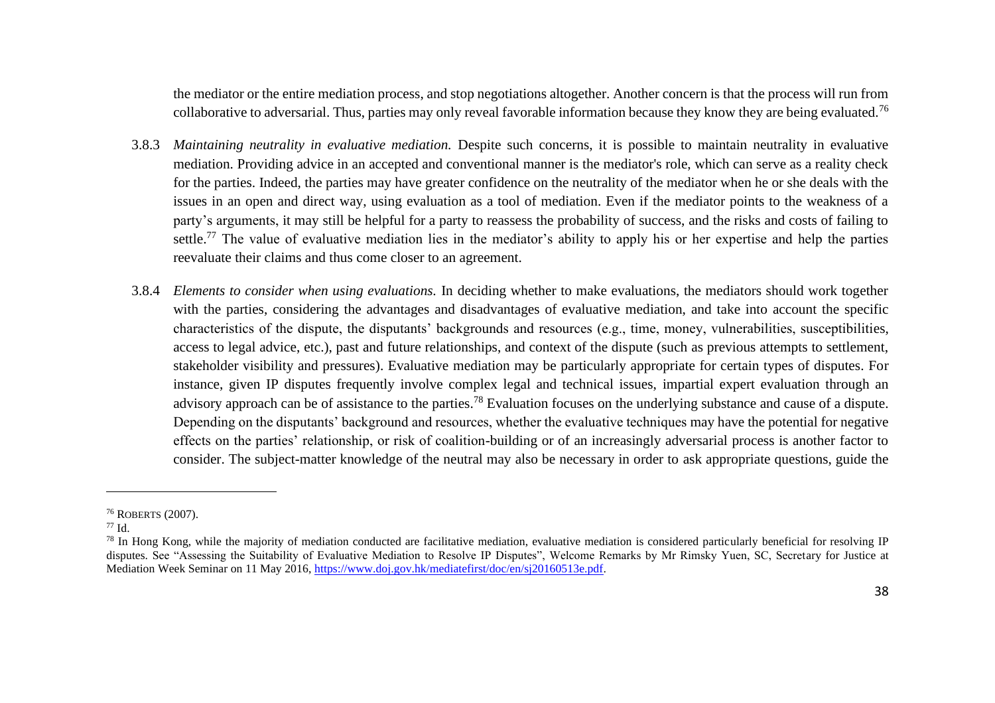the mediator or the entire mediation process, and stop negotiations altogether. Another concern is that the process will run from collaborative to adversarial. Thus, parties may only reveal favorable information because they know they are being evaluated.<sup>76</sup>

- 3.8.3 *Maintaining neutrality in evaluative mediation.* Despite such concerns, it is possible to maintain neutrality in evaluative mediation. Providing advice in an accepted and conventional manner is the mediator's role, which can serve as a reality check for the parties. Indeed, the parties may have greater confidence on the neutrality of the mediator when he or she deals with the issues in an open and direct way, using evaluation as a tool of mediation. Even if the mediator points to the weakness of a party's arguments, it may still be helpful for a party to reassess the probability of success, and the risks and costs of failing to settle.<sup>77</sup> The value of evaluative mediation lies in the mediator's ability to apply his or her expertise and help the parties reevaluate their claims and thus come closer to an agreement.
- 3.8.4 *Elements to consider when using evaluations.* In deciding whether to make evaluations, the mediators should work together with the parties, considering the advantages and disadvantages of evaluative mediation, and take into account the specific characteristics of the dispute, the disputants' backgrounds and resources (e.g., time, money, vulnerabilities, susceptibilities, access to legal advice, etc.), past and future relationships, and context of the dispute (such as previous attempts to settlement, stakeholder visibility and pressures). Evaluative mediation may be particularly appropriate for certain types of disputes. For instance, given IP disputes frequently involve complex legal and technical issues, impartial expert evaluation through an advisory approach can be of assistance to the parties.<sup>78</sup> Evaluation focuses on the underlying substance and cause of a dispute. Depending on the disputants' background and resources, whether the evaluative techniques may have the potential for negative effects on the parties' relationship, or risk of coalition-building or of an increasingly adversarial process is another factor to consider. The subject-matter knowledge of the neutral may also be necessary in order to ask appropriate questions, guide the

<sup>76</sup> ROBERTS (2007).

 $77 \text{ Id}$ 

<sup>&</sup>lt;sup>78</sup> In Hong Kong, while the majority of mediation conducted are facilitative mediation, evaluative mediation is considered particularly beneficial for resolving IP disputes. See "Assessing the Suitability of Evaluative Mediation to Resolve IP Disputes", Welcome Remarks by Mr Rimsky Yuen, SC, Secretary for Justice at Mediation Week Seminar on 11 May 2016, [https://www.doj.gov.hk/mediatefirst/doc/en/sj20160513e.pdf.](https://www.doj.gov.hk/mediatefirst/doc/en/sj20160513e.pdf)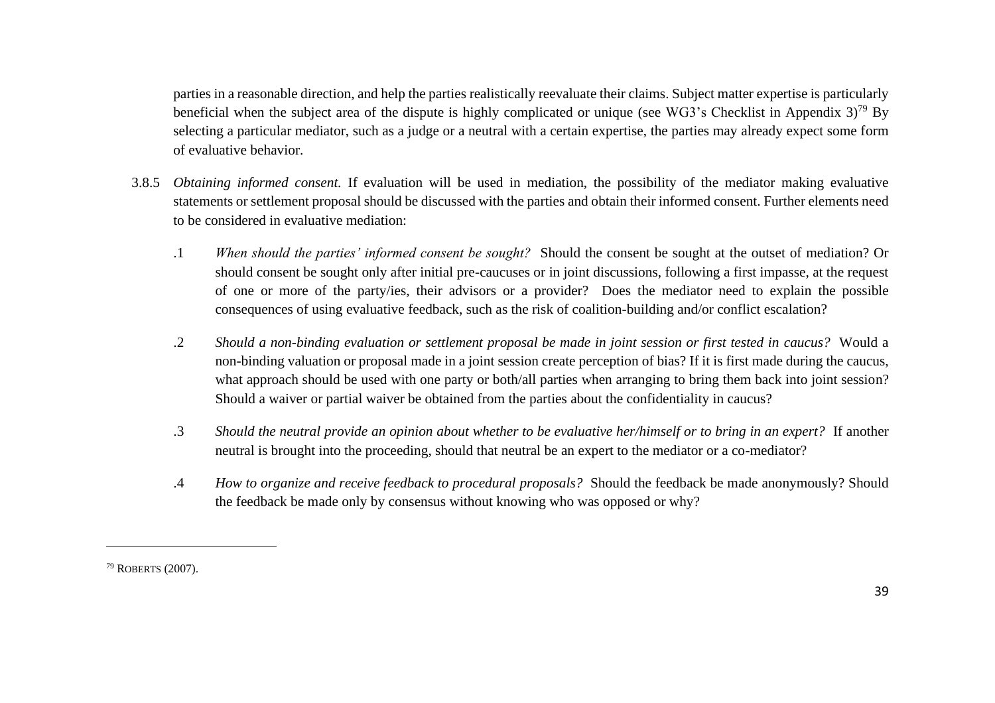parties in a reasonable direction, and help the parties realistically reevaluate their claims. Subject matter expertise is particularly beneficial when the subject area of the dispute is highly complicated or unique (see WG3's Checklist in Appendix  $3$ )<sup>79</sup> By selecting a particular mediator, such as a judge or a neutral with a certain expertise, the parties may already expect some form of evaluative behavior.

- 3.8.5 *Obtaining informed consent.* If evaluation will be used in mediation, the possibility of the mediator making evaluative statements or settlement proposal should be discussed with the parties and obtain their informed consent. Further elements need to be considered in evaluative mediation:
	- .1 *When should the parties' informed consent be sought?* Should the consent be sought at the outset of mediation? Or should consent be sought only after initial pre-caucuses or in joint discussions, following a first impasse, at the request of one or more of the party/ies, their advisors or a provider? Does the mediator need to explain the possible consequences of using evaluative feedback, such as the risk of coalition-building and/or conflict escalation?
	- .2 *Should a non-binding evaluation or settlement proposal be made in joint session or first tested in caucus?* Would a non-binding valuation or proposal made in a joint session create perception of bias? If it is first made during the caucus, what approach should be used with one party or both/all parties when arranging to bring them back into joint session? Should a waiver or partial waiver be obtained from the parties about the confidentiality in caucus?
	- .3 *Should the neutral provide an opinion about whether to be evaluative her/himself or to bring in an expert?* If another neutral is brought into the proceeding, should that neutral be an expert to the mediator or a co-mediator?
	- .4 *How to organize and receive feedback to procedural proposals?* Should the feedback be made anonymously? Should the feedback be made only by consensus without knowing who was opposed or why?

<sup>79</sup> ROBERTS (2007).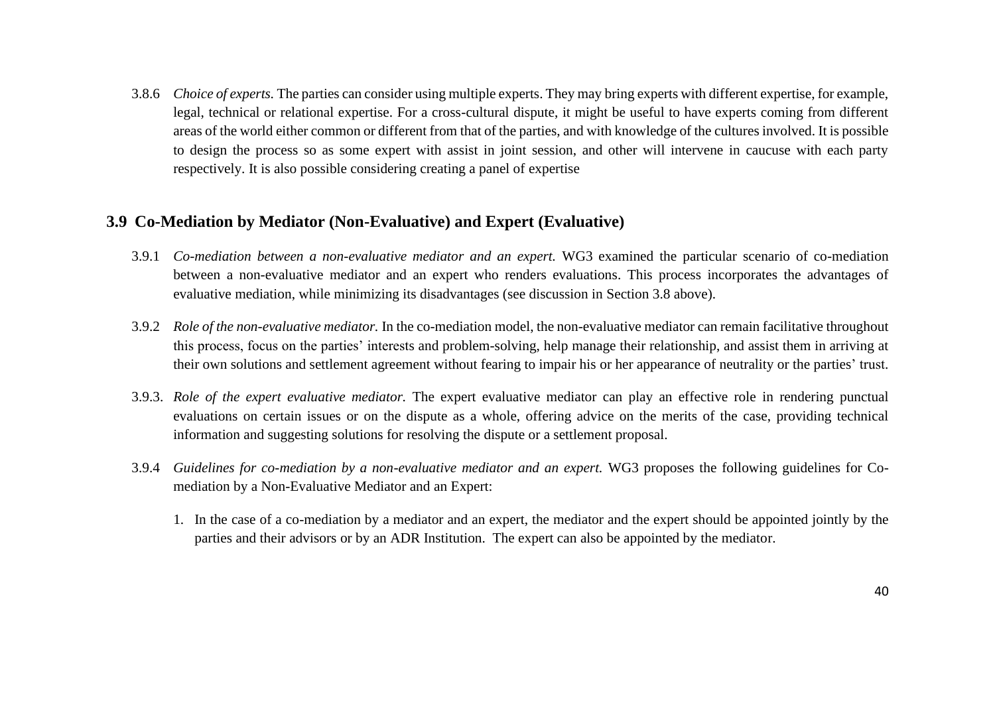3.8.6 *Choice of experts.* The parties can consider using multiple experts. They may bring experts with different expertise, for example, legal, technical or relational expertise. For a cross-cultural dispute, it might be useful to have experts coming from different areas of the world either common or different from that of the parties, and with knowledge of the cultures involved. It is possible to design the process so as some expert with assist in joint session, and other will intervene in caucuse with each party respectively. It is also possible considering creating a panel of expertise

#### <span id="page-39-0"></span>**3.9 Co-Mediation by Mediator (Non-Evaluative) and Expert (Evaluative)**

- 3.9.1 *Co-mediation between a non-evaluative mediator and an expert.* WG3 examined the particular scenario of co-mediation between a non-evaluative mediator and an expert who renders evaluations. This process incorporates the advantages of evaluative mediation, while minimizing its disadvantages (see discussion in Section 3.8 above).
- 3.9.2 *Role of the non-evaluative mediator.* In the co-mediation model, the non-evaluative mediator can remain facilitative throughout this process, focus on the parties' interests and problem-solving, help manage their relationship, and assist them in arriving at their own solutions and settlement agreement without fearing to impair his or her appearance of neutrality or the parties' trust.
- 3.9.3. *Role of the expert evaluative mediator.* The expert evaluative mediator can play an effective role in rendering punctual evaluations on certain issues or on the dispute as a whole, offering advice on the merits of the case, providing technical information and suggesting solutions for resolving the dispute or a settlement proposal.
- 3.9.4 *Guidelines for co-mediation by a non-evaluative mediator and an expert.* WG3 proposes the following guidelines for Comediation by a Non-Evaluative Mediator and an Expert:
	- 1. In the case of a co-mediation by a mediator and an expert, the mediator and the expert should be appointed jointly by the parties and their advisors or by an ADR Institution. The expert can also be appointed by the mediator.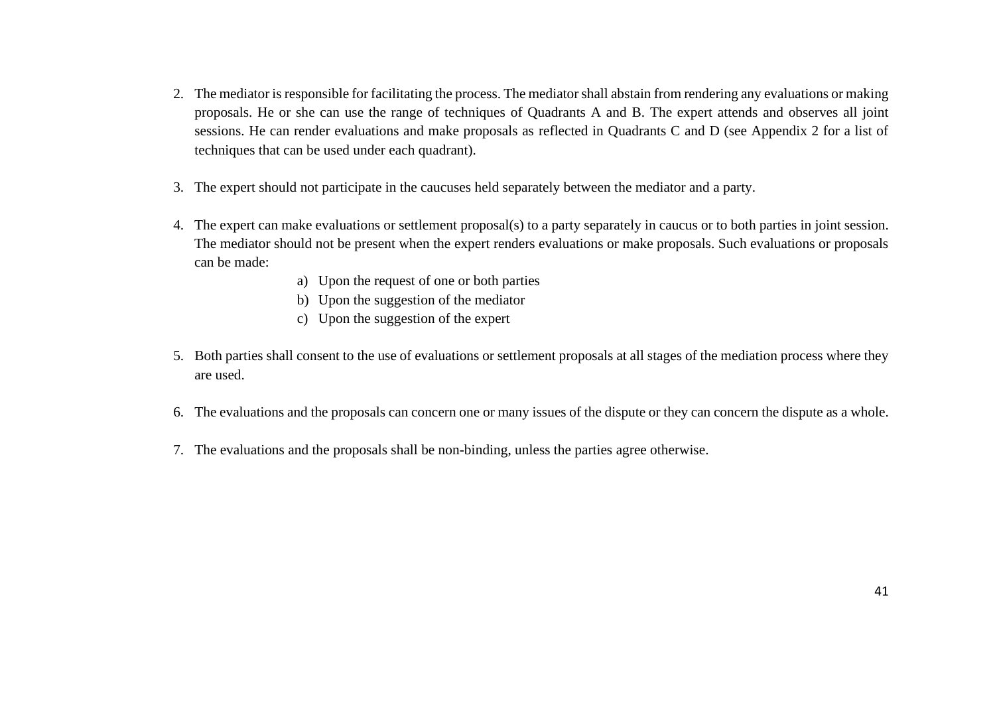- 2. The mediator is responsible for facilitating the process. The mediator shall abstain from rendering any evaluations or making proposals. He or she can use the range of techniques of Quadrants A and B. The expert attends and observes all joint sessions. He can render evaluations and make proposals as reflected in Quadrants C and D (see Appendix 2 for a list of techniques that can be used under each quadrant).
- 3. The expert should not participate in the caucuses held separately between the mediator and a party.
- 4. The expert can make evaluations or settlement proposal(s) to a party separately in caucus or to both parties in joint session. The mediator should not be present when the expert renders evaluations or make proposals. Such evaluations or proposals can be made:
	- a) Upon the request of one or both parties
	- b) Upon the suggestion of the mediator
	- c) Upon the suggestion of the expert
- 5. Both parties shall consent to the use of evaluations or settlement proposals at all stages of the mediation process where they are used.
- 6. The evaluations and the proposals can concern one or many issues of the dispute or they can concern the dispute as a whole.
- 7. The evaluations and the proposals shall be non-binding, unless the parties agree otherwise.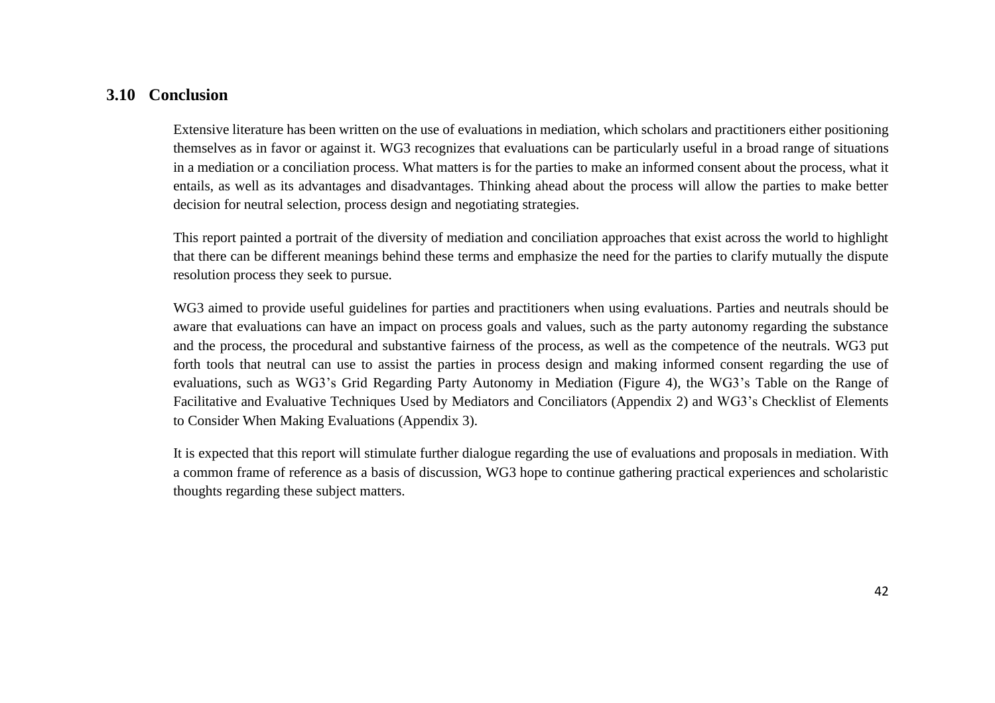#### <span id="page-41-0"></span>**3.10 Conclusion**

Extensive literature has been written on the use of evaluations in mediation, which scholars and practitioners either positioning themselves as in favor or against it. WG3 recognizes that evaluations can be particularly useful in a broad range of situations in a mediation or a conciliation process. What matters is for the parties to make an informed consent about the process, what it entails, as well as its advantages and disadvantages. Thinking ahead about the process will allow the parties to make better decision for neutral selection, process design and negotiating strategies.

This report painted a portrait of the diversity of mediation and conciliation approaches that exist across the world to highlight that there can be different meanings behind these terms and emphasize the need for the parties to clarify mutually the dispute resolution process they seek to pursue.

WG3 aimed to provide useful guidelines for parties and practitioners when using evaluations. Parties and neutrals should be aware that evaluations can have an impact on process goals and values, such as the party autonomy regarding the substance and the process, the procedural and substantive fairness of the process, as well as the competence of the neutrals. WG3 put forth tools that neutral can use to assist the parties in process design and making informed consent regarding the use of evaluations, such as WG3's Grid Regarding Party Autonomy in Mediation (Figure 4), the WG3's Table on the Range of Facilitative and Evaluative Techniques Used by Mediators and Conciliators (Appendix 2) and WG3's Checklist of Elements to Consider When Making Evaluations (Appendix 3).

It is expected that this report will stimulate further dialogue regarding the use of evaluations and proposals in mediation. With a common frame of reference as a basis of discussion, WG3 hope to continue gathering practical experiences and scholaristic thoughts regarding these subject matters.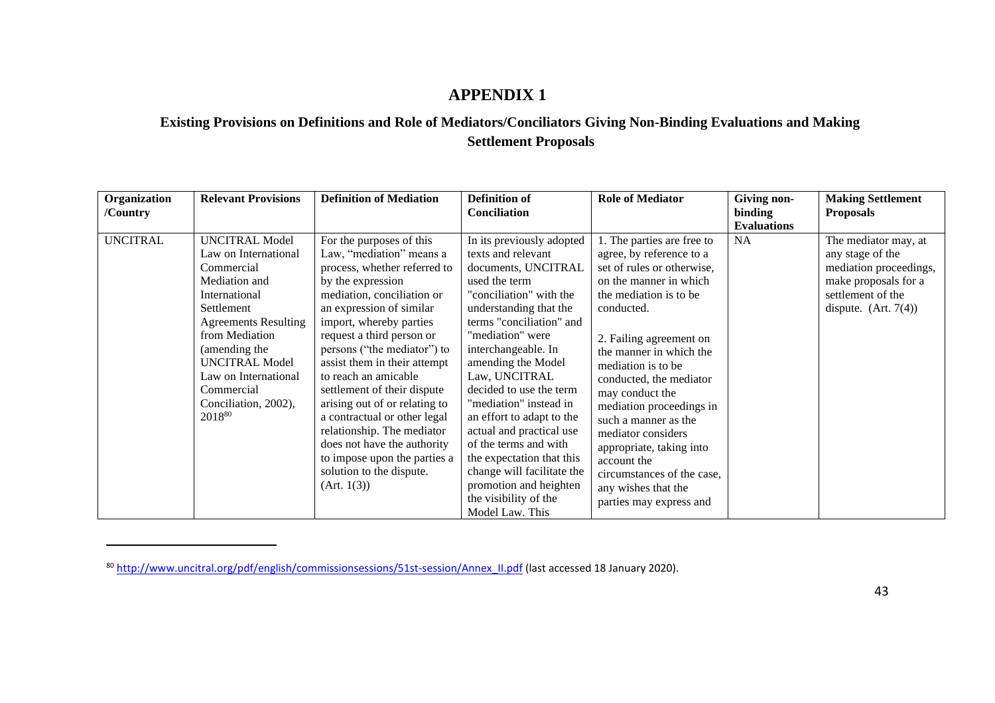## <span id="page-42-0"></span>**Existing Provisions on Definitions and Role of Mediators/Conciliators Giving Non-Binding Evaluations and Making Settlement Proposals**

| Organization<br>/Country | <b>Relevant Provisions</b>                                                                                                                                                                                                                                                     | <b>Definition of Mediation</b>                                                                                                                                                                                                                                                                                                                                                                                                                                                                                                                             | <b>Definition of</b><br><b>Conciliation</b>                                                                                                                                                                                                                                                                                                                                                                                                                                                                                        | <b>Role of Mediator</b>                                                                                                                                                                                                                                                                                                                                                                                                                                                               | Giving non-<br>binding | <b>Making Settlement</b><br><b>Proposals</b>                                                                                              |
|--------------------------|--------------------------------------------------------------------------------------------------------------------------------------------------------------------------------------------------------------------------------------------------------------------------------|------------------------------------------------------------------------------------------------------------------------------------------------------------------------------------------------------------------------------------------------------------------------------------------------------------------------------------------------------------------------------------------------------------------------------------------------------------------------------------------------------------------------------------------------------------|------------------------------------------------------------------------------------------------------------------------------------------------------------------------------------------------------------------------------------------------------------------------------------------------------------------------------------------------------------------------------------------------------------------------------------------------------------------------------------------------------------------------------------|---------------------------------------------------------------------------------------------------------------------------------------------------------------------------------------------------------------------------------------------------------------------------------------------------------------------------------------------------------------------------------------------------------------------------------------------------------------------------------------|------------------------|-------------------------------------------------------------------------------------------------------------------------------------------|
|                          |                                                                                                                                                                                                                                                                                |                                                                                                                                                                                                                                                                                                                                                                                                                                                                                                                                                            |                                                                                                                                                                                                                                                                                                                                                                                                                                                                                                                                    |                                                                                                                                                                                                                                                                                                                                                                                                                                                                                       | <b>Evaluations</b>     |                                                                                                                                           |
| <b>UNCITRAL</b>          | <b>UNCITRAL Model</b><br>Law on International<br>Commercial<br>Mediation and<br>International<br>Settlement<br><b>Agreements Resulting</b><br>from Mediation<br>(amending the<br><b>UNCITRAL Model</b><br>Law on International<br>Commercial<br>Conciliation, 2002),<br>201880 | For the purposes of this<br>Law, "mediation" means a<br>process, whether referred to<br>by the expression<br>mediation, conciliation or<br>an expression of similar<br>import, whereby parties<br>request a third person or<br>persons ("the mediator") to<br>assist them in their attempt<br>to reach an amicable<br>settlement of their dispute<br>arising out of or relating to<br>a contractual or other legal<br>relationship. The mediator<br>does not have the authority<br>to impose upon the parties a<br>solution to the dispute.<br>(Art. 1(3)) | In its previously adopted<br>texts and relevant<br>documents, UNCITRAL<br>used the term<br>"conciliation" with the<br>understanding that the<br>terms "conciliation" and<br>"mediation" were<br>interchangeable. In<br>amending the Model<br>Law, UNCITRAL<br>decided to use the term<br>"mediation" instead in<br>an effort to adapt to the<br>actual and practical use<br>of the terms and with<br>the expectation that this<br>change will facilitate the<br>promotion and heighten<br>the visibility of the<br>Model Law. This | 1. The parties are free to<br>agree, by reference to a<br>set of rules or otherwise,<br>on the manner in which<br>the mediation is to be<br>conducted.<br>2. Failing agreement on<br>the manner in which the<br>mediation is to be<br>conducted, the mediator<br>may conduct the<br>mediation proceedings in<br>such a manner as the<br>mediator considers<br>appropriate, taking into<br>account the<br>circumstances of the case,<br>any wishes that the<br>parties may express and | <b>NA</b>              | The mediator may, at<br>any stage of the<br>mediation proceedings,<br>make proposals for a<br>settlement of the<br>dispute. $(Art. 7(4))$ |

<sup>80</sup> [http://www.uncitral.org/pdf/english/commissionsessions/51st-session/Annex\\_II.pdf](http://www.uncitral.org/pdf/english/commissionsessions/51st-session/Annex_II.pdf) (last accessed 18 January 2020).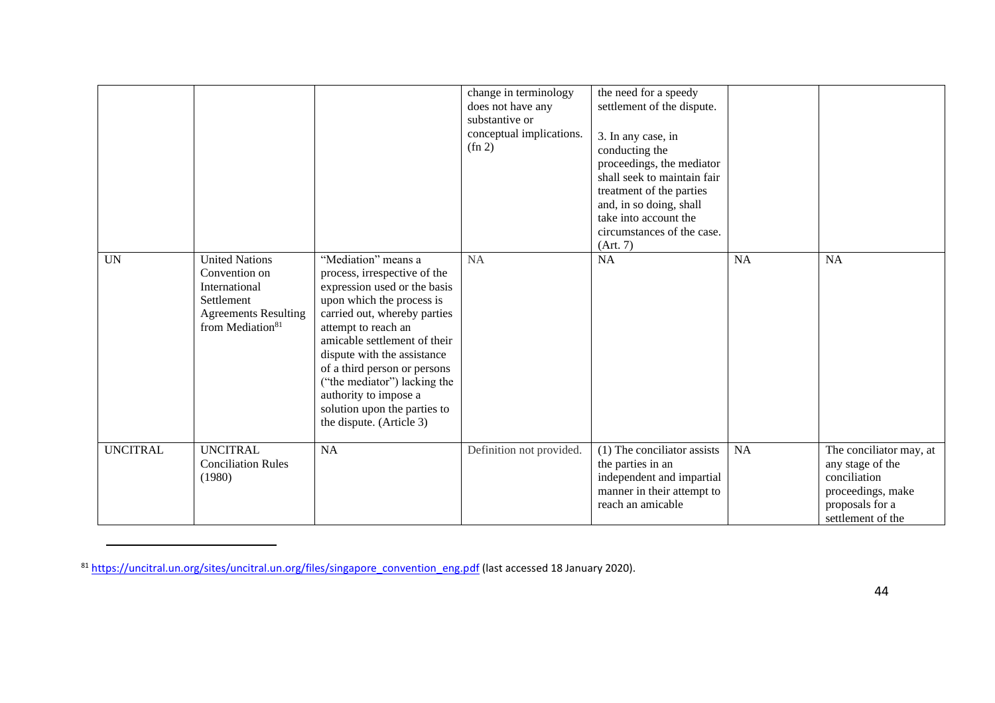|                 |                                                                                                                                      |                                                                                                                                                                                                                                                                                                                                                                                             | change in terminology<br>does not have any<br>substantive or<br>conceptual implications.<br>$(\text{fn } 2)$ | the need for a speedy<br>settlement of the dispute.<br>3. In any case, in<br>conducting the<br>proceedings, the mediator<br>shall seek to maintain fair<br>treatment of the parties<br>and, in so doing, shall<br>take into account the<br>circumstances of the case.<br>(Art. 7) |           |                                                                                                                          |
|-----------------|--------------------------------------------------------------------------------------------------------------------------------------|---------------------------------------------------------------------------------------------------------------------------------------------------------------------------------------------------------------------------------------------------------------------------------------------------------------------------------------------------------------------------------------------|--------------------------------------------------------------------------------------------------------------|-----------------------------------------------------------------------------------------------------------------------------------------------------------------------------------------------------------------------------------------------------------------------------------|-----------|--------------------------------------------------------------------------------------------------------------------------|
| <b>UN</b>       | <b>United Nations</b><br>Convention on<br>International<br>Settlement<br><b>Agreements Resulting</b><br>from Mediation <sup>81</sup> | "Mediation" means a<br>process, irrespective of the<br>expression used or the basis<br>upon which the process is<br>carried out, whereby parties<br>attempt to reach an<br>amicable settlement of their<br>dispute with the assistance<br>of a third person or persons<br>("the mediator") lacking the<br>authority to impose a<br>solution upon the parties to<br>the dispute. (Article 3) | <b>NA</b>                                                                                                    | <b>NA</b>                                                                                                                                                                                                                                                                         | <b>NA</b> | <b>NA</b>                                                                                                                |
| <b>UNCITRAL</b> | <b>UNCITRAL</b><br><b>Conciliation Rules</b><br>(1980)                                                                               | <b>NA</b>                                                                                                                                                                                                                                                                                                                                                                                   | Definition not provided.                                                                                     | (1) The conciliator assists<br>the parties in an<br>independent and impartial<br>manner in their attempt to<br>reach an amicable                                                                                                                                                  | <b>NA</b> | The conciliator may, at<br>any stage of the<br>conciliation<br>proceedings, make<br>proposals for a<br>settlement of the |

<sup>&</sup>lt;sup>81</sup> [https://uncitral.un.org/sites/uncitral.un.org/files/singapore\\_convention\\_eng.pdf](https://uncitral.un.org/sites/uncitral.un.org/files/singapore_convention_eng.pdf) (last accessed 18 January 2020).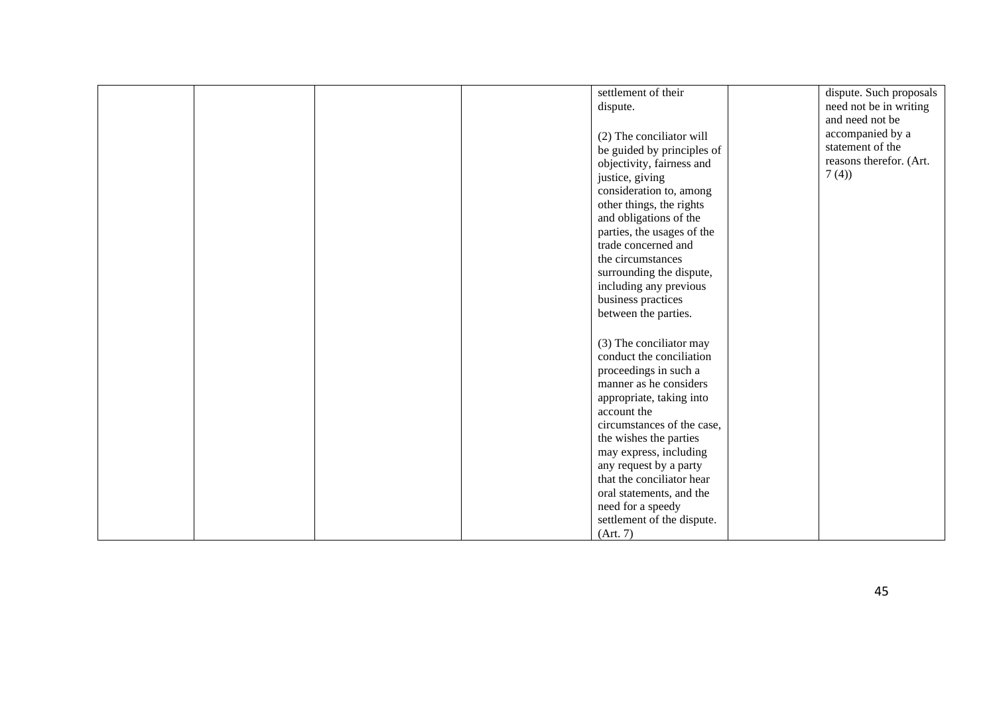|  |  | settlement of their                    | dispute. Such proposals |
|--|--|----------------------------------------|-------------------------|
|  |  | dispute.                               | need not be in writing  |
|  |  |                                        | and need not be         |
|  |  | (2) The conciliator will               | accompanied by a        |
|  |  | be guided by principles of             | statement of the        |
|  |  | objectivity, fairness and              | reasons therefor. (Art. |
|  |  | justice, giving                        | 7(4)                    |
|  |  | consideration to, among                |                         |
|  |  | other things, the rights               |                         |
|  |  | and obligations of the                 |                         |
|  |  | parties, the usages of the             |                         |
|  |  | trade concerned and                    |                         |
|  |  | the circumstances                      |                         |
|  |  | surrounding the dispute,               |                         |
|  |  | including any previous                 |                         |
|  |  | business practices                     |                         |
|  |  | between the parties.                   |                         |
|  |  |                                        |                         |
|  |  | (3) The conciliator may                |                         |
|  |  | conduct the conciliation               |                         |
|  |  | proceedings in such a                  |                         |
|  |  | manner as he considers                 |                         |
|  |  | appropriate, taking into               |                         |
|  |  | account the                            |                         |
|  |  | circumstances of the case,             |                         |
|  |  | the wishes the parties                 |                         |
|  |  | may express, including                 |                         |
|  |  | any request by a party                 |                         |
|  |  | that the conciliator hear              |                         |
|  |  | oral statements, and the               |                         |
|  |  | need for a speedy                      |                         |
|  |  | settlement of the dispute.<br>(Art. 7) |                         |
|  |  |                                        |                         |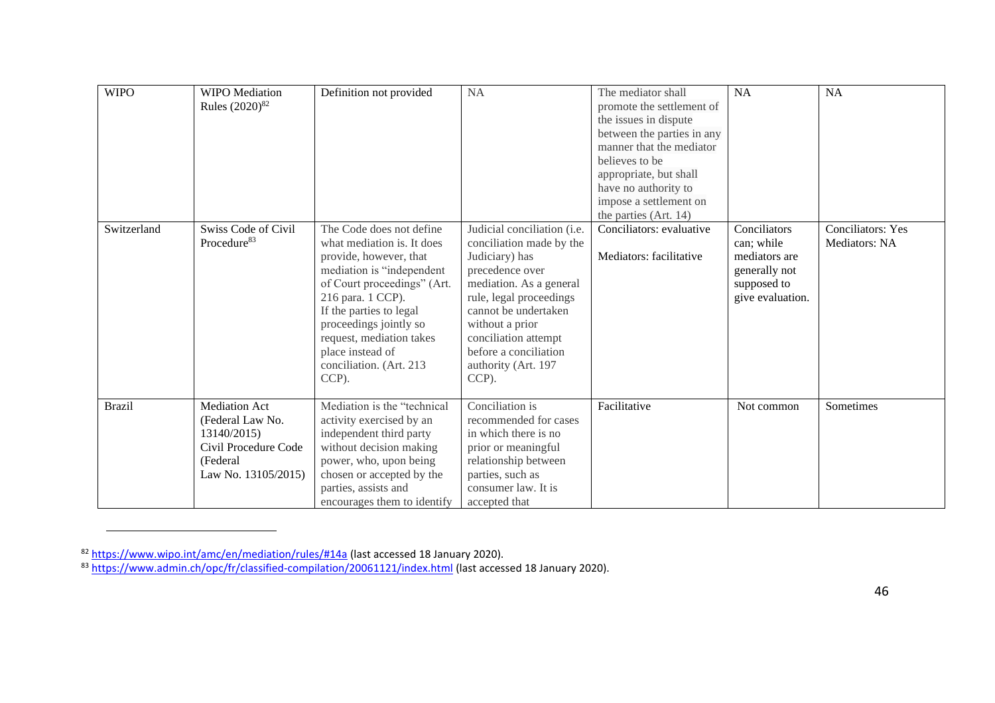| <b>WIPO</b>   | <b>WIPO</b> Mediation<br>Rules (2020) <sup>82</sup>                                                                | Definition not provided                                                                                                                                                                                                                                                                                    | <b>NA</b>                                                                                                                                                                                                                                                                      | The mediator shall<br>promote the settlement of<br>the issues in dispute<br>between the parties in any<br>manner that the mediator<br>believes to be<br>appropriate, but shall<br>have no authority to<br>impose a settlement on<br>the parties (Art. 14) | NA                                                                                              | NA                                        |
|---------------|--------------------------------------------------------------------------------------------------------------------|------------------------------------------------------------------------------------------------------------------------------------------------------------------------------------------------------------------------------------------------------------------------------------------------------------|--------------------------------------------------------------------------------------------------------------------------------------------------------------------------------------------------------------------------------------------------------------------------------|-----------------------------------------------------------------------------------------------------------------------------------------------------------------------------------------------------------------------------------------------------------|-------------------------------------------------------------------------------------------------|-------------------------------------------|
| Switzerland   | Swiss Code of Civil<br>Procedure <sup>83</sup>                                                                     | The Code does not define<br>what mediation is. It does<br>provide, however, that<br>mediation is "independent<br>of Court proceedings" (Art.<br>216 para. 1 CCP).<br>If the parties to legal<br>proceedings jointly so<br>request, mediation takes<br>place instead of<br>conciliation. (Art. 213<br>CCP). | Judicial conciliation (i.e.<br>conciliation made by the<br>Judiciary) has<br>precedence over<br>mediation. As a general<br>rule, legal proceedings<br>cannot be undertaken<br>without a prior<br>conciliation attempt<br>before a conciliation<br>authority (Art. 197<br>CCP). | Conciliators: evaluative<br>Mediators: facilitative                                                                                                                                                                                                       | Conciliators<br>can; while<br>mediators are<br>generally not<br>supposed to<br>give evaluation. | <b>Conciliators: Yes</b><br>Mediators: NA |
| <b>Brazil</b> | <b>Mediation Act</b><br>(Federal Law No.<br>13140/2015)<br>Civil Procedure Code<br>(Federal<br>Law No. 13105/2015) | Mediation is the "technical<br>activity exercised by an<br>independent third party<br>without decision making<br>power, who, upon being<br>chosen or accepted by the<br>parties, assists and<br>encourages them to identify                                                                                | Conciliation is<br>recommended for cases<br>in which there is no<br>prior or meaningful<br>relationship between<br>parties, such as<br>consumer law. It is<br>accepted that                                                                                                    | Facilitative                                                                                                                                                                                                                                              | Not common                                                                                      | Sometimes                                 |

<sup>82</sup> <https://www.wipo.int/amc/en/mediation/rules/#14a> (last accessed 18 January 2020).

<sup>83</sup> <https://www.admin.ch/opc/fr/classified-compilation/20061121/index.html></u> (last accessed 18 January 2020).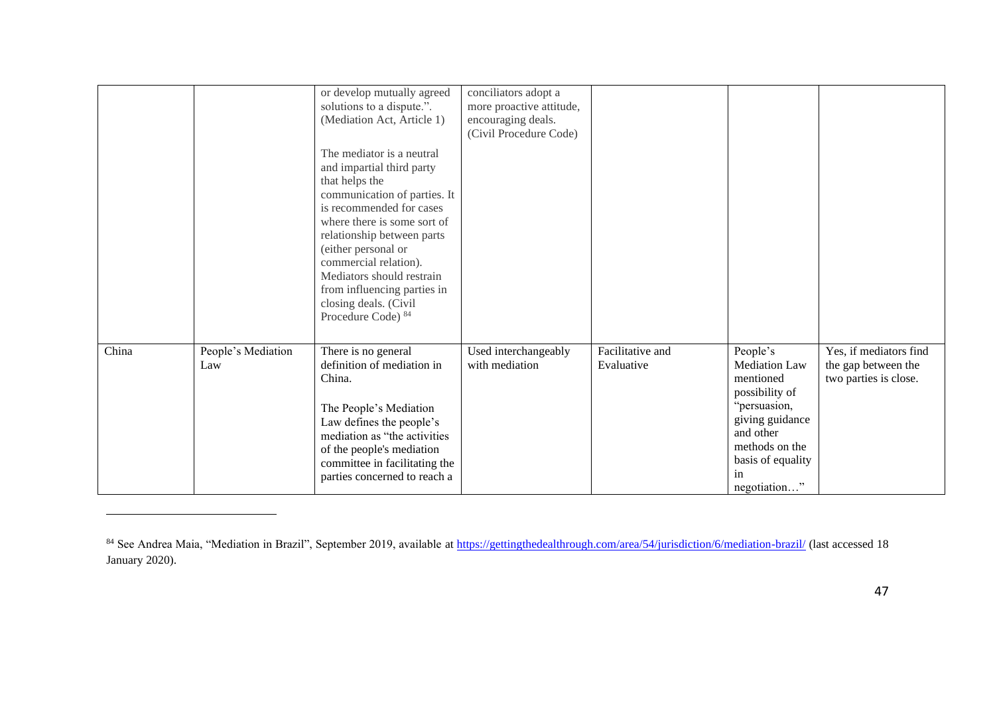|       |                           | or develop mutually agreed<br>solutions to a dispute.".<br>(Mediation Act, Article 1)<br>The mediator is a neutral<br>and impartial third party<br>that helps the<br>communication of parties. It<br>is recommended for cases<br>where there is some sort of<br>relationship between parts<br>(either personal or<br>commercial relation).<br>Mediators should restrain<br>from influencing parties in<br>closing deals. (Civil<br>Procedure Code) 84 | conciliators adopt a<br>more proactive attitude,<br>encouraging deals.<br>(Civil Procedure Code) |                                |                                                                                                                                                                                          |                                                                        |
|-------|---------------------------|-------------------------------------------------------------------------------------------------------------------------------------------------------------------------------------------------------------------------------------------------------------------------------------------------------------------------------------------------------------------------------------------------------------------------------------------------------|--------------------------------------------------------------------------------------------------|--------------------------------|------------------------------------------------------------------------------------------------------------------------------------------------------------------------------------------|------------------------------------------------------------------------|
| China | People's Mediation<br>Law | There is no general<br>definition of mediation in<br>China.<br>The People's Mediation<br>Law defines the people's<br>mediation as "the activities<br>of the people's mediation<br>committee in facilitating the<br>parties concerned to reach a                                                                                                                                                                                                       | Used interchangeably<br>with mediation                                                           | Facilitative and<br>Evaluative | People's<br><b>Mediation Law</b><br>mentioned<br>possibility of<br>"persuasion,<br>giving guidance<br>and other<br>methods on the<br>basis of equality<br><sub>1</sub> n<br>negotiation" | Yes, if mediators find<br>the gap between the<br>two parties is close. |

<sup>&</sup>lt;sup>84</sup> See Andrea Maia, "Mediation in Brazil", September 2019, available at *https://gettingthedealthrough.com/area/54/jurisdiction/6/mediation-brazil/* (last accessed 18 January 2020).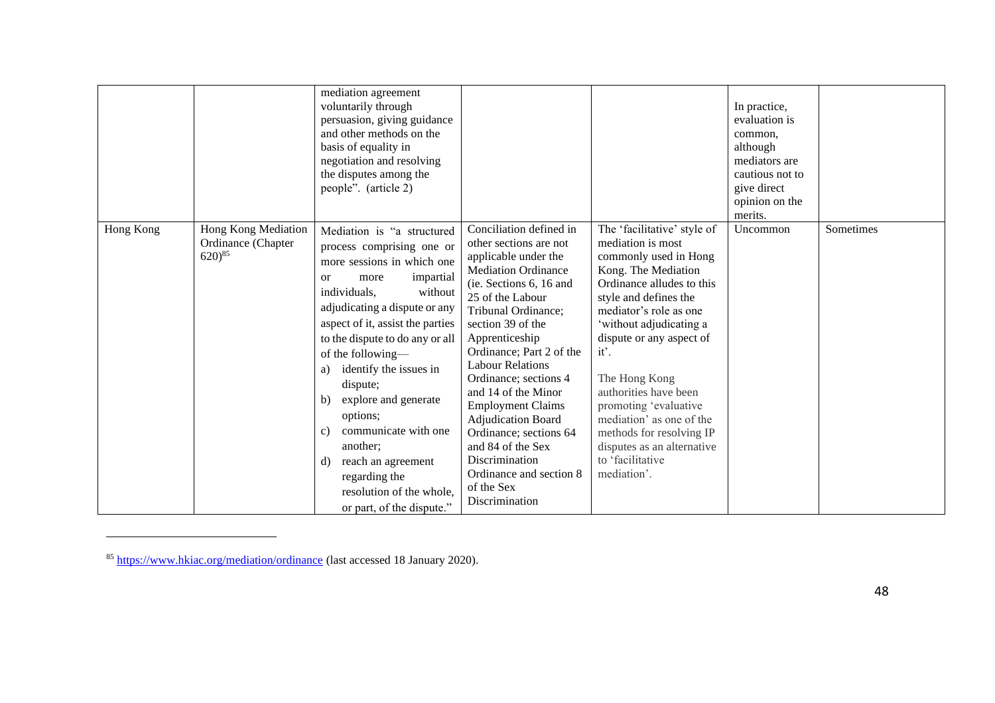|           |                                                          | mediation agreement<br>voluntarily through<br>persuasion, giving guidance<br>and other methods on the<br>basis of equality in<br>negotiation and resolving<br>the disputes among the<br>people". (article 2)                                                                                                                                                                                                                                                                                                              |                                                                                                                                                                                                                                                                                                                                                                                                                                                                                                           |                                                                                                                                                                                                                                                                                                                                                                                                                                             | In practice,<br>evaluation is<br>common,<br>although<br>mediators are<br>cautious not to<br>give direct<br>opinion on the<br>merits. |           |
|-----------|----------------------------------------------------------|---------------------------------------------------------------------------------------------------------------------------------------------------------------------------------------------------------------------------------------------------------------------------------------------------------------------------------------------------------------------------------------------------------------------------------------------------------------------------------------------------------------------------|-----------------------------------------------------------------------------------------------------------------------------------------------------------------------------------------------------------------------------------------------------------------------------------------------------------------------------------------------------------------------------------------------------------------------------------------------------------------------------------------------------------|---------------------------------------------------------------------------------------------------------------------------------------------------------------------------------------------------------------------------------------------------------------------------------------------------------------------------------------------------------------------------------------------------------------------------------------------|--------------------------------------------------------------------------------------------------------------------------------------|-----------|
| Hong Kong | Hong Kong Mediation<br>Ordinance (Chapter<br>$620)^{85}$ | Mediation is "a structured<br>process comprising one or<br>more sessions in which one<br>impartial<br>more<br><sub>or</sub><br>individuals,<br>without<br>adjudicating a dispute or any<br>aspect of it, assist the parties<br>to the dispute to do any or all<br>of the following-<br>identify the issues in<br>a)<br>dispute;<br>explore and generate<br>b)<br>options;<br>communicate with one<br>C)<br>another;<br>reach an agreement<br>d)<br>regarding the<br>resolution of the whole,<br>or part, of the dispute." | Conciliation defined in<br>other sections are not<br>applicable under the<br><b>Mediation Ordinance</b><br>(ie. Sections 6, 16 and<br>25 of the Labour<br>Tribunal Ordinance;<br>section 39 of the<br>Apprenticeship<br>Ordinance; Part 2 of the<br><b>Labour Relations</b><br>Ordinance; sections 4<br>and 14 of the Minor<br><b>Employment Claims</b><br>Adjudication Board<br>Ordinance; sections 64<br>and 84 of the Sex<br>Discrimination<br>Ordinance and section 8<br>of the Sex<br>Discrimination | The 'facilitative' style of<br>mediation is most<br>commonly used in Hong<br>Kong. The Mediation<br>Ordinance alludes to this<br>style and defines the<br>mediator's role as one<br>'without adjudicating a<br>dispute or any aspect of<br>it'.<br>The Hong Kong<br>authorities have been<br>promoting 'evaluative<br>mediation' as one of the<br>methods for resolving IP<br>disputes as an alternative<br>to 'facilitative<br>mediation'. | Uncommon                                                                                                                             | Sometimes |

<sup>85</sup> <https://www.hkiac.org/mediation/ordinance> (last accessed 18 January 2020).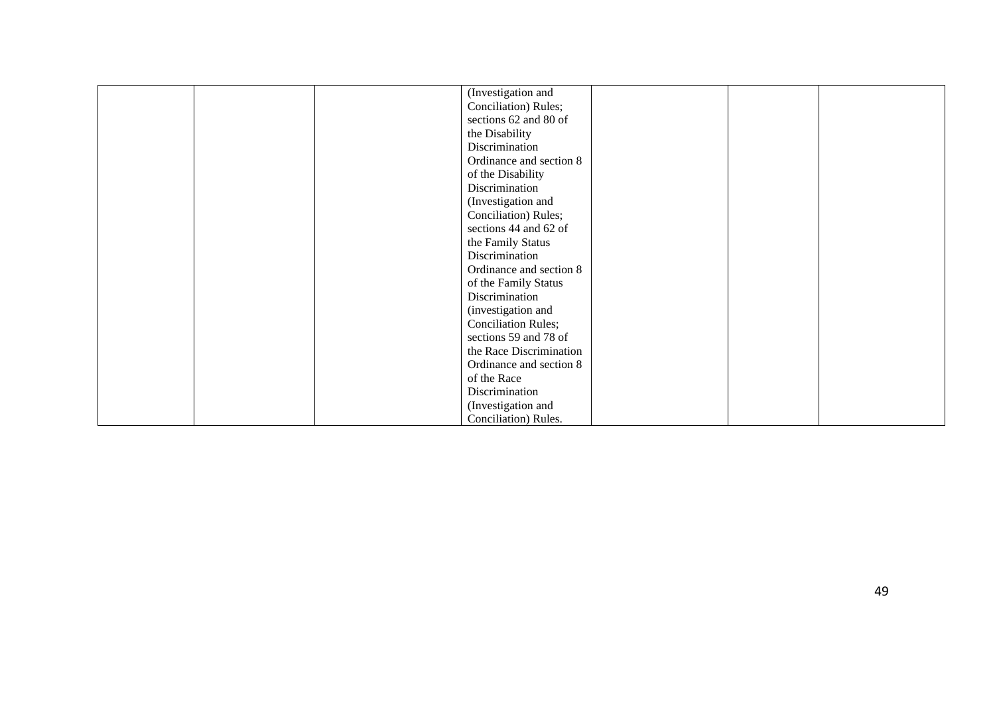| (Investigation and         |  |
|----------------------------|--|
| Conciliation) Rules;       |  |
| sections 62 and 80 of      |  |
| the Disability             |  |
| Discrimination             |  |
| Ordinance and section 8    |  |
| of the Disability          |  |
| Discrimination             |  |
| (Investigation and         |  |
| Conciliation) Rules;       |  |
| sections 44 and 62 of      |  |
| the Family Status          |  |
| Discrimination             |  |
| Ordinance and section 8    |  |
|                            |  |
| of the Family Status       |  |
| Discrimination             |  |
| (investigation and         |  |
| <b>Conciliation Rules;</b> |  |
| sections 59 and 78 of      |  |
| the Race Discrimination    |  |
| Ordinance and section 8    |  |
| of the Race                |  |
| Discrimination             |  |
| (Investigation and         |  |
| Conciliation) Rules.       |  |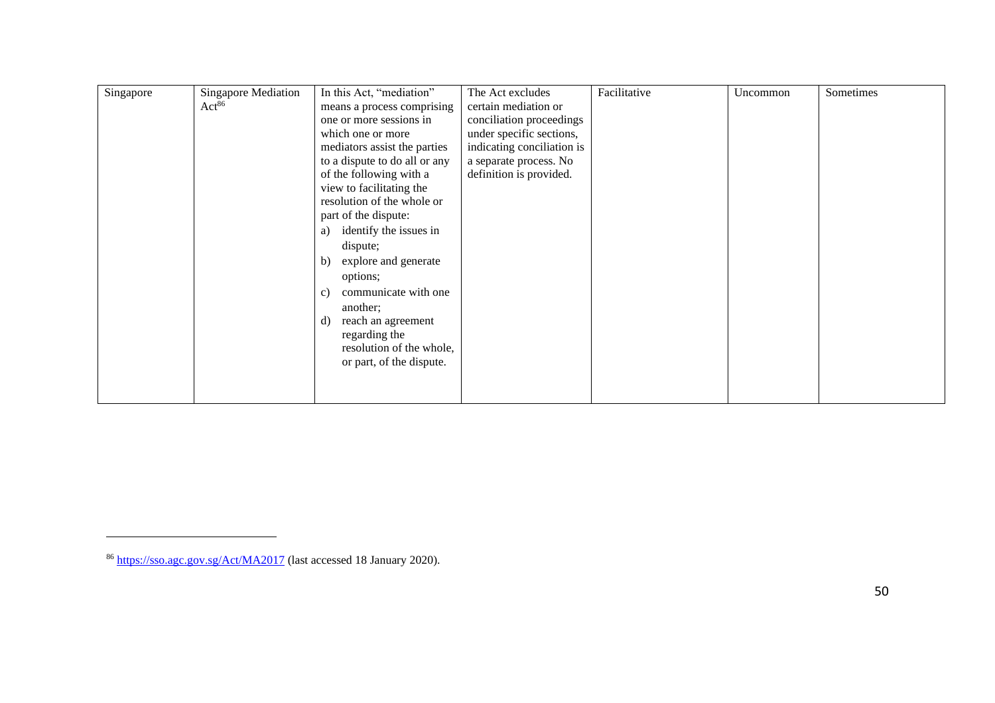| Singapore | <b>Singapore Mediation</b> | In this Act, "mediation"      | The Act excludes           | Facilitative | Uncommon | Sometimes |
|-----------|----------------------------|-------------------------------|----------------------------|--------------|----------|-----------|
|           | Act <sup>86</sup>          | means a process comprising    | certain mediation or       |              |          |           |
|           |                            | one or more sessions in       | conciliation proceedings   |              |          |           |
|           |                            | which one or more             | under specific sections,   |              |          |           |
|           |                            | mediators assist the parties  | indicating conciliation is |              |          |           |
|           |                            | to a dispute to do all or any | a separate process. No     |              |          |           |
|           |                            | of the following with a       | definition is provided.    |              |          |           |
|           |                            | view to facilitating the      |                            |              |          |           |
|           |                            | resolution of the whole or    |                            |              |          |           |
|           |                            | part of the dispute:          |                            |              |          |           |
|           |                            | identify the issues in<br>a)  |                            |              |          |           |
|           |                            | dispute;                      |                            |              |          |           |
|           |                            | explore and generate<br>b)    |                            |              |          |           |
|           |                            | options;                      |                            |              |          |           |
|           |                            |                               |                            |              |          |           |
|           |                            | communicate with one<br>c)    |                            |              |          |           |
|           |                            | another;                      |                            |              |          |           |
|           |                            | reach an agreement<br>d)      |                            |              |          |           |
|           |                            | regarding the                 |                            |              |          |           |
|           |                            | resolution of the whole,      |                            |              |          |           |
|           |                            | or part, of the dispute.      |                            |              |          |           |
|           |                            |                               |                            |              |          |           |
|           |                            |                               |                            |              |          |           |

<sup>86</sup> <https://sso.agc.gov.sg/Act/MA2017> (last accessed 18 January 2020).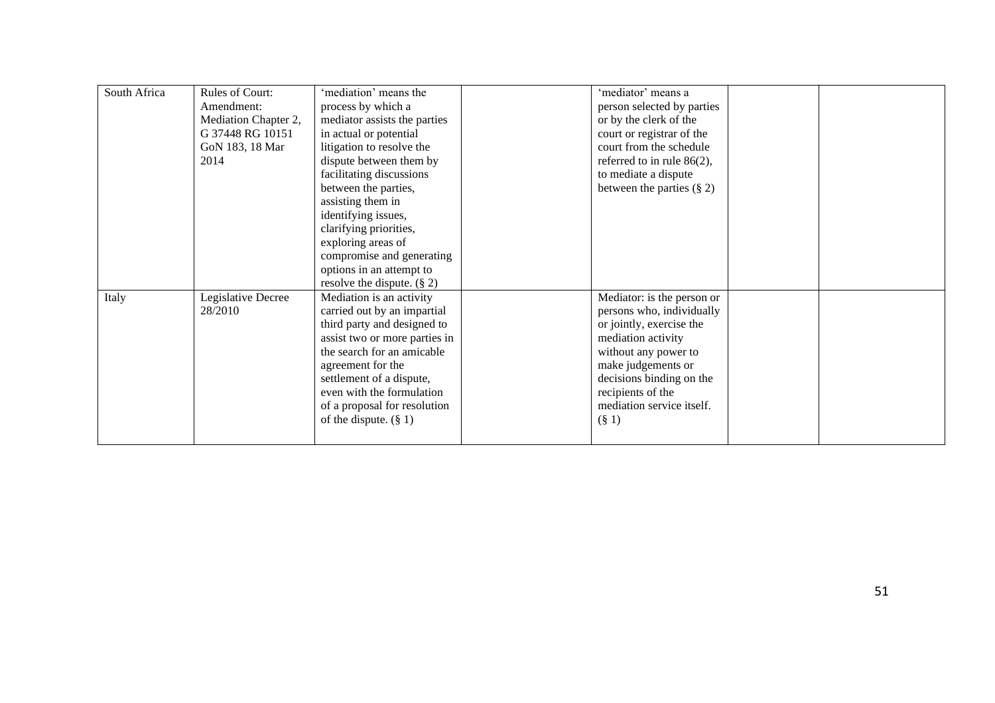| South Africa | <b>Rules of Court:</b> | 'mediation' means the         | 'mediator' means a            |  |
|--------------|------------------------|-------------------------------|-------------------------------|--|
|              | Amendment:             | process by which a            | person selected by parties    |  |
|              | Mediation Chapter 2,   | mediator assists the parties  | or by the clerk of the        |  |
|              | G 37448 RG 10151       | in actual or potential        | court or registrar of the     |  |
|              | GoN 183, 18 Mar        | litigation to resolve the     | court from the schedule       |  |
|              | 2014                   | dispute between them by       | referred to in rule $86(2)$ , |  |
|              |                        | facilitating discussions      | to mediate a dispute          |  |
|              |                        | between the parties,          | between the parties $(\S 2)$  |  |
|              |                        | assisting them in             |                               |  |
|              |                        | identifying issues,           |                               |  |
|              |                        | clarifying priorities,        |                               |  |
|              |                        | exploring areas of            |                               |  |
|              |                        | compromise and generating     |                               |  |
|              |                        | options in an attempt to      |                               |  |
|              |                        | resolve the dispute. $(\S 2)$ |                               |  |
| Italy        | Legislative Decree     | Mediation is an activity      | Mediator: is the person or    |  |
|              | 28/2010                | carried out by an impartial   | persons who, individually     |  |
|              |                        | third party and designed to   | or jointly, exercise the      |  |
|              |                        | assist two or more parties in | mediation activity            |  |
|              |                        | the search for an amicable    | without any power to          |  |
|              |                        | agreement for the             | make judgements or            |  |
|              |                        | settlement of a dispute,      | decisions binding on the      |  |
|              |                        | even with the formulation     | recipients of the             |  |
|              |                        | of a proposal for resolution  | mediation service itself.     |  |
|              |                        | of the dispute. $(\S 1)$      | $(\S 1)$                      |  |
|              |                        |                               |                               |  |
|              |                        |                               |                               |  |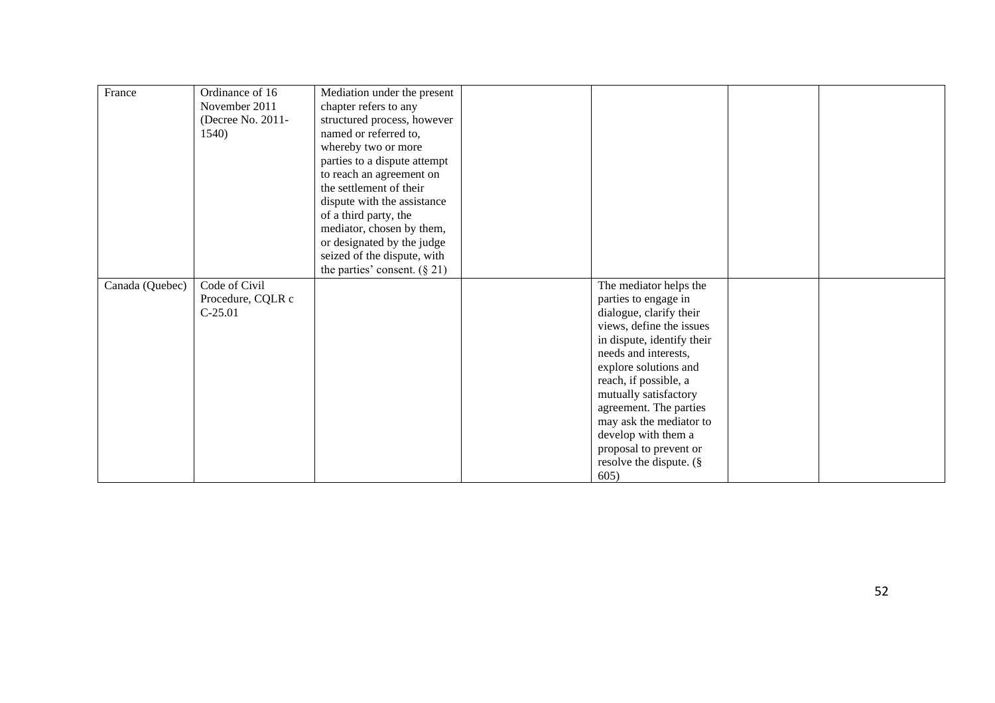| France          | Ordinance of 16<br>November 2011<br>(Decree No. 2011-<br>1540) | Mediation under the present<br>chapter refers to any<br>structured process, however<br>named or referred to,<br>whereby two or more<br>parties to a dispute attempt<br>to reach an agreement on<br>the settlement of their<br>dispute with the assistance<br>of a third party, the<br>mediator, chosen by them, |                                                     |  |
|-----------------|----------------------------------------------------------------|-----------------------------------------------------------------------------------------------------------------------------------------------------------------------------------------------------------------------------------------------------------------------------------------------------------------|-----------------------------------------------------|--|
|                 |                                                                | or designated by the judge                                                                                                                                                                                                                                                                                      |                                                     |  |
|                 |                                                                | seized of the dispute, with                                                                                                                                                                                                                                                                                     |                                                     |  |
|                 |                                                                | the parties' consent. $(\S 21)$                                                                                                                                                                                                                                                                                 |                                                     |  |
| Canada (Quebec) | Code of Civil                                                  |                                                                                                                                                                                                                                                                                                                 | The mediator helps the                              |  |
|                 | Procedure, CQLR c                                              |                                                                                                                                                                                                                                                                                                                 | parties to engage in                                |  |
|                 | $C-25.01$                                                      |                                                                                                                                                                                                                                                                                                                 | dialogue, clarify their<br>views, define the issues |  |
|                 |                                                                |                                                                                                                                                                                                                                                                                                                 | in dispute, identify their                          |  |
|                 |                                                                |                                                                                                                                                                                                                                                                                                                 | needs and interests,                                |  |
|                 |                                                                |                                                                                                                                                                                                                                                                                                                 | explore solutions and                               |  |
|                 |                                                                |                                                                                                                                                                                                                                                                                                                 | reach, if possible, a                               |  |
|                 |                                                                |                                                                                                                                                                                                                                                                                                                 | mutually satisfactory                               |  |
|                 |                                                                |                                                                                                                                                                                                                                                                                                                 | agreement. The parties                              |  |
|                 |                                                                |                                                                                                                                                                                                                                                                                                                 | may ask the mediator to                             |  |
|                 |                                                                |                                                                                                                                                                                                                                                                                                                 | develop with them a                                 |  |
|                 |                                                                |                                                                                                                                                                                                                                                                                                                 | proposal to prevent or                              |  |
|                 |                                                                |                                                                                                                                                                                                                                                                                                                 | resolve the dispute. (§                             |  |
|                 |                                                                |                                                                                                                                                                                                                                                                                                                 | 605)                                                |  |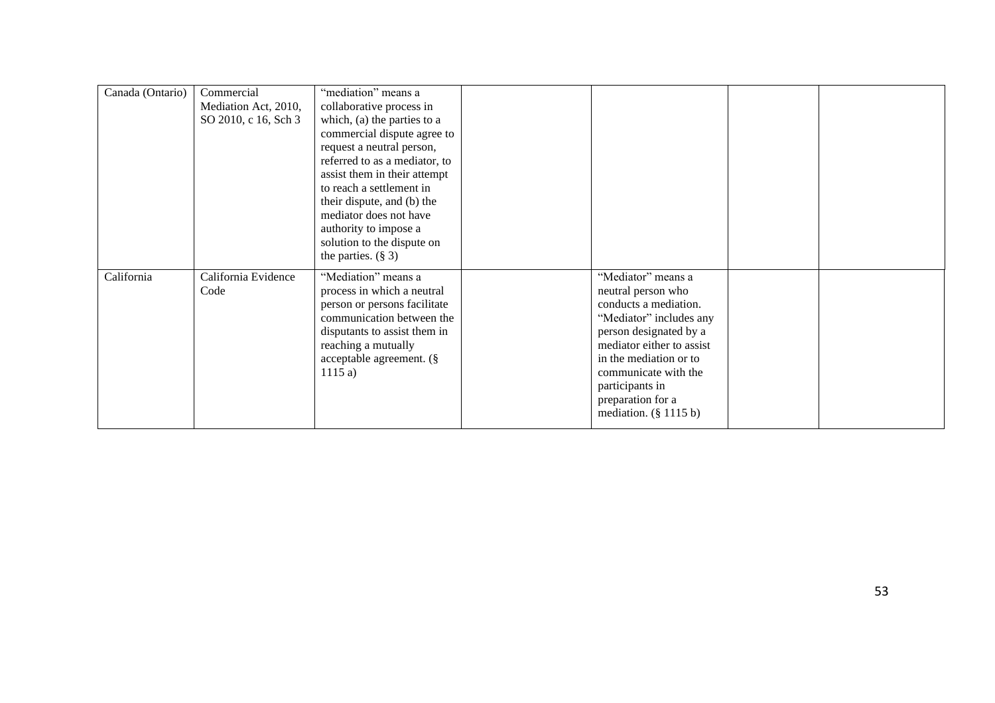| Canada (Ontario) | Commercial<br>Mediation Act, 2010,<br>SO 2010, c 16, Sch 3 | "mediation" means a<br>collaborative process in<br>which, (a) the parties to a<br>commercial dispute agree to<br>request a neutral person,<br>referred to as a mediator, to<br>assist them in their attempt<br>to reach a settlement in<br>their dispute, and (b) the<br>mediator does not have<br>authority to impose a |                                                                                                                                                                                                                                                                           |  |
|------------------|------------------------------------------------------------|--------------------------------------------------------------------------------------------------------------------------------------------------------------------------------------------------------------------------------------------------------------------------------------------------------------------------|---------------------------------------------------------------------------------------------------------------------------------------------------------------------------------------------------------------------------------------------------------------------------|--|
|                  |                                                            | solution to the dispute on<br>the parties. $(\S 3)$                                                                                                                                                                                                                                                                      |                                                                                                                                                                                                                                                                           |  |
| California       | California Evidence<br>Code                                | "Mediation" means a<br>process in which a neutral<br>person or persons facilitate<br>communication between the<br>disputants to assist them in<br>reaching a mutually<br>acceptable agreement. (§<br>1115a)                                                                                                              | "Mediator" means a<br>neutral person who<br>conducts a mediation.<br>"Mediator" includes any<br>person designated by a<br>mediator either to assist<br>in the mediation or to<br>communicate with the<br>participants in<br>preparation for a<br>mediation. $(\S 1115 b)$ |  |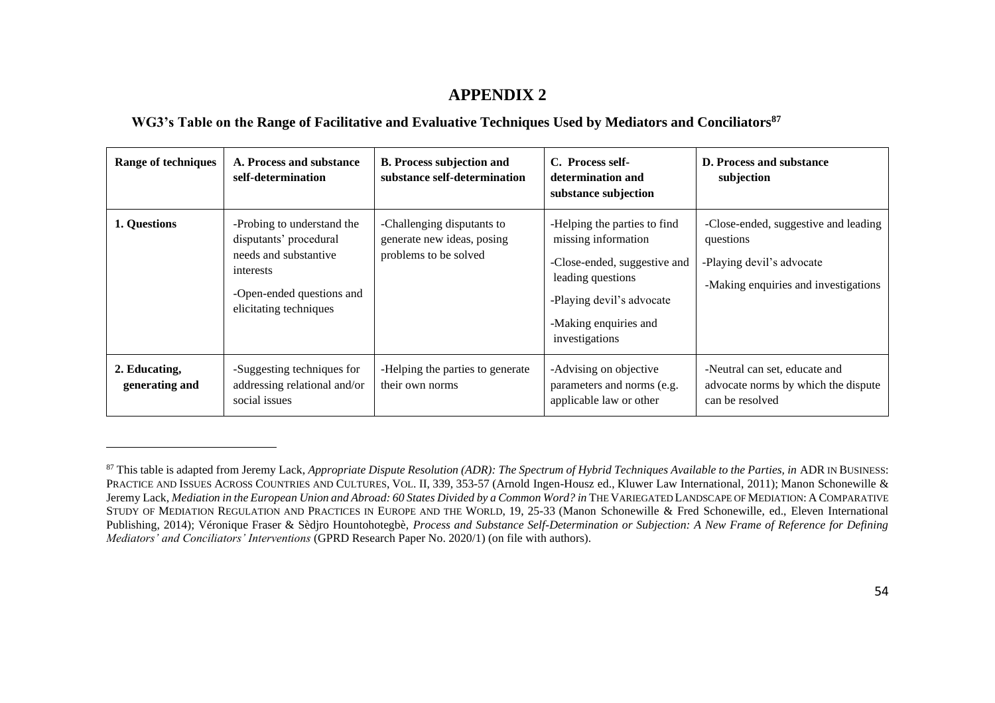#### <span id="page-53-0"></span>**WG3's Table on the Range of Facilitative and Evaluative Techniques Used by Mediators and Conciliators<sup>87</sup>**

| <b>Range of techniques</b>      | A. Process and substance<br>self-determination                                                                                                    | <b>B. Process subjection and</b><br>substance self-determination                  | C. Process self-<br>determination and<br>substance subjection                                                                                                                    | <b>D. Process and substance</b><br>subjection                                                                          |
|---------------------------------|---------------------------------------------------------------------------------------------------------------------------------------------------|-----------------------------------------------------------------------------------|----------------------------------------------------------------------------------------------------------------------------------------------------------------------------------|------------------------------------------------------------------------------------------------------------------------|
| 1. Questions                    | -Probing to understand the<br>disputants' procedural<br>needs and substantive<br>interests<br>-Open-ended questions and<br>elicitating techniques | -Challenging disputants to<br>generate new ideas, posing<br>problems to be solved | -Helping the parties to find<br>missing information<br>-Close-ended, suggestive and<br>leading questions<br>-Playing devil's advocate<br>-Making enquiries and<br>investigations | -Close-ended, suggestive and leading<br>questions<br>-Playing devil's advocate<br>-Making enquiries and investigations |
| 2. Educating,<br>generating and | -Suggesting techniques for<br>addressing relational and/or<br>social issues                                                                       | -Helping the parties to generate<br>their own norms                               | -Advising on objective<br>parameters and norms (e.g.<br>applicable law or other                                                                                                  | -Neutral can set, educate and<br>advocate norms by which the dispute<br>can be resolved                                |

<sup>&</sup>lt;sup>87</sup> This table is adapted from Jeremy Lack, *Appropriate Dispute Resolution (ADR): The Spectrum of Hybrid Techniques Available to the Parties, in ADR IN BUSINESS:* PRACTICE AND ISSUES ACROSS COUNTRIES AND CULTURES, VOL. II, 339, 353-57 (Arnold Ingen-Housz ed., Kluwer Law International, 2011); Manon Schonewille & Jeremy Lack, *Mediation in the European Union and Abroad: 60 States Divided by a Common Word? in* THE VARIEGATED LANDSCAPE OF MEDIATION: A COMPARATIVE STUDY OF MEDIATION REGULATION AND PRACTICES IN EUROPE AND THE WORLD, 19, 25-33 (Manon Schonewille & Fred Schonewille, ed., Eleven International Publishing, 2014); Véronique Fraser & Sèdjro Hountohotegbè, *Process and Substance Self-Determination or Subjection: A New Frame of Reference for Defining Mediators' and Conciliators' Interventions* (GPRD Research Paper No. 2020/1) (on file with authors).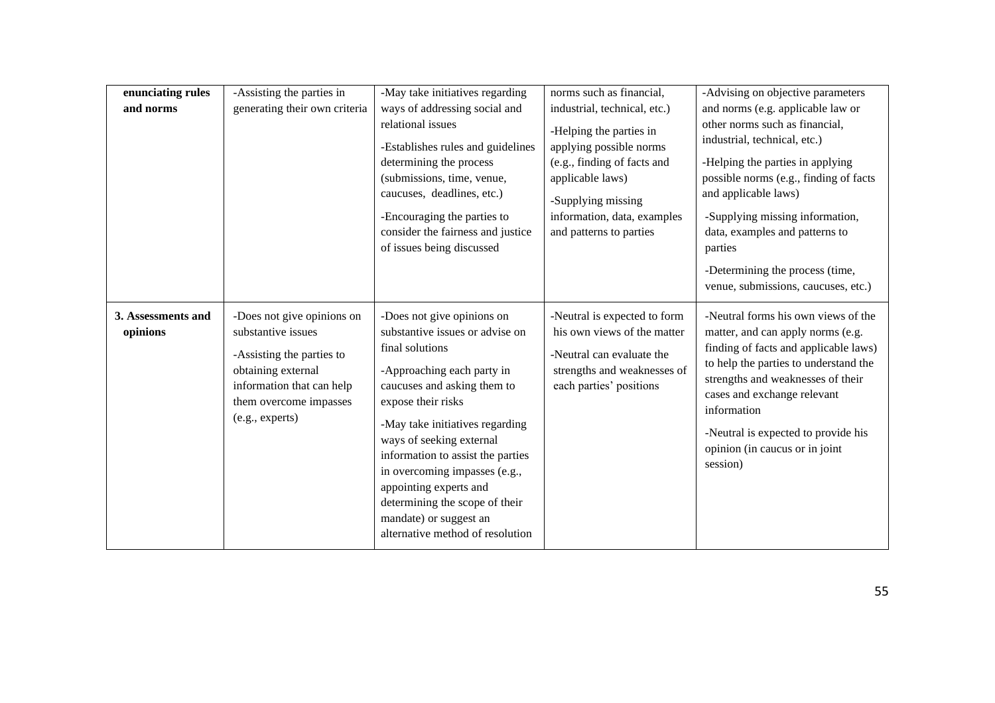| enunciating rules<br>and norms | -Assisting the parties in<br>generating their own criteria                                                                                                                    | -May take initiatives regarding<br>ways of addressing social and<br>relational issues<br>-Establishes rules and guidelines<br>determining the process<br>(submissions, time, venue,<br>caucuses, deadlines, etc.)<br>-Encouraging the parties to<br>consider the fairness and justice<br>of issues being discussed                                                                                                                 | norms such as financial,<br>industrial, technical, etc.)<br>-Helping the parties in<br>applying possible norms<br>(e.g., finding of facts and<br>applicable laws)<br>-Supplying missing<br>information, data, examples<br>and patterns to parties | -Advising on objective parameters<br>and norms (e.g. applicable law or<br>other norms such as financial,<br>industrial, technical, etc.)<br>-Helping the parties in applying<br>possible norms (e.g., finding of facts<br>and applicable laws)<br>-Supplying missing information,<br>data, examples and patterns to<br>parties<br>-Determining the process (time,<br>venue, submissions, caucuses, etc.) |
|--------------------------------|-------------------------------------------------------------------------------------------------------------------------------------------------------------------------------|------------------------------------------------------------------------------------------------------------------------------------------------------------------------------------------------------------------------------------------------------------------------------------------------------------------------------------------------------------------------------------------------------------------------------------|---------------------------------------------------------------------------------------------------------------------------------------------------------------------------------------------------------------------------------------------------|----------------------------------------------------------------------------------------------------------------------------------------------------------------------------------------------------------------------------------------------------------------------------------------------------------------------------------------------------------------------------------------------------------|
| 3. Assessments and<br>opinions | -Does not give opinions on<br>substantive issues<br>-Assisting the parties to<br>obtaining external<br>information that can help<br>them overcome impasses<br>(e.g., experts) | -Does not give opinions on<br>substantive issues or advise on<br>final solutions<br>-Approaching each party in<br>caucuses and asking them to<br>expose their risks<br>-May take initiatives regarding<br>ways of seeking external<br>information to assist the parties<br>in overcoming impasses (e.g.,<br>appointing experts and<br>determining the scope of their<br>mandate) or suggest an<br>alternative method of resolution | -Neutral is expected to form<br>his own views of the matter<br>-Neutral can evaluate the<br>strengths and weaknesses of<br>each parties' positions                                                                                                | -Neutral forms his own views of the<br>matter, and can apply norms (e.g.<br>finding of facts and applicable laws)<br>to help the parties to understand the<br>strengths and weaknesses of their<br>cases and exchange relevant<br>information<br>-Neutral is expected to provide his<br>opinion (in caucus or in joint<br>session)                                                                       |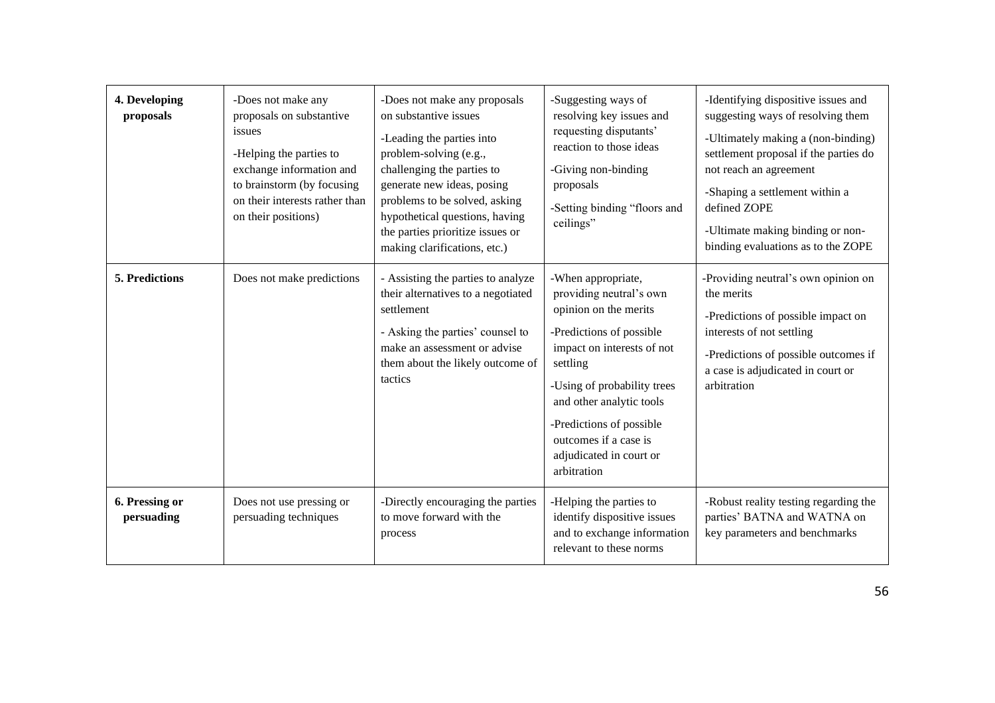| 4. Developing<br>proposals   | -Does not make any<br>proposals on substantive<br>issues<br>-Helping the parties to<br>exchange information and<br>to brainstorm (by focusing<br>on their interests rather than<br>on their positions) | -Does not make any proposals<br>on substantive issues<br>-Leading the parties into<br>problem-solving (e.g.,<br>challenging the parties to<br>generate new ideas, posing<br>problems to be solved, asking<br>hypothetical questions, having<br>the parties prioritize issues or<br>making clarifications, etc.) | -Suggesting ways of<br>resolving key issues and<br>requesting disputants'<br>reaction to those ideas<br>-Giving non-binding<br>proposals<br>-Setting binding "floors and<br>ceilings"                                                                                                                  | -Identifying dispositive issues and<br>suggesting ways of resolving them<br>-Ultimately making a (non-binding)<br>settlement proposal if the parties do<br>not reach an agreement<br>-Shaping a settlement within a<br>defined ZOPE<br>-Ultimate making binding or non-<br>binding evaluations as to the ZOPE |
|------------------------------|--------------------------------------------------------------------------------------------------------------------------------------------------------------------------------------------------------|-----------------------------------------------------------------------------------------------------------------------------------------------------------------------------------------------------------------------------------------------------------------------------------------------------------------|--------------------------------------------------------------------------------------------------------------------------------------------------------------------------------------------------------------------------------------------------------------------------------------------------------|---------------------------------------------------------------------------------------------------------------------------------------------------------------------------------------------------------------------------------------------------------------------------------------------------------------|
| <b>5. Predictions</b>        | Does not make predictions                                                                                                                                                                              | - Assisting the parties to analyze<br>their alternatives to a negotiated<br>settlement<br>- Asking the parties' counsel to<br>make an assessment or advise<br>them about the likely outcome of<br>tactics                                                                                                       | -When appropriate,<br>providing neutral's own<br>opinion on the merits<br>-Predictions of possible<br>impact on interests of not<br>settling<br>-Using of probability trees<br>and other analytic tools<br>-Predictions of possible<br>outcomes if a case is<br>adjudicated in court or<br>arbitration | -Providing neutral's own opinion on<br>the merits<br>-Predictions of possible impact on<br>interests of not settling<br>-Predictions of possible outcomes if<br>a case is adjudicated in court or<br>arbitration                                                                                              |
| 6. Pressing or<br>persuading | Does not use pressing or<br>persuading techniques                                                                                                                                                      | -Directly encouraging the parties<br>to move forward with the<br>process                                                                                                                                                                                                                                        | -Helping the parties to<br>identify dispositive issues<br>and to exchange information<br>relevant to these norms                                                                                                                                                                                       | -Robust reality testing regarding the<br>parties' BATNA and WATNA on<br>key parameters and benchmarks                                                                                                                                                                                                         |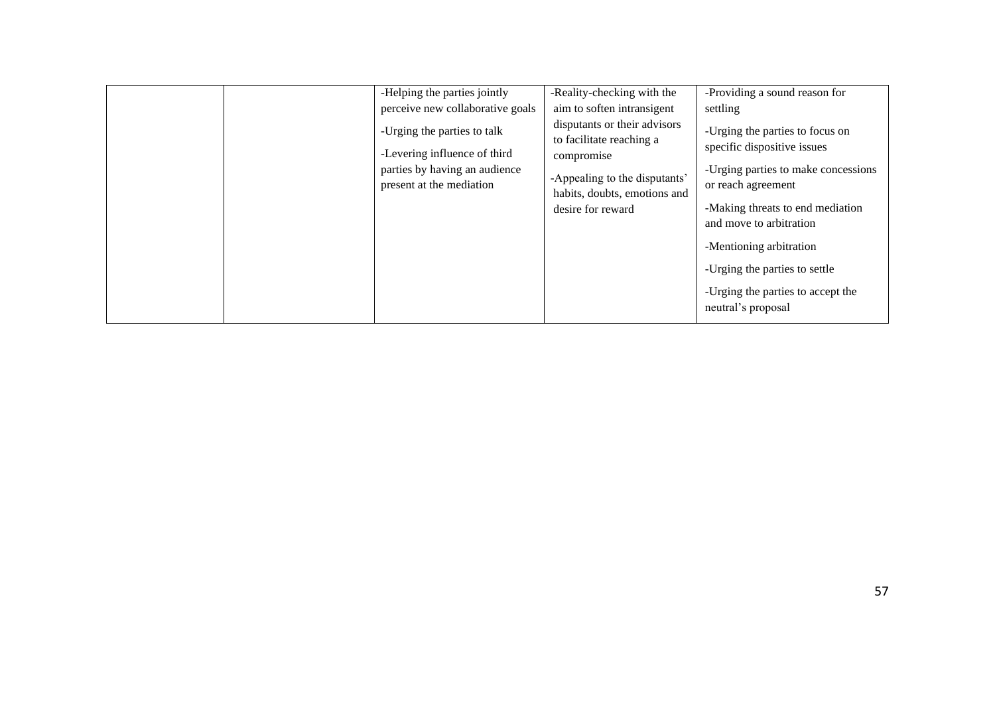| to facilitate reaching a<br>specific dispositive issues<br>-Levering influence of third<br>compromise<br>parties by having an audience<br>-Appealing to the disputants'<br>present at the mediation | -Providing a sound reason for<br>settling<br>-Urging the parties to focus on                                                                                                                                                                    |
|-----------------------------------------------------------------------------------------------------------------------------------------------------------------------------------------------------|-------------------------------------------------------------------------------------------------------------------------------------------------------------------------------------------------------------------------------------------------|
| habits, doubts, emotions and<br>desire for reward                                                                                                                                                   | -Urging parties to make concessions<br>or reach agreement<br>-Making threats to end mediation<br>and move to arbitration<br>-Mentioning arbitration<br>-Urging the parties to settle<br>-Urging the parties to accept the<br>neutral's proposal |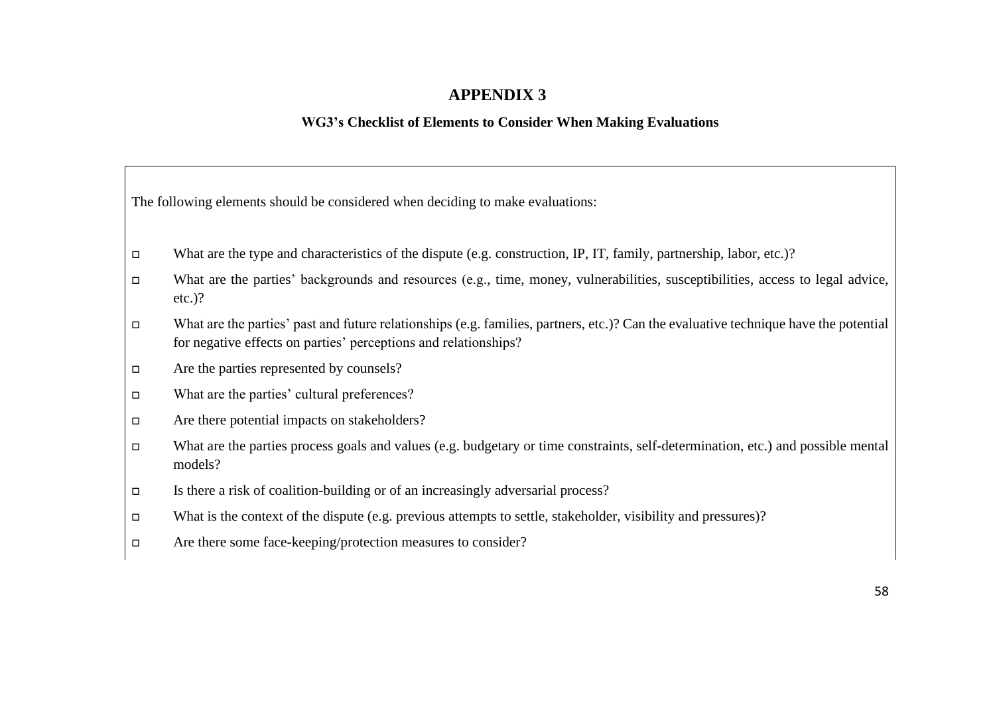#### **WG3's Checklist of Elements to Consider When Making Evaluations**

<span id="page-57-0"></span>

|  |  |  | The following elements should be considered when deciding to make evaluations: |
|--|--|--|--------------------------------------------------------------------------------|
|  |  |  |                                                                                |

- What are the type and characteristics of the dispute (e.g. construction, IP, IT, family, partnership, labor, etc.)?
- What are the parties' backgrounds and resources (e.g., time, money, vulnerabilities, susceptibilities, access to legal advice, etc.)?
- What are the parties' past and future relationships (e.g. families, partners, etc.)? Can the evaluative technique have the potential for negative effects on parties' perceptions and relationships?
- Are the parties represented by counsels?
- What are the parties' cultural preferences?
- Are there potential impacts on stakeholders?
- What are the parties process goals and values (e.g. budgetary or time constraints, self-determination, etc.) and possible mental models?
- Is there a risk of coalition-building or of an increasingly adversarial process?
- What is the context of the dispute (e.g. previous attempts to settle, stakeholder, visibility and pressures)?
- Are there some face-keeping/protection measures to consider?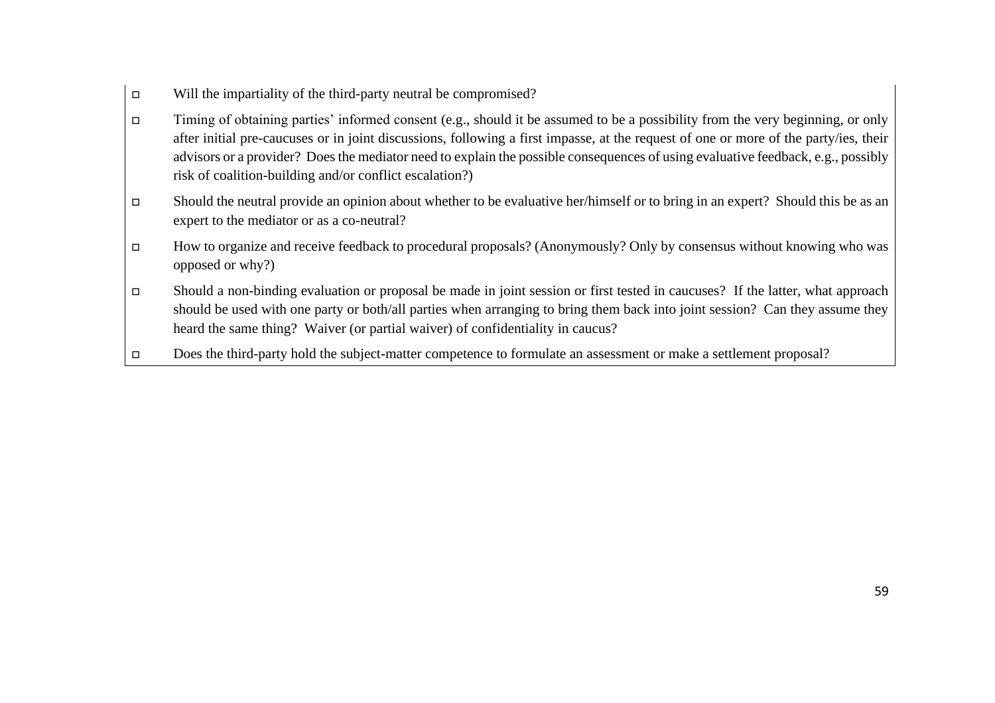- $\Box$  Will the impartiality of the third-party neutral be compromised?
- Timing of obtaining parties' informed consent (e.g., should it be assumed to be a possibility from the very beginning, or only after initial pre-caucuses or in joint discussions, following a first impasse, at the request of one or more of the party/ies, their advisors or a provider? Does the mediator need to explain the possible consequences of using evaluative feedback, e.g., possibly risk of coalition-building and/or conflict escalation?)
- Should the neutral provide an opinion about whether to be evaluative her/himself or to bring in an expert? Should this be as an expert to the mediator or as a co-neutral?
- How to organize and receive feedback to procedural proposals? (Anonymously? Only by consensus without knowing who was opposed or why?)
- Should a non-binding evaluation or proposal be made in joint session or first tested in caucuses? If the latter, what approach should be used with one party or both/all parties when arranging to bring them back into joint session? Can they assume they heard the same thing? Waiver (or partial waiver) of confidentiality in caucus?
- Does the third-party hold the subject-matter competence to formulate an assessment or make a settlement proposal?